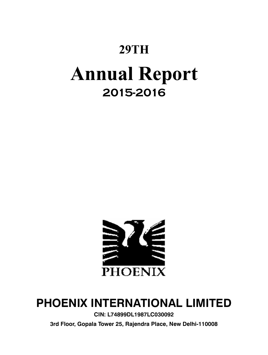# **29TH**

# **Annual Report 2015-2016**



## **Phoenix International Limited**

**CIN: L74899DL1987LC030092**

**3rd Floor, Gopala Tower 25, Rajendra Place, New Delhi-110008**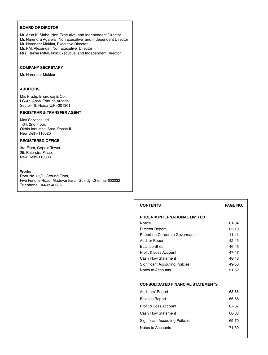### **BOARD OF DIRCTOR**

- Mr. Arun K. Sinha, Non Executive and Independent Director
- Mr. Narendra Agarwal, Non Executive and Independent Director
- Mr. Narender Makkar, Executive Director
- Mr. P.M. Alexander, Non Executive Director
- Mrs. Rekha Mittal, Non Executive and Independent Director

### **COMPANY SECRETARY**

Mr. Narender Makkar

### **AUDITORS**

M/s Pradip Bhardwaj & Co. LG-47, Ansal Fortune Arcade Sector-18, Noida(U.P)-201301

### **REGISTRAR & TRANSFER AGENT**

Mas Services Ltd. T-34, 2nd Floor, Okhla Industrial Area, Phase-II New Delhi-110020

### **REGISTERED OFFICE**

3rd Floor, Gopala Tower 25, Rajendra Place, New Delhi-110008

### **Works**

Door No. 35/1, Ground Floor, Five Furlons Road, Maduvankarai, Guindy, Chennai-600032 Telephone: 044-2240638,

| <b>CONTENTS</b>                          | PAGE NO.  |
|------------------------------------------|-----------|
| PHOENIX INTERNATIONAL LIMITED            |           |
| Notice                                   | $01 - 04$ |
| Director Report                          | $05-10$   |
| Report on Corporate Govermance           | $11 - 41$ |
| <b>Auditor Report</b>                    | 42-45     |
| <b>Balance Sheet</b>                     | 46-46     |
| Profit & Loss Account                    | 47-47     |
| Cash Flow Statement                      | 48-48     |
| <b>Significant Accouting Poilcies</b>    | 49-50     |
| Notes to Accounts                        | 51-62     |
| <b>CONSOLIDATED FINANCIAL STATEMENTS</b> |           |
| Auditiors' Report                        | 63-65     |
| Balance Report                           | 66-66     |
| Profit & Loss Account                    | 67-67     |
| Cash Flow Statement                      | 68-68     |
| <b>Significant Accouting Poilcies</b>    | 69-70     |
| Notes to Accounts                        | 71-80     |
|                                          |           |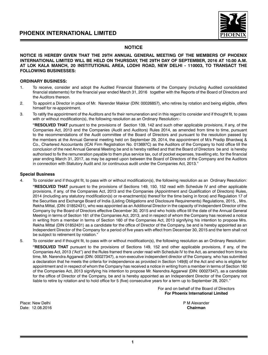

### **NOTICE**

### **NOTICE IS HEREBY GIVEN THAT THE 29TH ANNUAL GENERAL MEETING OF THE MEMBERS OF PHOENIX INTERNATIONAL LIMITED WILL BE HELD ON THURSDAY, THE 29TH DAY OF SEPTEMBER, 2016 AT 10.00 A.M. AT LOK KALA MANCH, 20 INSTITUTIONAL AREA, LODHI ROAD, NEW DELHI - 110003, TO TRANSACT THE FOLLOWING BUSINESSES:**

### **ORDINARY BUSINESS:**

- 1. To receive, consider and adopt the Audited Financial Statements of the Company (including Audited consolidated financial statements) for the financial year ended March 31, 2016 together with the Reports of the Board of Directors and the Auditors thereon.
- 2. To appoint a Director in place of Mr. Narender Makkar (DIN: 00026857), who retires by rotation and being eligible, offers himself for re-appointment.
- 3. To ratify the appointment of the Auditors and fix their remuneration and in this regard to consider and if thought fit, to pass with or without modification(s), the following resolution as an Ordinary Resolution:-

**"RESOLVED THAT** pursuant to the provisions of Section 139, 142 and such other applicable provisions, if any, of the Companies Act, 2013 and the Companies (Audit and Auditors) Rules 2014, as amended from time to time, pursuant to the recommendations of the Audit committee of the Board of Directors and pursuant to the resolution passed by the members at the Annual General meeting held on September 29, 2014, the appointment of M/s Pradip Bhardwaj & Co., Chartered Accountants (ICAI Firm Registration No. 013697C) as the Auditors of the Company to hold office till the conclusion of the next Annual General Meeting be and is hereby ratified and that the Board of Directors be and is hereby authorised to fix the remuneration payable to them plus service tax, out of pocket expenses, travelling etc. for the financial year ending March 31, 2017, as may be agreed upon between the Board of Directors of the Company and the Auditors in connection with Statutory Audit and /or continuous audit under the Companies Act, 2013."

### **Special Business**

4. To consider and if thought fit, to pass with or without modification(s), the following resolution as an Ordinary Resolution:

**"RESOLVED THAT** pursuant to the provisions of Sections 149, 150, 152 read with Schedule IV and other applicable provisions, if any, of the Companies Act, 2013 and the Companies (Appointment and Qualification of Directors) Rules, 2014 (including any statutory modification(s) or re-enactment(s) thereof for the time being in force) and Regulation 17 of the Securities and Exchange Board of India (Listing Obligations and Disclosure Requirements) Regulations, 2015, , Mrs. Rekha Mittal, (DIN: 01852431), who was appointed as an Additional Director in the capacity of Independent Director of the Company by the Board of Directors effective December 30, 2015 and who holds office till the date of the Annual General Meeting in terms of Section 161 of the Companies Act, 2013, and in respect of whom the Company has received a notice in writing from a member in terms of Section 160 of the Companies Act, 2013 signifying his intention to propose Mrs. Rekha Mittal (DIN 01852431) as a candidate for the office of Director of the Company, be and is hereby appointed as an Independent Director of the Company for a period of five years with effect from December 30, 2015 and the term shall not be subject to retirement by rotation."

5. To consider and if thought fit, to pass with or without modification(s), the following resolution as an Ordinary Resolution: **"RESOLVED THAT** pursuant to the provisions of Sections 149, 152 and other applicable provisions, if any, of the Companies Act, 2013 ("Act") and the Rules framed there under read with Schedule IV to the Act, as amended from time to time, Mr. Narendra Aggarwal (DIN: 00027347), a non-executive independent director of the Company, who has submitted a declaration that he meets the criteria for independence as provided in Section 149(6) of the Act and who is eligible for appointment and in respect of whom the Company has received a notice in writing from a member in terms of Section 160 of the Companies Act, 2013 signifying his intention to propose Mr. Narendra Aggarwal (DIN: 00027347), as a candidate for the office of Director of the Company, be and is hereby appointed as an Independent Director of the Company not liable to retire by rotation and to hold office for 5 (five) consecutive years for a term up to September 28, 2021."

> For and on behalf of the Board of Directors **For Phoenix International Limited**

Place: New Delhi **Properties and Contract Contract Contract Contract Contract Contract P M Alexander** Date: 12.08.2016 **Chairman**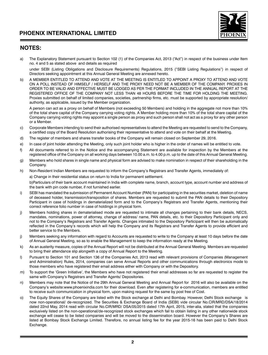

### **NOTES:**

a) The Explanatory Statement pursuant to Section 102 (1) of the Companies Act, 2013 ("Act") in respect of the business under Item no. 4 and 5 as stated above and details as required

under SEBI (Listing Obligations and Disclosure Requirements) Regulations, 2015 ("SEBI Listing Regulations") in respect of Directors seeking appointment at this Annual General Meeting are annexed hereto.

b) A MEMBER ENTITLED TO ATTEND AND VOTE AT THE MEETING IS ENTITLED TO APPOINT A PROXY TO ATTEND AND VOTE ON A POLL INSTEAD OF HIMSELF / HERSELF AND THE PROXY NEED NOT BE A MEMBER OF THE COMPANY. PROXIES IN ORDER TO BE VALID AND EFFECTIVE MUST BE LODGED AS PER THE FORMAT INCLUDED IN THE ANNUAL REPORT AT THE REGISTERED OFFICE OF THE COMPANY NOT LESS THAN 48 HOURS BEFORE THE TIME FOR HOLDING THE MEETING. Proxies submitted on behalf of limited companies, societies, partnership firms, etc. must be supported by appropriate resolution/ authority, as applicable, issued by the Member organization.

A person can act as a proxy on behalf of Members (not exceeding 50 Members) and holding in the aggregate not more than 10% of the total share capital of the Company carrying voting rights. A Member holding more than 10% of the total share capital of the Company carrying voting rights may appoint a single person as proxy and such person shall not act as a proxy for any other person or a Member.

- c) Corporate Members intending to send their authorised representatives to attend the Meeting are requested to send to the Company, a certified copy of the Board Resolution authorising their representative to attend and vote on their behalf at the Meeting.
- d) The register of members and shares transfer books of the Company will remain closed on September 29, 2016.
- e) In case of joint holder attending the Meeting, only such joint holder who is higher in the order of names will be entitled to vote.
- f) All documents referred to in the Notice and the accompanying Statement are available for inspection by the Members at the registered office of the Company on all working days between 10.00 a.m. to 4.00 p.m. up to the date of this Annual General Meeting.
- g) Members who hold shares in single name and physical form are advised to make nomination in respect of their shareholding in the Company.
- h) Non-Resident Indian Members are requested to inform the Company's Registrars and Transfer Agents, immediately of: a) Change in their residential status on return to India for permanent settlement.

b)Particulars of their bank account maintained in India with complete name, branch, account type, account number and address of the bank with pin code number, if not furnished earlier.

- i) SEBI has mandated the submission of Permanent Account Number (PAN) for participating in the securities market, deletion of name of deceased holder, transmission/transposition of shares. Members are requested to submit the PAN details to their Depository Participant in case of holdings in dematerialized form and to the Company's Registrars and Transfer Agents, mentioning their correct reference folio number in case of holdings in physical form.
- j) Members holding shares in dematerialised mode are requested to intimate all changes pertaining to their bank details, NECS, mandates, nominations, power of attorney, change of address/ name, PAN details, etc. to their Depository Participant only and not to the Company's Registrars and Transfer Agents. Changes intimated to the Depository Participant will then be automatically reflected in the Company's records which will help the Company and its Registrars and Transfer Agents to provide efficient and better service to the Members.
- j) Members seeking any information with regard to Accounts are requested to write to the Company at least 10 days before the date of Annual General Meeting, so as to enable the Management to keep the information ready at the Meeting.
- k) As an austerity measure, copies of the Annual Report will not be distributed at the Annual General Meeting. Members are requested to bring their attendance slip alongwith a copy of Annual Report to the Meeting.
- l) Pursuant to Section 101 and Section 136 of the Companies Act, 2013 read with relevant provisions of Companies (Management and Administration) Rules, 2014, companies can serve Annual Reports and other communications through electronics mode to those members who have registered their email address either with Company or with the Depository.
- m) To support the 'Green Initiative', the Members who have not registered their email addresses so far are requested to register the same with Company's Registrars and Transfer Agents/ Depositories.
- n) Members may note that the Notice of the 29th Annual General Meeting and Annual Report for 2016 will also be available on the Company's website:www.phoenixindia.com for their download. Even after registering for e-communication, members are entitled to receive such communication in physical form, upon making request for the same by post free of Cost.
- o) The Equity Shares of the Company are listed with the Stock exchange at Delhi and Bombay. However, Delhi Stock exchange is now non-operational/ de-recognized. The Securities & Exchange Board of India (SEBI) vide circular No.CIR/MRD/DSA/18/2014 dated 22nd May, 2014 read with circular No.CIR/MRD/ DSA/05/2015 dated 17th April, 2015, inter-alia, stated that the companies exclusively listed on the non-operational/de-recognized stock exchanges which fail to obtain listing in any other nationwide stock exchange will cease to be listed companies and will be moved to the dissemination board. However the Company's Shares are listed at Bombay Stock Exchange Limited. Therefore, no annual listing fee for the year 2015-16 has been paid to Delhi Stock Exchange.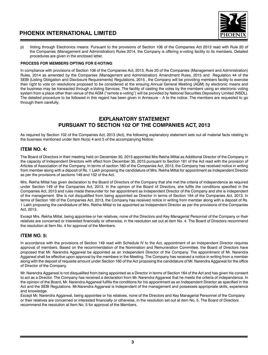

p) Voting through Electronics means: Pursuant to the provisions of Section 108 of the Companies Act 2013 read with Rule 20 of the Companies (Management and Administration) Rules 2014, the Company is offering e-voting facility to its members. Detailed procedures are given in the enclosed letter.

### **PROCESS FOR MEMBERS OPTING FOR E-VOTING**

In compliance with provisions of Section 108 of the Companies Act, 2013, Rule 20 of the Companies (Management and Administration) Rules, 2014 as amended by the Companies (Management and Administration) Amendment Rules, 2015 and Regulation 44 of the SEBI (Listing Obligation and Disclosure Requirements) Regulations, 2015 , the Company will be providing members facility to exercise their right to vote on resolutions proposed to be considered at the ensuing Annual General Meeting (AGM) by electronic means and the business may be transacted through e-Voting Services. The facility of casting the votes by the members using an electronic voting system from a place other than venue of the AGM ("remote e-voting") will be provided by National Securities Depository Limited (NSDL). The detailed procedure to be followed in this regard has been given in Annexure – A to the notice. The members are requested to go through them carefully.

### **EXPLANATORY STATEMENT PURSUANT TO SECTION 102 OF THE COMPANIES ACT, 2013**

As required by Section 102 of the Companies Act, 2013 (Act), the following explanatory statement sets out all material facts relating to the business mentioned under Item No(s) 4 and 5 of the accompanying Notice:

### **ITEM NO. 4:**

The Board of Directors in their meeting held on December 30, 2015 appointed Mrs Rekha Mittal as Additional Director of the Company in the capacity of Independent Directors with effect from December 30, 2015 pursuant to Section 161 of the Act read with the provision of Articles of Association of the Company. In terms of section 160 of the Companies Act, 2013, the Company has received notice in writing from member along with a deposit of Rs. 1 Lakh proposing the candidature of Mrs. Rekha Mittal for appointment as Independent Director as per the provisions of sections 149 and 152 of the Act.

Mrs. Rekha Mittal has given declaration to the Board of Directors of the Company that she met the criteria of Independence as required under Section 149 of the Companies Act, 2013. In the opinion of the Board of Directors, she fulfils the conditions specified in the Companies Act, 2013 and rules made thereunder for her appointment as Independent Director of the Company and she is independent of the management. She is not disqualified from being appointed as Director in terms of Section 164 of the Companies Act, 2013. In terms of Section 160 of the Companies Act, 2013, the Company has received notice in writing from member along with a deposit of Rs. 1 Lakh proposing the candidature of Mrs. Rekha Mittal to be appointed as Independent Director as per the provisions of the Companies Act, 2013.

Except Mrs. Rekha Mittal, being appointee or her relatives, none of the Directors and Key Managerial Personnel of the Company or their relatives are concerned or interested financially or otherwise, in the resolution set out at item No. 4. The Board of Directors recommend the resolution at Item No. 4 for approval of the Members.

### **Item No. 5:**

In accordance with the provisions of Section 149 read with Schedule IV to the Act, appointment of an Independent Director requires approval of members. Based on the recommendation of the Nomination and Remuneration Committee, the Board of Directors have proposed that Mr. Narendra Aggarwal be appointed as an Independent Director of the Company. The appointment of Mr. Narendra Aggarwal shall be effective upon approval by the members in the Meeting. The Company has received a notice in writing from a member along with the deposit of requisite amount under Section 160 of the Act proposing the candidature of Mr. Narendra Aggarwal for the office of Director of the Company.

Mr. Narendra Aggarwal is not disqualified from being appointed as a Director in terms of Section 164 of the Act and has given his consent to act as a Director. The Company has received a declaration from Mr. Narendra Aggarwal that he meets the criteria of independence. In the opinion of the Board, Mr. Narendra Aggarwal fulfills the conditions for his appointment as an Independent Director as specified in the Act and the SEBI Regulations. Mr.Narendra Aggarwal is independent of the management and possesses appropriate skills, experience and knowledge.

Except Mr. Narendra Aggarwal, being appointee or his relatives, none of the Directors and Key Managerial Personnel of the Company or their relatives are concerned or interested financially or otherwise, in the resolution set out at item No. 5. The Board of Directors recommend the resolution at Item No. 5 for approval of the Members.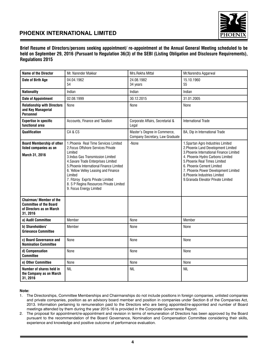

**Brief Resume of Directors/persons seeking appointment/ re-appointment at the Annual General Meeting scheduled to be held on September 29, 2016 (Pursuant to Regulation 36(3) of the SEBI (Listing Obligation and Disclosure Requirements), Regulations 2015**

| <b>Name of the Director</b>                                                                     | Mr. Narender Makkar                                                                                                                                                                                                                                                                                                                                                           | Mrs.Rekha Mittal                                                | Mr.Narendra Aggarwal                                                                                                                                                                                                                                                                                                                    |
|-------------------------------------------------------------------------------------------------|-------------------------------------------------------------------------------------------------------------------------------------------------------------------------------------------------------------------------------------------------------------------------------------------------------------------------------------------------------------------------------|-----------------------------------------------------------------|-----------------------------------------------------------------------------------------------------------------------------------------------------------------------------------------------------------------------------------------------------------------------------------------------------------------------------------------|
| Date of Birth Age                                                                               | 04.04.1962<br>54                                                                                                                                                                                                                                                                                                                                                              | 24.08.1982<br>34 years                                          | 15.10.1960<br>55                                                                                                                                                                                                                                                                                                                        |
| <b>Nationality</b>                                                                              | Indian                                                                                                                                                                                                                                                                                                                                                                        | Indian                                                          | Indian                                                                                                                                                                                                                                                                                                                                  |
| <b>Date of Appointment</b>                                                                      | 02.08.1999                                                                                                                                                                                                                                                                                                                                                                    | 30.12.2015                                                      | 31.01.2005                                                                                                                                                                                                                                                                                                                              |
| <b>Relationship with Directors</b><br>and Key Managerial<br><b>Personnel</b>                    | None                                                                                                                                                                                                                                                                                                                                                                          | None                                                            | None                                                                                                                                                                                                                                                                                                                                    |
| <b>Expertise in specific</b><br>functional area                                                 | Accounts, Finance and Taxation                                                                                                                                                                                                                                                                                                                                                | Corporate Affairs, Secretarial &<br>Legal                       | International Trade                                                                                                                                                                                                                                                                                                                     |
| Qualification                                                                                   | CA&CS                                                                                                                                                                                                                                                                                                                                                                         | Master's Degree in Commerce,<br>Company Secretary, Law Graduate | BA, Dip in International Trade                                                                                                                                                                                                                                                                                                          |
| <b>Board Membership of other</b><br>listed companies as on<br>March 31, 2016                    | 1. Phoenix Real Time Services Limited<br>2. Focus Offshore Services Private<br>I imited<br>3. Indus Gas Transmission Limited<br>4. Savare Trade Enterprises Limited<br>5. Phoenix International Finance Limited<br>6. Yellow Velley Leasing and Finance<br>Limited<br>7. Fitzroy Exprts Private Limited<br>8. S P Regina Resources Private Limited<br>9. Focus Energy Limited | -None                                                           | 1. Spartan Agro Industries Limited<br>2. Phoenix Land Development Limited<br>3. Phoenix International Finance Limited<br>4. Phoenix Hydro Carbons Limited<br>5. Phoenix Real Times Limited<br>6. Phoenix Cement Limited<br>7. Phoenix Power Development Limited<br>8. Phoenix Industries Limited<br>9. Granada Elevator Private Limited |
| Chairman/Member of the<br><b>Committee of the Board</b><br>of Directors as on March<br>31, 2016 |                                                                                                                                                                                                                                                                                                                                                                               |                                                                 |                                                                                                                                                                                                                                                                                                                                         |
| a) Audit Committee                                                                              | Member                                                                                                                                                                                                                                                                                                                                                                        | None                                                            | Member                                                                                                                                                                                                                                                                                                                                  |
| b) Shareholders'<br><b>Grievance Committee</b>                                                  | Member                                                                                                                                                                                                                                                                                                                                                                        | None                                                            | None                                                                                                                                                                                                                                                                                                                                    |
| c) Board Governance and<br><b>Nomination Committee</b>                                          | None                                                                                                                                                                                                                                                                                                                                                                          | None                                                            | None                                                                                                                                                                                                                                                                                                                                    |
| d) Compensation<br><b>Committee</b>                                                             | None                                                                                                                                                                                                                                                                                                                                                                          | None                                                            | None                                                                                                                                                                                                                                                                                                                                    |
| e) Other Committee                                                                              | None                                                                                                                                                                                                                                                                                                                                                                          | None                                                            | None                                                                                                                                                                                                                                                                                                                                    |
| Number of shares held in<br>the Company as on March<br>31, 2016                                 | <b>NIL</b>                                                                                                                                                                                                                                                                                                                                                                    | <b>NIL</b>                                                      | <b>NIL</b>                                                                                                                                                                                                                                                                                                                              |

### **Note:**

1. The Directorships, Committee Memberships and Chairmanships do not include positions in foreign companies, unlisted companies and private companies, position as an advisory board member and position in companies under Section 8 of the Companies Act, 2013. Information pertaining to remuneration paid to the Directors who are being appointed/re-appointed and number of Board meetings attended by them during the year 2015-16 is provided in the Corporate Governance Report.

2. The proposal for appointment/re-appointment and revision in terms of remuneration of Directors has been approved by the Board pursuant to the recommendation of the Board Governance, Nomination and Compensation Committee considering their skills, experience and knowledge and positive outcome of performance evaluation.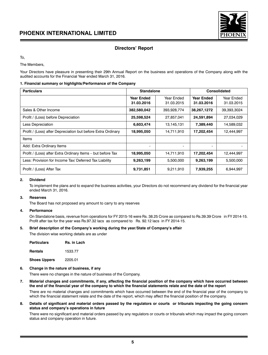

### **Directors' Report**

To,

The Members,

Your Directors have pleasure in presenting their 29th Annual Report on the business and operations of the Company along with the audited accounts for the Financial Year ended March 31, 2016.

### **1. Financial summary or highlights/Performance of the Company**

| <b>Particulars</b>                                           | <b>Standalone</b>               |                          | Consolidated                    |                          |
|--------------------------------------------------------------|---------------------------------|--------------------------|---------------------------------|--------------------------|
|                                                              | <b>Year Ended</b><br>31.03.2016 | Year Ended<br>31.03.2015 | <b>Year Ended</b><br>31.03.2016 | Year Ended<br>31.03.2015 |
| Sales & Other Income                                         | 382,580,042                     | 393.928.774              | 38,267,1272                     | 39.393.3024              |
| Profit / (Loss) before Depreciation                          | 25,598,524                      | 27,857,041               | 24,591,894                      | 27,034,029               |
| <b>Less Depreciation</b>                                     | 6,603,474                       | 13,145,131               | 7,389,440                       | 14,589,032               |
| Profit / (Loss) after Depreciation but before Extra Ordinary | 18,995,050                      | 14,711,910               | 17,202,454                      | 12,444,997               |
| Items                                                        |                                 |                          |                                 |                          |
| Add: Extra Ordinary Items                                    | -                               | $\overline{\phantom{a}}$ | $\overline{\phantom{a}}$        |                          |
| Profit / (Loss) after Extra Ordinary Items - but before Tax  | 18,995,050                      | 14,711,910               | 17,202,454                      | 12,444,997               |
| Less: Provision for Income Tax/ Deferred Tax Liability       | 9,263,199                       | 5.500.000                | 9,263,199                       | 5,500,000                |
| Profit / (Loss) After Tax                                    | 9,731,851                       | 9,211,910                | 7,939,255                       | 6,944,997                |

### **2. Dividend**

To implement the plans and to expand the business activities, your Directors do not recommend any dividend for the financial year ended March 31, 2016.

### **3. Reserves**

The Board has not proposed any amount to carry to any reserves

### **4. Performance**

On Standalone basis, revenue from operations for FY 2015-16 were Rs. 38.25 Crore as compared to Rs.39.39 Crore in FY 2014-15. Profit after tax for the year was Rs.97.32 lacs as compared to Rs. 92.12 lacs in FY 2014-15.

### **5. Brief description of the Company's working during the year/State of Company's affair**

The division wise working details are as under

| <b>Particulars</b>  | Rs. in Lach |
|---------------------|-------------|
| <b>Rentals</b>      | 1533.77     |
| <b>Shoes Uppers</b> | 2205.01     |

### **6. Change in the nature of business, if any**

There were no changes in the nature of business of the Company.

**7. Material changes and commitments, if any, affecting the financial position of the company which have occurred between the end of the financial year of the company to which the financial statements relate and the date of the report**

There are no material changes and commitments which have occurred between the end of the financial year of the company to which the financial statement relate and the date of the report, which may affect the financial position of the company.

**8. Details of significant and material orders passed by the regulators or courts or tribunals impacting the going concern status and company's operations in future**

There were no significant and material orders passed by any regulators or courts or tribunals which may impact the going concern status and company operation in future.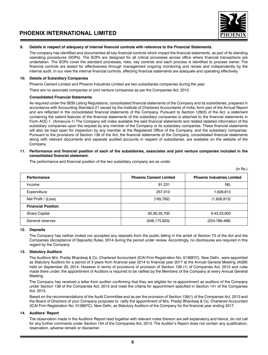

### **9. Details in respect of adequacy of internal financial controls with reference to the Financial Statements.**

The company has identified and documented all key financial controls which impact the financial statements, as part of its standing operating procedures (SOPs). The SOPs are designed for all critical processes across office where financial transactions are undertaken. The SOPs cover the standard processes, risks, key controls and each process is identified to process owner. The financial controls are tested for effectiveness through management ongoing monitoring and review and independently by the internal audit. In our view the internal financial controls, effecting financial statements are adequate and operating effectively.

### **10. Details of Subsidiary Companies**

Phoenix Cement Limited and Phoenix Industries Limited are two subsidiaries companies during the year.

There are no associate companies or joint venture companies as per the Companies Act, 2013.

### **Consolidated Financial Statements**

As required under the SEBI Listing Regulations, consolidated financial statements of the Company and its subsidiaries, prepared in accordance with Accounting Standard 21 issued by the Institute of Chartered Accountants of India, form part of the Annual Report and are reflected in the consolidated financial statements of the Company. Pursuant to Section 129(3) of the Act, a statement containing the salient features of the financial statements of the subsidiary companies is attached to the financial statements in Form AOC-1. (Annexure-1) The Company will make available the said financial statements and related detailed information of the subsidiary companies upon the request by any member of the Company or its subsidiary companies. These financial statements will also be kept open for inspection by any member at the Registered Office of the Company. and the subsidiary companies. Pursuant to the provisions of Section 136 of the Act, the financial statements of the Company, consolidated financial statements along with relevant documents and separate audited accounts in respect of subsidiaries, are available on the website of the Company.

### **11. Performance and financial position of each of the subsidiaries, associates and joint venture companies included in the consolidated financial statement.**

The performance and financial position of the two subsidiary company are as under.

|                           |                               | (in Rs.)                          |
|---------------------------|-------------------------------|-----------------------------------|
| Performance               | <b>Phoenix Cement Limited</b> | <b>Phoenix Industries Limited</b> |
| Income                    | 91,231                        | <b>NIL</b>                        |
| Expenditure               | 257,013                       | 1,626,813                         |
| Net Profit / (Loss)       | (165, 782)                    | (1,626,813)                       |
| <b>Financial Position</b> |                               |                                   |
| <b>Share Capital</b>      | 82,95,35,700                  | 9,43,23,000                       |
| General reserves          | (556, 175, 823)               | (224, 789, 499)                   |

### **12. Deposits**

The Company has neither invited nor accepted any deposits from the public falling in the ambit of Section 73 of the Act and the Companies (Acceptance of Deposits) Rules, 2014 during the period under review. Accordingly, no disclosures are required in this regard by the Company.

### **13. Statutory Auditors**

The Auditors M/s. Pradip Bhardwaj & Co, Chartered Accountant (ICAI Firm Registration No. 013697C), New Delhi, were appointed as Statutory Auditors for a period of 3 years from financial year 2014 to financial year 2017 at the Annual General Meeting (AGM) held on September 30, 2014. However in terms of provisions of provision of Section 139 (1) of Companies Act, 2013 and rules made there under, the appointment of Auditors is required to be ratified by the Members of the Company at every Annual General Meeting.

The Company has received a letter from auditor confirming that they are eligible for re-appointment as auditors of the Company under Section 139 of the Companies Act, 2013 and meet the criteria for appointment specified in Section 141 of the Companies Act, 2013.

Based on the recommendations of the Audit Committee and as per the provision of Section 139(1) of the Companies Act, 2013 and the Board of Directors of your Company proposes to ratify the appointment of M/s. Pradip Bhardwaj & Co, Chartered Accountant (ICAI Firm Registration No. 013697C), New Delhi, as Statutory Auditors of the Company for the financial year ending 2017.

### **14. Auditors' Report**

The observation made in the Auditors' Report read together with relevant notes thereon are self explanatory and hence, do not call for any further comments under Section 134 of the Companies Act, 2013. The Auditor's Report does not contain any qualification, reservation, adverse remark or disclaimer.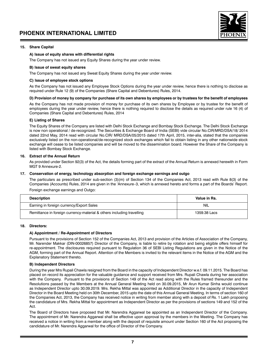

### **15. Share Capital**

### **A) Issue of equity shares with differential rights**

The Company has not issued any Equity Shares during the year under review.

### **B) Issue of sweat equity shares**

The Company has not issued any Sweat Equity Shares during the year under review.

### **C) Issue of employee stock options**

As the Company has not issued any Employee Stock Options during the year under review, hence there is nothing to disclose as required under Rule 12 (9) of the Companies (Share Capital and Debentures) Rules, 2014.

### **D) Provision of money by company for purchase of its own shares by employees or by trustees for the benefit of employees**

As the Company has not made provision of money for purchase of its own shares by Employee or by trustee for the benefit of employees during the year under review, hence there is nothing required to disclose the details as required under rule 16 (4) of Companies (Share Capital and Debentures) Rules, 2014

### **E) Listing of Shares**

The Equity Shares of the Company are listed with Delhi Stock Exchange and Bombay Stock Exchange. The Delhi Stock Exchange is now non operational / de-recognized. The Securities & Exchange Board of India (SEBI) vide circular No.CIR/MRD/DSA/18/ 2014 dated 22nd May, 2014 read with circular No.CIR/ MRD/DSA/05/2015 dated 17th April, 2015, inter-alia, stated that the companies exclusively listed on the non-operational/de-recognized stock exchanges which fail to obtain listing in any other nationwide stock exchange will cease to be listed companies and will be moved to the dissemination board. However the Share of the Company is listed with Bombay Stock Exchange.

### **16. Extract of the Annual Return**

As provided under Section 92(3) of the Act, the details forming part of the extract of the Annual Return is annexed herewith in Form MGT 9 Annexure-2.

### **17. Conservation of energy, technology absorption and foreign exchange earnings and outgo**

The particulars as prescribed under sub-section (3)(m) of Section 134 of the Companies Act, 2013 read with Rule 8(3) of the Companies (Accounts) Rules, 2014 are given in the 'Annexure–3, which is annexed hereto and forms a part of the Boards' Report.

Foreign exchange earnings and Outgo:

| <b>Description</b>                                                    | Value in Rs. |
|-----------------------------------------------------------------------|--------------|
| Earning in foreign currency/Export Sales                              | <b>NIL</b>   |
| Remittance in foreign currency-material & others including travelling | 1359.38 Lacs |

### **18. Directors:**

### **A) Appointment / Re-Appointment of Directors**

Pursuant to the provisions of Section 152 of the Companies Act, 2013 and provision of the Articles of Association of the Company, Mr. Narender Makkar (DIN-00026857) Director of the Company, is liable to retire by rotation and being eligible offers himself for re-appointment. The disclosures required pursuant to Regulation 36 of SEBI Listing Regulations are given in the Notice of the AGM, forming part of the Annual Report. Attention of the Members is invited to the relevant items in the Notice of the AGM and the Explanatory Statement thereto.

### **B) Independent Directors**

During the year Mrs Rupali Chawla resigned from the Board in the capacity of Independent Director w.e.f. 09.11.2015. The Board has placed on record its appreciation for the valuable guidance and support received from Mrs. Rupali Chawla during her association with the Company. Pursuant to the provisions of Section 149 of the Act read along with the Rules framed thereunder and the Resolutions passed by the Members at the Annual General Meeting held on 30.09.2015, Mr Arun Kumar Sinha would continue as Independent Director upto 30.09.2019. Mrs. Rekha Mittal was appointed as Additional Director in the capacity of Independent Director in the Board Meeting held on 30th December, 2015 upto the date of this Annual General Meeting. In terms of section 160 of the Companies Act, 2013, the Company has received notice in writing from member along with a deposit of Rs. 1 Lakh proposing the candidature of Mrs. Rekha Mittal for appointment as Independent Director as per the provisions of sections 149 and 152 of the Act.

The Board of Directors have proposed that Mr. Narendra Aggarwal be appointed as an Independent Director of the Company. The appointment of Mr. Narendra Aggarwal shall be effective upon approval by the members in the Meeting. The Company has received a notice in writing from a member along with the deposit of requisite amount under Section 160 of the Act proposing the candidature of Mr. Narendra Aggarwal for the office of Director of the Company.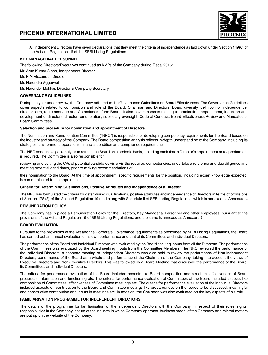

All Independent Directors have given declarations that they meet the criteria of independence as laid down under Section 149(6) of the Act and Regulation 16 of the SEBI Listing Regulations.

### **KEY MANAGERIAL PERSONNEL**

The following Directors/Executives continued as KMPs of the Company during Fiscal 2016:

Mr. Arun Kumar Sinha, Independent Director

Mr. P M Alexander, Director

Mr. Narendra Aggarwal

Mr. Narender Makkar, Director & Company Secretary

### **GOVERNANCE GUIDELINES**

During the year under review, the Company adhered to the Governance Guidelines on Board Effectiveness. The Governance Guidelines cover aspects related to composition and role of the Board, Chairman and Directors, Board diversity, definition of independence, director term, retirement age and Committees of the Board. It also covers aspects relating to nomination, appointment, induction and development of directors, director remuneration, subsidiary oversight, Code of Conduct, Board Effectiveness Review and Mandates of Board Committees.

### **Selection and procedure for nomination and appointment of Directors**

The Nomination and Remuneration Committee ("NRC") is responsible for developing competency requirements for the Board based on the industry and strategy of the Company. The Board composition analysis reflects in-depth understanding of the Company, including its strategies, environment, operations, financial condition and compliance requirements.

The NRC conducts a gap analysis to refresh the Board on a periodic basis, including each time a Director's appointment or reappointment is required. The Committee is also responsible for

reviewing and vetting the CVs of potential candidates vis-à-vis the required competencies, undertake a reference and due diligence and meeting potential candidates, prior to making recommendations of

their nomination to the Board. At the time of appointment, specific requirements for the position, including expert knowledge expected, is communicated to the appointee.

### **Criteria for Determining Qualifications, Positive Attributes and Independence of a Director**

The NRC has formulated the criteria for determining qualifications, positive attributes and independence of Directors in terms of provisions of Section 178 (3) of the Act and Regulation 19 read along with Schedule II of SEBI Listing Regulations, which is annexed as Annexure-4

### **REMUNERATION POLICY**

The Company has in place a Remuneration Policy for the Directors, Key Managerial Personnel and other employees, pursuant to the provisions of the Act and Regulation 19 of SEBI Listing Regulations, and the same is annexed as Annexure-7

### **BOARD EVALUATION**

Pursuant to the provisions of the Act and the Corporate Governance requirements as prescribed by SEBI Listing Regulations, the Board has carried out an annual evaluation of its own performance and that of its Committees and individual Directors.

The performance of the Board and individual Directors was evaluated by the Board seeking inputs from all the Directors. The performance of the Committees was evaluated by the Board seeking inputs from the Committee Members. The NRC reviewed the performance of the individual Directors, a separate meeting of Independent Directors was also held to review the performance of Non-Independent Directors, performance of the Board as a whole and performance of the Chairman of the Company, taking into account the views of Executive Directors and Non-Executive Directors. This was followed by a Board Meeting that discussed the performance of the Board, its Committees and individual Directors.

The criteria for performance evaluation of the Board included aspects like Board composition and structure, effectiveness of Board processes, information and functioning etc. The criteria for performance evaluation of Committees of the Board included aspects like composition of Committees, effectiveness of Committee meetings etc. The criteria for performance evaluation of the individual Directors included aspects on contribution to the Board and Committee meetings like preparedness on the issues to be discussed, meaningful and constructive contribution and inputs in meetings etc. In addition, the Chairman was also evaluated on the key aspects of his role.

### **FAMILIARISATION PROGRAMME FOR INDEPENDENT DIRECTORS**

The details of the programme for familiarisation of the Independent Directors with the Company in respect of their roles, rights, responsibilities in the Company, nature of the industry in which Company operates, business model of the Company and related matters are put up on the website of the Company.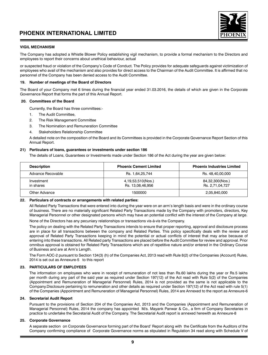

### **VIGIL MECHANISM**

The Company has adopted a Whistle Blower Policy establishing vigil mechanism, to provide a formal mechanism to the Directors and employees to report their concerns about unethical behaviour, actual

or suspected fraud or violation of the Company's Code of Conduct. The Policy provides for adequate safeguards against victimization of employees who avail of the mechanism and also provides for direct access to the Chairman of the Audit Committee. It is affirmed that no personnel of the Company has been denied access to the Audit Committee.

### **19. Number of meetings of the Board of Directors**

The Board of your Company met 6 times during the financial year ended 31.03.2016, the details of which are given in the Corporate Governance Report that forms the part of this Annual Report.

### **20. Committees of the Board**

Currently, the Board has three committees:-

- 1. The Audit Committee,
- 2. The Risk Management Committee
- 3. The Nomination and Remuneration Committee
- 4. Stakeholders Relationship Committee

A detailed note on the composition of the Board and its Committees is provided in the Corporate Governance Report Section of this Annual Report.

### **21) Particulars of loans, guarantees or investments under section 186**

The details of Loans, Guarantees or Investments made under Section 186 of the Act during the year are given below:

| <b>Description</b>      | <b>Phoenix Cement Limited</b>         | <b>Phoenix Industries Limited</b>  |
|-------------------------|---------------------------------------|------------------------------------|
| Advance Recovable       | Rs. 1,64,25,744                       | Rs. 48,40,00,000                   |
| Investment<br>in shares | 4,19,53,510(Nos.)<br>Rs. 13,08,46,956 | 84,32,300(Nos.)<br>Rs. 2,71,04,727 |
| Other Advance           | 1500000                               | 2,05,840,000                       |

### **22. Particulars of contracts or arrangements with related parties:**

All Related Party Transactions that were entered into during the year were on an arm's length basis and were in the ordinary course of business. There are no materially significant Related Party Transactions made by the Company with promoters, directors, Key Managerial Personnel or other designated persons which may have an potential conflict with the interest of the Company at large.

None of the Directors has any pecuniary relationships or transactions vis-à-vis the Company.

The policy on dealing with the Related Party Transactions intends to ensure that proper reporting, approval and disclosure process are in place for all transactions between the company and Related Parties. This policy specifically deals with the review and approval of Related Party Transactions keeping in mind the potential or actual conflicts of interest that may arise because of entering into these transactions. All Related party Transactions are placed before the Audit Committee for review and approval. Prior omnibus approval is obtained for Related Party Transactions which are of repetitive nature and/or entered in the Ordinary Course of Business and are at Arm's Length.

The Form AOC-2 pursuant to Section 134(3) (h) of the Companies Act, 2013 read with Rule 8(2) of the Companies (Account) Rules, 2014 is set out as Annexure-5 to this report

### **23. PARTICULARS OF EMPLOYEES**

The information on employees who were in receipt of remuneration of not less than Rs.60 lakhs during the year or Rs.5 lakhs per month during any part of the said year as required under Section 197(12) of the Act read with Rule 5(2) of the Companies (Appointment and Remuneration of Managerial Personnel) Rules, 2014 is not provided as the same is not applicable to the Company.Disclosure pertaining to remuneration and other details as required under Section 197(12) of the Act read with rule 5(1) of the Companies (Appointment and Remuneration of Managerial Personnel) Rules, 2014 are Annexed to the report as Annexure-6

### **24. Secretarial Audit Report**

Pursuant to the provisions of Section 204 of the Companies Act, 2013 and the Companies (Appointment and Remuneration of Managerial Personnel) Rules, 2014 the company has appointed M/s. Mayank Panwar & Co., a firm of Company Secretaries in practice to undertake the Secretarial Audit of the Company. The Secretarial Audit report is annexed herewith as Annexure-8

### **25. Corporate Governance**

A separate section on Corporate Governance forming part of the Board' Report along with the Certificate from the Auditors of the Company confirming compliance of Corporate Governance norms as stipulated in Regulation 34 read along with Schedule V of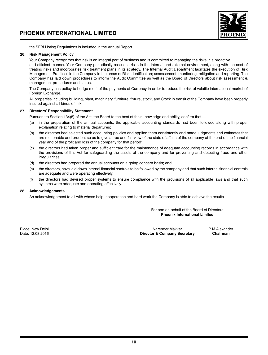

the SEBI Listing Regulations is included in the Annual Report..

### **26. Risk Management Policy**

Your Company recognizes that risk is an integral part of business and is committed to managing the risks in a proactive and efficient manner. Your Company periodically assesses risks in the internal and external environment, along with the cost of treating risks and incorporates risk treatment plans in its strategy. The Internal Audit Department facilitates the execution of Risk Management Practices in the Company in the areas of Risk identification; assessement, monitoring, mitigation and reporting. The Company has laid down procedures to inform the Audit Committee as well as the Board of Directors about risk assessment & management procedures and status.

The Company has policy to hedge most of the payments of Currency in order to reduce the risk of volatile international market of Foreign Exchange.

All properties including building, plant, machinery, furniture, fixture, stock, and Stock in transit of the Company have been properly insured against all kinds of risk.

### **27. Directors' Responsibility Statement**

Pursuant to Section 134(5) of the Act, the Board to the best of their knowledge and ability, confirm that:—

- (a) in the preparation of the annual accounts, the applicable accounting standards had been followed along with proper explanation relating to material departures;
- (b) the directors had selected such accounting policies and applied them consistently and made judgments and estimates that are reasonable and prudent so as to give a true and fair view of the state of affairs of the company at the end of the financial year and of the profit and loss of the company for that period;
- (c) the directors had taken proper and sufficient care for the maintenance of adequate accounting records in accordance with the provisions of this Act for safeguarding the assets of the company and for preventing and detecting fraud and other irregularities;
- (d) the directors had prepared the annual accounts on a going concern basis; and
- (e) the directors, have laid down internal financial controls to be followed by the company and that such internal financial controls are adequate and were operating effectively.
- (f) the directors had devised proper systems to ensure compliance with the provisions of all applicable laws and that such systems were adequate and operating effectively.

### **28. Acknowledgements**

An acknowledgement to all with whose help, cooperation and hard work the Company is able to achieve the results.

For and on behalf of the Board of Directors **Phoenix International Limited**

Place: New Delhi Narender Makkar P M Alexander Makkar P M Alexander Makkar P M Alexander Date: 12.08.2016 **Director & Company Secretary Chairman**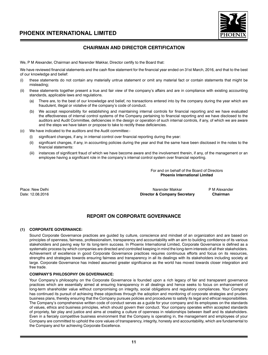

### **CHAIRMAN AND DIRECTOR CERTIFICATION**

We, P M Alexander, Chairman and Narender Makkar, Director certify to the Board that:

We have reviewed financial statements and the cash flow statement for the financial year ended on 31st March, 2016, and that to the best of our knowledge and belief:

- these statements do not contain any materially untrue statement or omit any material fact or contain statements that might be misleading;
- (ii) these statements together present a true and fair view of the company's affairs and are in compliance with existing accounting standards, applicable laws and regulations.
	- (a) There are, to the best of our knowledge and belief, no transactions entered into by the company during the year which are fraudulent, illegal or violative of the company's code of conduct.
	- (b) We accept responsibility for establishing and maintaining internal controls for financial reporting and we have evaluated the effectiveness of internal control systems of the Company pertaining to financial reporting and we have disclosed to the auditors and Audit Committee, deficiencies in the design or operation of such internal controls, if any, of which we are aware and the steps we have taken or propose to take to rectify these deficiencies.
- (c) We have indicated to the auditors and the Audit committee:
	- significant changes, if any, in internal control over financial reporting during the year:
	- (ii) significant changes, if any, in accounting policies during the year and that the same have been disclosed in the notes to the financial statements:
	- (iii) instances of significant fraud of which we have become aware and the involvement therein, if any, of the management or an employee having a significant role in the company's internal control system over financial reporting.

For and on behalf of the Board of Directors **Phoenix International Limited**

Place: New Delhi **Place: New Delhi Narender Makkar** PM Alexander Makkar PM Alexander PM Alexander PM Alexander<br>Director & Company Secretary Chairman **Director & Company Secretary** 

### **REPORT ON CORPORATE GOVERNANCE**

### **(1) CORPORATE GOVERNANCE:**

Sound Corporate Governance practices are guided by culture, conscience and mindset of an organization and are based on principles of openness, fairness, professionalism, transparency and accountability with an aim to building confidence of its various stakeholders and paving way for its long-term success. In Phoenix International Limited, Corporate Governance is defined as a systematic process by which companies are directed and controlled keeping in mind the long-term interests of all their stakeholders. Achievement of excellence in good Corporate Governance practices requires continuous efforts and focus on its resources, strengths and strategies towards ensuring fairness and transparency in all its dealings with its stakeholders including society at large. Corporate Governance has indeed assumed greater significance as the world has moved towards closer integration and free trade.

### **COMPANY'S PHILOSOPHY ON GOVERNANCE:**

Your Company's philosophy on the Corporate Governance is founded upon a rich legacy of fair and transparent governance practices which are essentially aimed at ensuring transparency in all dealings and hence seeks to focus on enhancement of long-term shareholder value without compromising on integrity, social obligations and regulatory compliances. Your Company has continued its pursuit of achieving these objectives through the adoption and monitoring of corporate strategies and prudent business plans, thereby ensuring that the Company pursues policies and procedures to satisfy its legal and ethical responsibilities. The Company's comprehensive written code of conduct serves as a guide for your company and its employees on the standards of values, ethics and business principles, which should govern their conduct. Your company operates within accepted standards of propriety, fair play and justice and aims at creating a culture of openness in relationships between itself and its stakeholders. Even in a fiercely competitive business environment that the Company is operating in, the management and employees of your Company are committed to uphold the core values of transparency, integrity, honesty and accountability, which are fundamental to the Company and for achieving Corporate Excellence.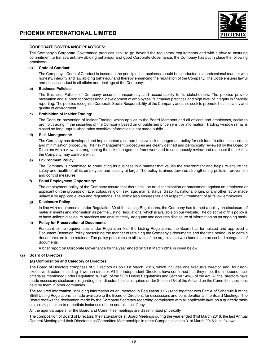

### **CORPORATE GOVERNANCE PRACTICES:**

The Company's Corporate Governance practices seek to go beyond the regulatory requirements and with a view to ensuring commitment to transparent, law abiding behaviour and good Corporate Governance, the Company has put in place the following practices:-

### **a) Code of Conduct:**

The Company's Code of Conduct is based on the principle that business should be conducted in a professional manner with honesty, integrity and law abiding behaviour and thereby enhancing the reputation of the Company. The Code ensures lawful and ethical conduct in all affairs and dealings of the Company.

### **b) Business Policies:**

The Business Policies of Company ensures transparency and accountability to its stakeholders. The policies provide motivation and support for professional development of employees, fair market practices and high level of integrity in financial reporting. The policies recognize Corporate Social Responsibility of the Company and also seek to promote health, safety and quality of environment.

### **c) Prohibition of Insider Trading:**

The Code on prevention of Insider Trading, which applies to the Board Members and all officers and employees, seeks to prohibit trading in the securities of the Company based on unpublished price sensitive information. Trading window remains closed so long unpublished price sensitive information is not made public.

### **d) Risk Management:**

The Company has developed and implemented a comprehensive risk management policy for risk identification, assessment and minimization procedure. The risk management procedures are clearly defined and periodically reviewed by the Board of Directors with a view to strengthening the risk management framework and to continuously review and reassess the risk that the Company may confront with.

### **e) Environment Policy:**

The Company is committed to conducting its business in a manner that values the environment and helps to ensure the safety and health of all its employees and society at large. The policy is aimed towards strengthening pollution prevention and control measures.

### **f) Equal Employment Opportunity:**

The employment policy of the Company assure that there shall be no discrimination or harassment against an employee or applicant on the grounds of race, colour, religion, sex, age, marital status, disability, national origin, or any other factor made unlawful by applicable laws and regulations. The policy also ensures fair and respectful treatment of all fellow employees.

### **g) Disclosure Policy**

In line with requirements under Regulation 30 of the Listing Regulations, the Company has framed a policy on disclosure of material events and information as per the Listing Regulations, which is available on our website. The objective of this policy is to have uniform disclosure practices and ensure timely, adequate and accurate disclosure of information on an ongoing basis.

### **h) Policy for Preservation of Documents**

Pursuant to the requirements under Regulation 9 of the Listing Regulations, the Board has formulated and approved a Document Retention Policy prescribing the manner of retaining the Company's documents and the time period up to certain documents are to be retained. The policy percolates to all levels of the organization who handle the prescribed categories of documents.

A brief report on Corporate Governance for the year ended on 31st March 2016 is given below:

### **(2) Board of Directors**

### **(A) Composition and Category of Directors**

The Board of Directors comprises of 5 Directors as on 31st March, 2016, which includes one executive director, and four nonexecutive directors including 1 woman director. All the Independent Directors have confirmed that they meet the 'independence' criteria as mentioned under Regulation 16(1)(b) of the SEBI Listing Regulations and Section 149(6) of the Act. All the Directors have made necessary disclosures regarding their directorships as required under Section 184 of the Act and on the Committee positions held by them in other companies.

The required information, including information as enumerated in Regulation 17(7) read together with Part A of Schedule II of the SEBI Listing Regulations is made available to the Board of Directors, for discussions and consideration at the Board Meetings. The Board reviews the declaration made by the Company Secretary regarding compliance with all applicable laws on a quarterly basis as also steps taken to remediate instances of non-compliance, if any.

All the agenda papers for the Board and Committee meetings are disseminated physically.

The composition of Board of Directors, their attendance at Board Meetings during the year ended 31st March 2016, the last Annual General Meeting and their Directorships/Committee Memberships in other Companies as on 31st March 2016 is as follows: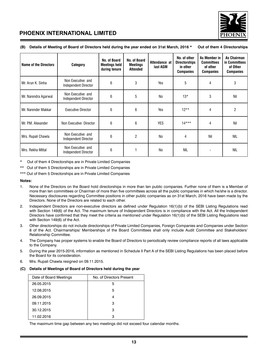

| <b>Name of the Directors</b> | Category                                  | No. of Board<br><b>Meetings held</b><br>during tenure | No. of Board<br>Meetings<br><b>Attended</b> | Attendance at<br>last AGM | No. of other<br><b>Directorships</b><br>in other<br><b>Companies</b> | As Member in<br><b>Committees</b><br>of other<br><b>Companies</b> | <b>As Chairman</b><br>in Committees<br>of Other<br><b>Companies</b> |
|------------------------------|-------------------------------------------|-------------------------------------------------------|---------------------------------------------|---------------------------|----------------------------------------------------------------------|-------------------------------------------------------------------|---------------------------------------------------------------------|
| Mr. Arun K. Sinha            | Non Executive and<br>Independent Director | 6                                                     | 3                                           | Yes                       | 5                                                                    | 4                                                                 | 3                                                                   |
| Mr. Narendra Agarwal         | Non Executive and<br>Independent Director | 6                                                     | 5                                           | N <sub>0</sub>            | $13*$                                                                | 3                                                                 | Nil                                                                 |
| Mr. Narender Makkar          | <b>Executive Director</b>                 | 6                                                     | 6                                           | Yes                       | $12**$                                                               | 4                                                                 | 2                                                                   |
| Mr. P.M. Alexander           | Non Executive Director                    | 6                                                     | 6                                           | <b>YES</b>                | $14***$                                                              | 4                                                                 | Nil                                                                 |
| Mrs. Rupali Chawla           | Non Executive and<br>Independent Director | 6                                                     | $\overline{c}$                              | N <sub>0</sub>            | 4                                                                    | Nil                                                               | <b>NIL</b>                                                          |
| Mrs. Rekha Mittal            | Non Executive and<br>Independent Director | 6                                                     |                                             | No                        | NIL                                                                  | $\blacksquare$                                                    | <b>NIL</b>                                                          |

### **(B) Details of Meeting of Board of Directors held during the year ended on 31st March, 2016 \* Out of them 4 Directorships**

Out of them 4 Directorships are in Private Limited Companies

\*\* Out of them 5 Directorships are in Private Limited Companies

\*\*\* Out of them 5 Directorships are in Private Limited Companies

### **Notes:**

- 1. None of the Directors on the Board hold directorships in more than ten public companies. Further none of them is a Member of more than ten committees or Chairman of more than five committees across all the public companies in which he/she is a director. Necessary disclosures regarding Committee positions in other public companies as on 31st March, 2016 have been made by the Directors. None of the Directors are related to each other.
- 2. Independent Directors are non-executive directors as defined under Regulation 16(1)(b) of the SEBI Listing Regulations read with Section 149(6) of the Act. The maximum tenure of Independent Directors is in compliance with the Act. All the Independent Directors have confirmed that they meet the criteria as mentioned under Regulation 16(1)(b) of the SEBI Listing Regulations read with Section 149(6) of the Act.
- 3. Other directorships do not include directorships of Private Limited Companies, Foreign Companies and Companies under Section 8 of the Act. Chairmanships/ Memberships of the Board Committees shall only include Audit Committee and Stakeholders' Relationship Committee.
- 4. The Company has proper systems to enable the Board of Directors to periodically review compliance reports of all laws applicable to the Company.
- 5. During the year 2015-2016, information as mentioned in Schedule II Part A of the SEBI Listing Regulations has been placed before the Board for its consideration.
- 6. Mrs. Rupali Chawla resigned on 09.11.2015.

### **(C) Details of Meetings of Board of Directors held during the year**

| Date of Board Meetings | No. of Directors Present |
|------------------------|--------------------------|
| 26.05.2015             | 5                        |
| 12.08.2015             | 5                        |
| 26.09.2015             | Δ                        |
| 09.11.2015             | 3                        |
| 30.12.2015             | з                        |
| 11.02.2016             | з                        |

The maximum time gap between any two meetings did not exceed four calendar months.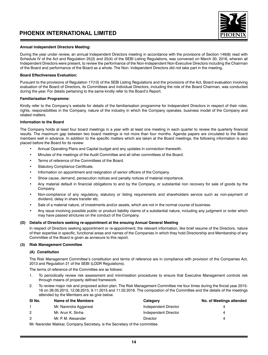

### **Annual Independent Directors Meeting:**

During the year under review, an annual Independent Directors meeting in accordance with the provisions of Section 149(8) read with Schedule IV of the Act and Regulation 25(3) and 25(4) of the SEBI Listing Regulations, was convened on March 30, 2016, wherein all Independent Directors were present, to review the performance of the Non-Independent Non-Executive Directors including the Chairman of the Board and performance of the Board as a whole. The Non- Independent Directors did not take part in the meeting.

#### **Board Effectiveness Evaluation:**

Pursuant to the provisions of Regulation 17(10) of the SEBI Listing Regulations and the provisions of the Act, Board evaluation involving evaluation of the Board of Directors, its Committees and individual Directors, including the role of the Board Chairman, was conducted during the year. For details pertaining to the same kindly refer to the Board's Report.

#### **Familiarisation Programme:**

Kindly refer to the Company's website for details of the familiarisation programme for Independent Directors in respect of their roles, rights, responsibilities in the Company, nature of the industry in which the Company operates, business model of the Company and related matters.

### **Information to the Board**

The Company holds at least four board meetings in a year with at least one meeting in each quarter to review the quarterly financial results. The maximum gap between two board meetings is not more than four months. Agenda papers are circulated to the Board members well in advance. In addition to the specific matters which are taken at the Board meetings, the following information is also placed before the Board for its review:

- Annual Operating Plans and Capital budget and any updates in connection therewith.
- Minutes of the meetings of the Audit Committee and all other committees of the Board.
- Terms of reference of the Committees of the Board.
- Statutory Compliance Certificate.
- Information on appointment and resignation of senior officers of the Company.
- Show cause, demand, persecution notices and penalty notices of material importance.
- Any material default in financial obligations to and by the Company, or substantial non recovery for sale of goods by the Company.
- Non-compliance of any regulatory, statutory or listing requirements and shareholders service such as non-payment of dividend, delay in share transfer etc.
- Sale of a material nature, of investments and/or assets, which are not in the normal course of business.
- Any issue involving possible public or product liability claims of a substantial nature, including any judgment or order which may have passed strictures on the conduct of the Company.

### **(D) Details of Directors seeking re-appointment at the ensuing Annual General Meeting**

In respect of Directors seeking appointment or re-appointment, the relevant information, like brief resume of the Directors, nature of their expertise in specific, functional areas and names of the Companies in which they hold Directorship and Membership of any Committee of the Board is given as annexure to this report.

### **(3) Risk Management Committee**

### **(A) Constitution**

The Risk Management Committee's constitution and terms of reference are in compliance with provision of the Companies Act, 2013 and Regulation 21 of the SEBI (LODR Regulations).

The terms of reference of the Committee are as follows:

- 1. To periodically review risk assessment and minimisation procedures to ensure that Executive Management controls risk through means of properly defined framework.
- 2. To review major risk and proposed action plan. The Risk Management Committee me four times during the fincial year 2015- 16 on 26.05.2015, 12.08.2015, 9.11.2015 and 11.02.2016. The compostion of the Committee and the details of the meetings attended by the Members are as give below.

| SI No.         | Name of the Members                                                   | Category             | <b>No. of Meetings attended</b> |
|----------------|-----------------------------------------------------------------------|----------------------|---------------------------------|
|                | Mr. Narendra Aggarwal                                                 | Independent Director |                                 |
| $\overline{2}$ | Mr. Arun K. Sinha                                                     | Independent Director |                                 |
| 3              | Mr. P. M. Alexander                                                   | <b>Director</b>      |                                 |
|                | Mu Narander Maliler Componis Constantin the Constant of the committee |                      |                                 |

Mr. Narender Makkar, Company Secretary, is the Secretary of the committee.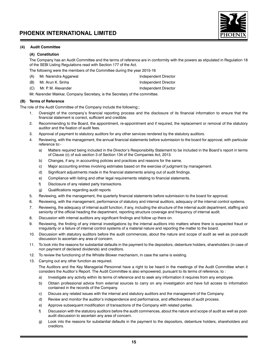

### **(4) Audit Committee**

### **(A) Constitution**

The Company has an Audit Committee and the terms of reference are in conformity with the powers as stipulated in Regulation 18 of the SEBI Listing Regulations read with Section 177 of the Act.

The following were the members of the Committee during the year 2015-16

- (A) Mr. Narendra Aggarwal Independent Director
- (B) Mr. Arun K. Sinha Independent Director
- (C) Mr. P. M. Alexander Independent Director

Mr. Narender Makkar, Company Secretary, is the Secretary of the committee.

### **(B) Terms of Reference**

The role of the Audit Committee of the Company include the following:;

- 1. Oversight of the company's financial reporting process and the disclosure of its financial information to ensure that the financial statement is correct, sufficient and credible.
- 2. Recommending to the Board, the appointment, re-appointment and if required, the replacement or removal of the statutory auditor and the fixation of audit fees.
- 3. Approval of payment to statutory auditors for any other services rendered by the statutory auditors.
- 4. Reviewing, with the management, the annual financial statements before submission to the board for approval, with particular reference to:
	- a) Matters required being included in the Director's Responsibility Statement to be included in the Board's report in terms of Clause (c) of sub section 3 of Section 134 of the Companies Act, 2013.
	- b) Changes, if any, in accounting policies and practices and reasons for the same.
	- c) Major accounting entries involving estimates based on the exercise of judgment by management.
	- d) Significant adjustments made in the financial statements arising out of audit findings.
	- e) Compliance with listing and other legal requirements relating to financial statements.
	- f) Disclosure of any related party transactions.
	- g) Qualifications regarding audit reports
- 5. Reviewing, with the management, the quarterly financial statements before submission to the board for approval.
- 6. Reviewing, with the management, performance of statutory and internal auditors, adequacy of the internal control systems.
- 7. Reviewing, the adequacy of internal audit function, if any, including the structure of the internal audit department, staffing and seniority of the official heading the department, reporting structure coverage and frequency of internal audit.
- 8. Discussion with internal auditors any significant findings and follow up there on.
- 9. Reviewing, the finding of any internal investigations by the internal auditors into matters where there is suspected fraud or irregularity or a failure of internal control systems of a material nature and reporting the matter to the board.
- 10. Discussion with statutory auditors before the audit commences, about the nature and scope of audit as well as post-audit discussion to ascertain any area of concern.
- 11. To look into the reasons for substantial defaults in the payment to the depositors, debenture holders, shareholders (in case of non payment of declared dividends) and creditors.
- 12. To review the functioning of the Whistle Blower mechanism, in case the same is existing.
- 13. Carrying out any other function as required.

The Auditors and the Key Managerial Personnel have a right to be heard in the meetings of the Audit Committee when it considers the Auditor's Report. The Audit Committee is also empowered, pursuant to its terms of reference, to :

- a) Investigate any activity within its terms of reference and to seek any information it requires from any employee.
- b) Obtain professional advice from external sources to carry on any investigation and have full access to information contained in the records of the Company.
- c) Discuss any related issues with the internal and statutory auditors and the management of the Company.
- d) Review and monitor the auditor's independence and performance, and effectiveness of audit process.
- e) Approve subsequent modification of transactions of the Company with related parties.
- f) Discussion with the statutory auditors before the audit commences, about the nature and scope of audit as well as postaudit discussion to ascertain any area of concern.
- g) Look into the reasons for substantial defaults in the payment to the depositors, debenture holders, shareholders and creditors.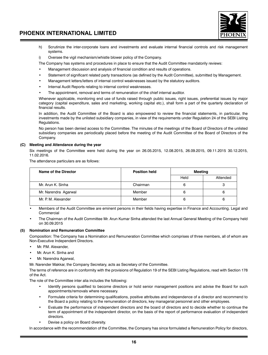

- h) Scrutinize the inter-corporate loans and investments and evaluate internal financial controls and risk management systems.
- i) Oversee the vigil mechanism/whistle blower policy of the Company.

The Company has systems and procedures in place to ensure that the Audit Committee mandatorily reviews:

- Management discussion and analysis of financial condition and results of operations.
- Statement of significant related party transactions (as defined by the Audit Committee), submitted by Management.
- Management letters/letters of internal control weaknesses issued by the statutory auditors.
- Internal Audit Reports relating to internal control weaknesses.
- The appointment, removal and terms of remuneration of the chief internal auditor.

Whenever applicable, monitoring end use of funds raised through public issues, right issues, preferential issues by major category (capital expenditure, sales and marketing, working capital etc.), shall form a part of the quarterly declaration of financial results.

In addition, the Audit Committee of the Board is also empowered to review the financial statements, in particular, the investments made by the unlisted subsidiary companies, in view of the requirements under Regulation 24 of the SEBI Listing Regulations.

No person has been denied access to the Committee. The minutes of the meetings of the Board of Directors of the unlisted subsidiary companies are periodically placed before the meeting of the Audit Committee of the Board of Directors of the Company.

### **(C) Meeting and Attendance during the year**

Six meetings of the Committee were held during the year on 26.05.2015, 12.08.2015, 26.09.2015, 09.11.2015 30.12.2015, 11.02.2016.

The attendance particulars are as follows:

| Name of the Director | <b>Position held</b> | Meeting |          |
|----------------------|----------------------|---------|----------|
|                      |                      | Held    | Attended |
| Mr. Arun K. Sinha    | Chairman             | 6       | 3        |
| Mr. Narendra Agarwal | Member               | 6       | 6        |
| Mr. P. M. Alexander  | Member               | 6       | 6        |

• Members of the Audit Committee are eminent persons in their fields having expertise in Finance and Accounting. Legal and Commercial

• The Chairman of the Audit Committee Mr. Arun Kumar Sinha attended the last Annual General Meeting of the Company held on 30.09.2015

### **(5) Nomination and Remuneration Committee**

Composition: The Company has a Nomination and Remuneration Committee which comprises of three members, all of whom are Non-Executive Independent Directors.

- Mr. PM. Alexander
- Mr. Arun K. Sinha and
- Mr. Narendra Agarwal,

Mr. Narender Makkar, the Company Secretary, acts as Secretary of the Committee.

The terms of reference are in conformity with the provisions of Regulation 19 of the SEBI Listing Regulations, read with Section 178 of the Act.

The role of the Committee inter alia includes the following:

- Identify persons qualified to become directors or hold senior management positions and advise the Board for such appointments/removals where necessary.
- Formulate criteria for determining qualifications, positive attributes and independence of a director and recommend to the Board a policy relating to the remuneration of directors, key managerial personnel and other employees.
- Evaluate the performance of independent directors and the board of directors and to decide whether to continue the term of appointment of the independent director, on the basis of the report of performance evaluation of independent directors.
- Devise a policy on Board diversity.

In accordance with the recommendation of the Committee, the Company has since formulated a Remuneration Policy for directors,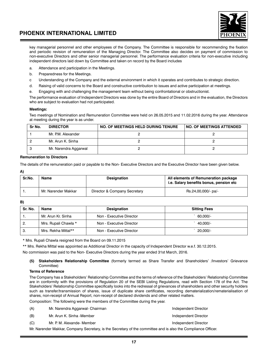

key managerial personnel and other employees of the Company. The Committee is responsible for recommending the fixation and periodic revision of remuneration of the Managing Director. The Committee also decides on payment of commission to non-executive Directors and other senior managerial personnel. The performance evaluation criteria for non-executive including independent directors laid down by Committee and taken on record by the Board includes

- a. Attendance and participation in the Meetings.
- b. Preparedness for the Meetings.
- c Understanding of the Company and the external environment in which it operates and contributes to strategic direction.
- d. Raising of valid concerns to the Board and constructive contribution to issues and active participation at meetings.
- e. Engaging with and challenging the management team without being confrontational or obstructionist.

The performance evaluation of Independent Directors was done by the entire Board of Directors and in the evaluation, the Directors who are subject to evaluation had not participated.

### **Meetings:**

Two meetings of Nomination and Remuneration Committee were held on 26.05.2015 and 11.02.2016 during the year. Attendance at meeting during the year is as under.

| Sr No. | <b>DIRECTOR</b>       | NO. OF MEETINGS HELD DURING TENURE | <b>NO. OF MEETINGS ATTENDED</b> |
|--------|-----------------------|------------------------------------|---------------------------------|
|        | Mr. P.M. Alexander    |                                    |                                 |
|        | Mr. Arun K. Sinha     |                                    |                                 |
| 3      | Mr. Narendra Aggarwal |                                    |                                 |

### **Remuneration to Directors**

The details of the remuneration paid or payable to the Non- Executive Directors and the Executive Director have been given below.

### **A)**

| Sr.No. | Name                | <b>Designation</b>           | All elements of Remuneration package<br>i.e. Salary benefits bonus, pension etc |
|--------|---------------------|------------------------------|---------------------------------------------------------------------------------|
|        | Mr. Narender Makkar | Director & Company Secretary | Rs.24,00,000/- pa/-                                                             |

#### **B)**

| Sr. No. | Name                 | Designation              | <b>Sitting Fees</b> |
|---------|----------------------|--------------------------|---------------------|
|         | Mr. Arun Kr. Sinha   | Non - Executive Director | 60.000/-            |
| 2.      | Mrs. Rupali Chawla * | Non - Executive Director | 40.000/-            |
| -3.     | Mrs. Rekha Mittal**  | Non - Executive Director | 20.000/-            |

\* Mrs. Rupali Chawla resigned from the Board on 09.11.2015

\*\* Mrs. Rekha Mittal was appointed as Additional Director in the capacity of Independent Director w.e.f. 30.12.2015.

No commission was paid to the Non- Executive Directors during the year ended 31st March, 2016.

### **(5) Stakeholders Relationship Committee** (formerly termed as Share Transfer and Shareholders' /Investors' Grievance Committee)

### **Terms of Reference**

The Company has a Stakeholders' Relationship Committee and the terms of reference of the Stakeholders' Relationship Committee are in conformity with the provisions of Regulation 20 of the SEBI Listing Regulations, read with Section 178 of the Act. The Stakeholders' Relationship Committee specifically looks into the redressal of grievances of shareholders and other security holders such as transfer/transmission of shares, issue of duplicate share certificates, recording dematerialization/rematerialisation of shares, non-receipt of Annual Report, non-receipt of declared dividends and other related matters.

Composition: The following were the members of the Committee during the year.

| (A) | Mr. Narendra Aggarwal- Chairman                                                                               | Independent Director |
|-----|---------------------------------------------------------------------------------------------------------------|----------------------|
| (B) | Mr. Arun K. Sinha -Member                                                                                     | Independent Director |
| (C) | Mr. P. M. Alexande- Member                                                                                    | Independent Director |
|     | Mr. Narender Makkar, Company Secretary, is the Secretary of the committee and is also the Compliance Officer. |                      |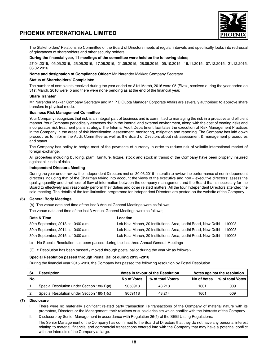

The Stakeholders' Relationship Committee of the Board of Directors meets at regular intervals and specifically looks into redressal of grievances of shareholders and other security holders.

### **During the financial year, 11 meetings of the committee were held on the following dates;**

27.04.2015, 05.05.2015, 26.06.2015, 17.08.2015, 21.09.2015, 28.09.2015, 05.10.2015, 16.11.2015, 07.12.2015, 21.12.2015, 08.02.2016

### **Name and designation of Compliance Officer:** Mr. Narender Makkar, Company Secretary

### **Status of Shareholders' Complaints:**

The number of complaints received during the year ended on 31st March, 2016 were 05 (Five) , resolved during the year ended on 31st March, 2016 were 5 and there were none pending as at the end of the financial year.

### **Share Transfer**

Mr. Narender Makkar, Company Secretary and Mr. P D Gupta Manager Corporate Affairs are severally authorised to approve share transfers in physical mode.

### **Business Risk Management Committee**

Your Company recognizes that risk is an integral part of business and is committed to managing the risk in a proactive and efficient manner. Your Company periodically assesses risk in the internal and external environment, along with the cost of treating risks and incorporates risk treatment plans strategy. The Internal Audit Department facilitates the execution of Risk Management Practices in the Company in the areas of risk identification, assessment, monitoring, mitigation and reporting. The Company has laid down procedures to infoirm the Audit Committee as well as the Board of Directors about risk assessment & management procedures and status.

The Company has policy to hedge most of the payments of currency in order to reduce risk of voilatile international market of foreign exchange.

All properties including building, plant, furniture, fixture, stock and stock in transit of the Company have been properly insurred against all kinds of risks.

### **Independent Directors Meeting**

During the year under review the Independent Directors met on 30.03.2016 interalia to review the performance of non independent directors including that of the Chairman taking into account the views of the executive and non – executive directors; assess the quality, quantity and timeliness of flow of information between the company management and the Board that is necessary for the Board to effectively and reasonably perform their duties and other related matters. All the four Independent Directors attended the said meeting. The details of the familiarisation programme for Independent Directors are posted on the website of the Company.

### **(6) General Body Meetings**

(A) The venue date and time of the last 3 Annual General Meetings were as follows;

The venue date and time of the last 3 Annual General Meetings were as follows;

| Date & Time                        | Location                                                              |
|------------------------------------|-----------------------------------------------------------------------|
| 30th September, 2013 at 10:00 a.m. | Lok Kala Manch, 20 Institutional Area, Lodhi Road, New Delhi – 110003 |
| 30th September, 2014 at 10:00 a.m. | Lok Kala Manch, 20 Institutional Area, Lodhi Road, New Delhi – 110003 |
| 30th September, 2015 at 10:00 a.m. | Lok Kala Manch, 20 Institutional Area, Lodhi Road, New Delhi – 110003 |

b) No Special Resolution has been passed during the last three Annual General Meetings

(C) 2 Resolution has been passed / moved through postal ballot during the year viz as follows:-

### **Special Resolution passed through Postal Ballot during 2015 -2016**

During the financial year 2015 -2016 the Company has passed the following resolution by Postal Resolution

| Sr | <b>Description</b>                         | Votes in favour of the Resolution |                   | Votes against the resolution |                   |
|----|--------------------------------------------|-----------------------------------|-------------------|------------------------------|-------------------|
| No |                                            | No of Votes                       | % of total Voters | No of Votes                  | ∣% of total Votes |
|    | Special Resolution under Section 180(1)(a) | 9058918                           | 48.213            | 1601                         | .009              |
| 2. | Special Resolution under Section 180(1)(c) | 9059118                           | 48.214            | 1601                         | .009              |

**(7) Disclosure**

I. There were no materially significant related party transaction i.e transactions of the Company of material nature with its promoters, Directors or the Management, their relatives or subsidiaries etc which conflict with the interests of the Company.

II. Disclosure by Senior Management in accordance with Regulation 26(5) of the SEBI Listing Regulations:

The Senior Management of the Company has confirmed to the Board of Directors that they do not have any personal interest relating to material, financial and commercial transactions entered into with the Company that may have a potential conflict with the interests of the Company at large.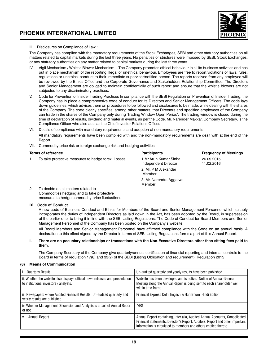

### III. Disclosures on Compliance of Law :

The Company has complied with the mandatory requirements of the Stock Exchanges, SEBI and other statutory authorities on all matters related to capital markets during the last three years. No penalties or strictures were imposed by SEBI, Stock Exchanges, or any statutory authorities on any matter related to capital markets during the last three years.

- IV. Vigil Mechanism / Whistle Blower Mechanism: The Company promotes ethical behaviour in all its business activities and has put in place mechanism of the reporting illegal or unethical behaviour. Employees are free to report violations of laws, rules, regulations or unethical conduct to their immediate supervisor/notified person. The reports received from any employee will be reviewed by the Ethics Office and the Corporate Governance and Stakeholders Relationship Committee. The Directors and Senior Management are obliged to maintain confidentially of such report and ensure that the whistle blowers are not subjected to any discriminatory practices.
- V. Code for Prevention of Insider Trading Practices In compliance with the SEBI Regulation on Prevention of Insider Trading, the Company has in place a comprehensive code of conduct for its Directors and Senior Management Officers. The code lays down guidelines, which advises them on procedures to be followed and disclosures to be made, while dealing with the shares of the Company. The code clearly specifies, among other matters, that Directors and specified employees of the Company can trade in the shares of the Company only during 'Trading Window Open Period'. The trading window is closed during the time of declaration of results, dividend and material events, as per the Code. Mr. Narender Makkar, Company Secretary, is the Compliance Officer who also acts as the Chief Investor Relations Officer.
- VI. Details of compliance with mandatory requirements and adoption of non mandatory requirements

All mandatory requirements have been complied with and the non-mandatory requirements are dealt with at the end of the Report.

VII. Commodity price risk or foreign exchange risk and hedging activities

**Terms of reference Participants Frequency of Meetings** 1. To take protective measures to hedge forex Losses 1.Mr.Arun Kumar Sinha 26.09.2015 Independent Director 2. Mr. P M Alexander Member 3. Mr. Narendra Aggarwal Member 2. To decide on all matters related to Commodities hedging and to take protective measures to hedge commodity price fluctuations

### **IX. Code of Conduct**

A new code of Business Conduct and Ethics for Members of the Board and Senior Management Personnel which suitably incorporates the duties of Independent Directors as laid down in the Act, has been adopted by the Board, in supersession of the earlier one, to bring it in line with the SEBI Listing Regulations. The Code of Conduct for Board Members and Senior Management Personnel of the Company has been posted on the Company's website.

All Board Members and Senior Management Personnel have affirmed compliance with the Code on an annual basis. A declaration to this effect signed by the Director in terms of SEBI Listing Regulations forms a part of this Annual Report.

### **I. There are no pecuniary relationships or transactions with the Non-Executive Directors other than sitting fees paid to them.**

The Company Secretary of the Company give quarterly/annual certification of financial reporting and internal controls to the Board in terms of regulation 17(8) and 33(2) of the SEBI (Listing Obligation and requirement), Regulation 2015

### **(8) Means of Communication**

| i. Quarterly Result                                                                                                     | Un-audited quarterly and yearly results have been published.                                                                                                                                                                      |
|-------------------------------------------------------------------------------------------------------------------------|-----------------------------------------------------------------------------------------------------------------------------------------------------------------------------------------------------------------------------------|
| ii. Whether the website also displays official news releases and presentation<br>to institutional investors / analysts. | Website has been developed and is active. Notice of Annual General<br>Meeting along the Annual Report is being sent to each shareholder well<br>within time frame.                                                                |
| iii. Newspapers where Audited Financial Results, Un-audited quarterly and<br>yearly results are published               | Financial Express Delhi English & Hari Bhumi Hindi Edition                                                                                                                                                                        |
| iv. Whether Management Discussion and Analysis is a part of Annual Report<br>or not.                                    | <b>YES</b>                                                                                                                                                                                                                        |
| Annual Report                                                                                                           | Annual Report containing, inter alia, Audited Annual Accounts, Consolidated<br>Financial Statements, Director's Report, Auditors' Report and other important<br>information is circulated to members and others entitled thereto. |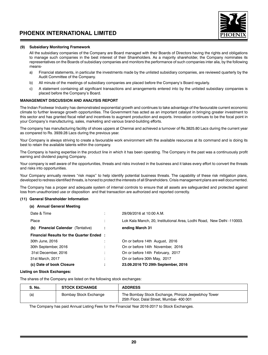

### **(9) Subsidiary Monitoring Framework**

All the subsidiary companies of the Company are Board managed with their Boards of Directors having the rights and obligations to manage such companies in the best interest of their Shareholders. As a majority shareholder, the Company nominates its representatives on the Boards of subsidiary companies and monitors the performance of such companies inter alia, by the following means-

- a) Financial statements, in particular the investments made by the unlisted subsidiary companies, are reviewed quarterly by the Audit Committee of the Company.
- b) All minute of the meetings of subsidiary companies are placed before the Company's Board regularly.
- c) A statement containing all significant transactions and arrangements entered into by the unlisted subsidiary companies is placed before the Company's Board.

### **MANAGEMENT DISCUSSION AND ANALYSIS REPORT**

The Indian Footwear Industry has demonstrated exponential growth and continues to take advantage of the favourable current economic climate to further leverage growth opportunities. The Government has acted as an important catalyst in bringing greater investment to this sector and has granted fiscal relief and incentives to augment production and exports. Innovation continues to be the focal point in your Company's manufacturing, sales, marketing and various brand-building efforts.

The company has manufacturing facility of shoes uppers at Chennai and achieved a turnover of Rs.3825.80 Lacs during the current year as compared to Rs. 3939.28 Lacs during the previous year.

Your Company is always striving to create a favourable work environment with the available resources at its command and is doing its best to retain the available talents within the company.

The Company is having expertise in the product line in which it has been operating. The Company in the past was a continuously profit earning and dividend paying Company.

Your company is well aware of the opportunities, threats and risks involved in the business and it takes every effort to convert the threats and risks into opportunities.

Your Company annually reviews "risk maps" to help identify potential business threats. The capability of these risk mitigation plans, developed to redress identified threats, is honed to protect the interests of all Shareholders. Crisis management plans are well documented.

The Company has a proper and adequate system of internal controls to ensure that all assets are safeguarded and protected against loss from unauthorized use or disposition and that transaction are authorized and reported correctly.

#### **(11) General Shareholder Information**

#### **(a) Annual General Meeting**

| Date & Time                                     | ٠                   | 29/09/2016 at 10:00 A.M.                                               |
|-------------------------------------------------|---------------------|------------------------------------------------------------------------|
| Place                                           | ٠                   | Lok Kala Manch, 20, Institutional Area, Lodhi Road, New Delhi -110003. |
| (b) Financial Calendar (Tentative)              | ÷                   | ending March 31                                                        |
| <b>Financial Results for the Quarter Ended:</b> |                     |                                                                        |
| 30th June, 2016                                 |                     | On or before 14th August, 2016                                         |
| 30th September, 2016                            | ٠                   | On or before 14th November, 2016                                       |
| 31st December, 2016                             |                     | On or before 14th February, 2017                                       |
| 31st March, 2017                                |                     | On or before 30th May, 2017                                            |
| (c) Date of book Closure                        | ٠<br>$\blacksquare$ | 23.09.2016 TO 29th September, 2016                                     |

### **Listing on Stock Exchanges:**

The shares of the Company are listed on the following stock exchanges:

| <b>S. No.</b> | <b>STOCK EXCHANGE</b> | <b>ADDRESS</b>                                                                                   |
|---------------|-----------------------|--------------------------------------------------------------------------------------------------|
| (a)           | Bombay Stock Exchange | The Bombay Stock Exchange, Phiroze Jeejeebhoy Tower<br>25th Floor, Dalal Street, Mumbai- 400 001 |

The Company has paid Annual Listing Fees for the Financial Year 2016-2017 to Stock Exchanges.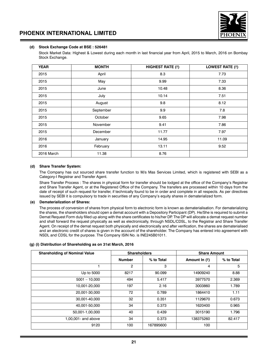

### **(d) Stock Exchange Code at BSE : 526481**

Stock Market Data: Highest & Lowest during each month in last financial year from April, 2015 to March, 2016 on Bombay Stock Exchange.

| <b>YEAR</b> | <b>MONTH</b> | <b>HIGHEST RATE (₹)</b> | LOWEST RATE (₹) |
|-------------|--------------|-------------------------|-----------------|
| 2015        | April        | 8.3                     | 7.73            |
| 2015        | May          | 9.99                    | 7.33            |
| 2015        | June         | 10.48                   | 8.36            |
| 2015        | July         | 10.14                   | 7.51            |
| 2015        | August       | 9.8                     | 8.12            |
| 2015        | September    | 9.9                     | 7.8             |
| 2015        | October      | 9.65                    | 7.98            |
| 2015        | November     | 9.41                    | 7.86            |
| 2015        | December     | 11.77                   | 7.97            |
| 2016        | January      | 14.95                   | 11.09           |
| 2016        | February     | 13.11                   | 9.52            |
| 2016 March  | 11.38        | 8.76                    |                 |

### **(d) Share Transfer System:**

The Company has out sourced share transfer function to M/s Mas Services Limited, which is registered with SEBI as a Category-I Registrar and Transfer Agent.

Share Transfer Process : The shares in physical form for transfer should be lodged at the office of the Company's Registrar and Share Transfer Agent, or at the Registered Office of the Company. The transfers are processed within 10 days from the date of receipt of such request for transfer, if technically found to be in order and complete in all respects. As per directives issued by SEBI it is compulsory to trade in securities of any Company's equity shares in dematerialized form.

### **(e) Dematerialization of Shares:**

The process of conversion of shares from physical form to electronic form is known as dematerialisation. For dematerializing the shares, the shareholders should open a demat account with a Depository Participant (DP). He/She is required to submit a Demat Request Form duly filled up along with the share certificates to his/her DP. The DP will allocate a demat request number and shall forward the request physically as well as electronically, through NSDL/CDSL, to the Registrar and Share Transfer Agent. On receipt of the demat request both physically and electronically and after verification, the shares are dematerialised and an electronic credit of shares is given in the account of the shareholder. The Company has entered into agreement with NSDL and CDSL for the purpose. The Company ISIN No. is INE245B01011.

### **(g) (i) Distribution of Shareholding as on 31st March, 2016**

| <b>Shareholding of Nominal Value</b> | <b>Shareholders</b> |            | <b>Share Amount</b> |            |
|--------------------------------------|---------------------|------------|---------------------|------------|
|                                      | <b>Number</b>       | % to Total | Amount In $(3)$     | % to Total |
|                                      | $\overline{2}$      | 3          | 4                   | 5          |
| Up to 5000                           | 8217                | 90.099     | 14909240            | 8.88       |
| $5001 - 10,000$                      | 494                 | 5.417      | 3977570             | 2.369      |
| 10.001-20.000                        | 197                 | 2.16       | 3003860             | 1.789      |
| 20.001-30.000                        | 72                  | 0.789      | 1864410             | 1.11       |
| 30.001-40.000                        | 32                  | 0.351      | 1129670             | 0.673      |
| 40.001-50.000                        | 34                  | 0.373      | 1620400             | 0.965      |
| 50,001-1,00,000                      | 40                  | 0.439      | 3015190             | 1.796      |
| 1,00,001- and above                  | 34                  | 0.373      | 138375260           | 82.417     |
| 9120                                 | 100                 | 167895600  | 100                 |            |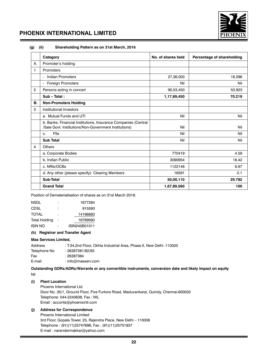

**(g) (ii) Shareholding Pattern as on 31st March, 2016**

|                | Category                                                                                                                | No. of shares held | Percentage of shareholding |
|----------------|-------------------------------------------------------------------------------------------------------------------------|--------------------|----------------------------|
| Α.             | Promoter's holding                                                                                                      |                    |                            |
| 1              | Promoters                                                                                                               |                    |                            |
|                | - Indian Promoters                                                                                                      | 27,36,000          | 16.296                     |
|                | Foreign Promoters<br>$\overline{\phantom{a}}$                                                                           | Nil                | Nil                        |
| $\overline{2}$ | Persons acting in concert                                                                                               | 90,53,450          | 53.923                     |
|                | Sub - Total:                                                                                                            | 1,17,89,450        | 70.219                     |
| В.             | <b>Non-Promoters Holding</b>                                                                                            |                    |                            |
| 3              | Institutional Investors                                                                                                 |                    |                            |
|                | a. Mutual Funds and UTI                                                                                                 | Nil                | Nil                        |
|                | b. Banks, Financial Institutions, Insurance Companies (Central<br>/Sale Govt. Institutions/Non-Government Institutions) | Nil                | Nil                        |
|                | <b>Flls</b><br>C.                                                                                                       | Nil                | Nil                        |
|                | <b>Sub Total</b>                                                                                                        | Nil                | Nil                        |
| 4              | <b>Others</b>                                                                                                           |                    |                            |
|                | a. Corporate Bodies                                                                                                     | 770419             | 4.59                       |
|                | b. Indian Public                                                                                                        | 3090954            | 18.42                      |
|                | c. NRIs/OCBs                                                                                                            | 1122146            | 6.67                       |
|                | d. Any other (please specify)- Clearing Members                                                                         | 16591              | 0.1                        |
|                | Sub-Total                                                                                                               | 50,00,110          | 29.782                     |
|                | <b>Grand Total</b>                                                                                                      | 1,67,89,560        | 100                        |

Position of Dematerialisation of shares as on 31st March 2016:

| NSDL          | ٠ | 1677284       |
|---------------|---|---------------|
| CDSL          |   | 915593        |
| TOTAL         | ۰ | 14196683      |
| Total Holding |   | 16789560      |
| isin No       |   | ISIN245B01011 |

### **(h) Registrar and Transfer Agent**

### **Mas Services Limited,**

| : T-34,2nd Floor, Okhla Industrial Area, Phase-II, New Delhi -110020 |
|----------------------------------------------------------------------|
| : 26387281/82/83                                                     |
| : 26387384                                                           |
| : info@masserv.com                                                   |
|                                                                      |

**Outstanding GDRs/ADRs/Warrants or any convertible instruments, conversion date and likely impact on equity** Nil

### **(i) Plant Location**

Phoenix International Ltd. Door No. 35/1, Ground Floor, Five Furlons Road, Maduvankarai, Guindy, Chennai-600032 Telephone: 044-2240638, Fax : NIL Email : acconts@phoenixintl.com

### **(j) Address for Correspondence**

Phoenix International Limited 3rd Floor, Gopala Tower, 25, Rajendra Place, New Delhi – 110008 Telephone : (91)(11)25747696, Fax : (91)(11)25751937 E-mail : narendermakkar@yahoo.com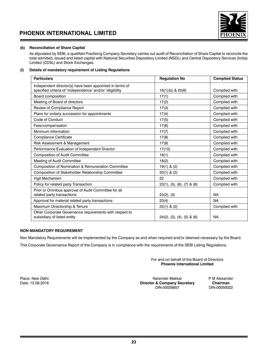



### **(k) Reconciliation of Share Capital**

As stipulated by SEBI, a qualified Practising Company Secretary carries out audit of Reconciliation of Share Capital to reconcile the total admitted, issued and listed capital with National Securities Depository Limited (NSDL) and Central Depository Services (India) Limited (CDSL) and Stock Exchanges.

### **(l) Details of mandatory requirement of Listing Regulations**

| <b>Particulars</b>                                                                                                  | <b>Requlation No</b>                    | <b>Complied Status</b> |
|---------------------------------------------------------------------------------------------------------------------|-----------------------------------------|------------------------|
| Independent director(s) have been appointed in terms of<br>specified criteria of 'independence' and/or 'eligibility | $16(1)(b)$ & $25(6)$                    | Complied with          |
| Board composition                                                                                                   | 17(1)                                   | Complied with          |
| Meeting of Board of directors                                                                                       | 17(2)                                   | Complied with          |
| Review of Compliance Report                                                                                         | 17(3)                                   | Complied with          |
| Plans for orderly succession for appointments                                                                       | 17(4)                                   | Complied with          |
| Code of Conduct                                                                                                     | 17(5)                                   | Complied with          |
| Fees/compensation                                                                                                   | 17(6)                                   | Complied with          |
| Minimum Information                                                                                                 | 17(7)                                   | Complied with          |
| Compliance Certificate                                                                                              | 17(8)                                   | Complied with          |
| Risk Assessment & Management                                                                                        | 17(9)                                   | Complied with          |
| Performance Evaluation of Independent Director                                                                      | 17(10)                                  | Complied with          |
| <b>Composition of Audit Committee</b>                                                                               | 18(1)                                   | Complied with          |
| Meeting of Audit Committee                                                                                          | 18(2)                                   | Complied with          |
| Composition of Nomination & Remuneration Committee                                                                  | $19(1)$ & (2)                           | Complied with          |
| Composition of Stakeholder Relationship Committee                                                                   | $20(1)$ & $(2)$                         | Complied with          |
| Vigil Mechanism                                                                                                     | 22                                      | Complied with          |
| Policy for related party Transaction                                                                                | $23(1), (5), (6), (7)$ & $(8)$          | Complied with          |
| Prior or Omnibus approval of Audit Committee for all<br>related party transactions                                  | 23(2), (3)                              | <b>NA</b>              |
| Approval for material related party transactions                                                                    | 23(4)                                   | <b>NA</b>              |
| Maximum Directorship & Tenure                                                                                       | $25(1)$ & $(2)$                         | Complied with          |
| Other Corporate Governance requirements with respect to<br>subsidiary of listed entity                              | $24(2)$ , $(3)$ , $(4)$ , $(5)$ & $(6)$ | <b>NA</b>              |

### **NON MANDATORY REQUIREMENT**

Non Mandatory Requirements will be implemented by the Company as and when required and/or deemed necessary by the Board.

This Corporate Governance Report of the Company is in compliance with the requirements of the SEBI Listing Regulations.

For and on behalf of the Board of Directors **Phoenix International Limited**

Place: New Delhi **Place: New Delhi Narender Makkar** PM Alexander Makkar PM Alexander PM Alexander PM Alexander<br>Director & Company Secretary Chairman **Director & Company Secretary**<br>DIN-00026857

DIN-00050022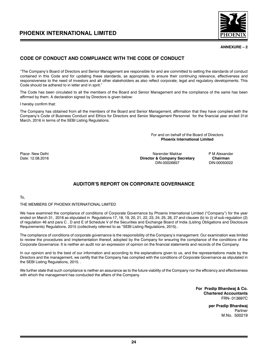



### **ANNEXURE – 2**

### **CODE OF CONDUCT AND COMPLIANCE WITH THE CODE OF CONDUCT**

"The Company's Board of Directors and Senior Management are responsible for and are committed to setting the standards of conduct contained in this Code and for updating these standards, as appropriate, to ensure their continuing relevance, effectiveness and responsiveness to the need of investors and all other stakeholders as also reflect corporate, legal and regulatory developments. This Code should be adhered to in letter and in sprit."

The Code has been circulated to all the members of the Board and Senior Management and the compliance of the same has been affirmed by them. A declaration signed by Directors is given below:

### I hereby confirm that:

The Company has obtained from all the members of the Board and Senior Management, affirmation that they have complied with the Company's Code of Business Conduct and Ethics for Directors and Senior Management Personnel for the financial year ended 31st March, 2016 in terms of the SEBI Listing Regulations.

> For and on behalf of the Board of Directors **Phoenix International Limited**

Place: New Delhi **Place: New Delhi Narender Makkar** PM Alexander Makkar PM Alexander PM Alexander PM Alexander<br>Director & Company Secretary Chairman Date: 12.08.2016 **Director & Company Secretary Chairman** DIN-00026857 DIN-00050022

### **AUDITOR'S REPORT ON CORPORATE GOVERNANCE**

To,

THE MEMBERS OF PHOENIX INTERNATIONAL LIMITED

We have examined the compliance of conditions of Corporate Governance by Phoenix International Limited ("Company") for the year ended on March 31, 2016 as stipulated in Regulations 17, 18, 19, 20, 21, 22, 23, 24, 25, 26, 27 and clauses (b) to (i) of sub regulation (2) of regulation 46 and para C , D and E of Schedule V of the Securities and Exchange Board of India (Listing Obligations and Disclosure Requirements) Regulations, 2015 (collectively referred to as "SEBI Listing Regulations, 2015)..

The compliance of conditions of corporate governance is the responsibility of the Company's management. Our examination was limited to review the procedures and implementation thereof, adopted by the Company for ensuring the compliance of the conditions of the Corporate Governance. It is neither an audit nor an expression of opinion on the financial statements and records of the Company.

In our opinion and to the best of our information and according to the explanations given to us, and the representations made by the Directors and the management, we certify that the Company has complied with the conditions of Corporate Governance as stipulated in the SEBI Listing Regulations, 2015. .

We further state that such compliance is neither an assurance as to the future viability of the Company nor the efficiency and effectiveness with which the management has conducted the affairs of the Company.

> **For Pradip Bhardwaj & Co. Chartered Accountants** FRN- 013697C

> > **per Pradip Bhardwaj** Partner M.No. 500219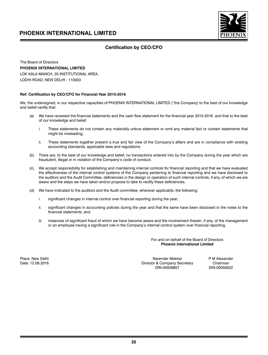

### **Certification by CEO/CFO**

The Board of Directors **PHOENIX INTERNATIONAL LIMITED**  LOK KALA MANCH, 20 INSTITUTIONAL AREA, LODHI ROAD, NEW DELHI - 110003

### **Ref: Certification by CEO/CFO for Financial Year 2015-2016**

We, the undersigned, in our respective capacities of PHOENIX INTERNATIONAL LIMITED ("the Company) to the best of our knowledge and belief certify that:

- We have reviewed the financial statements and the cash flow statement for the financial year 2015-2016 and that to the best of our knowledge and belief:
	- i. These statements do not contain any materially untrue statement or omit any material fact or contain statements that might be misleading;
	- ii. These statements together present a true and fair view of the Company's affairs and are in compliance with existing accounting standards, applicable laws and regulations.
- (b) There are, to the best of our knowledge and belief, no transactions entered into by the Company during the year which are fraudulent, illegal or in violation of the Company's code of conduct.
- (c) We accept responsibility for establishing and maintaining internal controls for financial reporting and that we have evaluated the effectiveness of the internal control systems of the Company pertaining to financial reporting and we have disclosed to the auditors and the Audit Committee, deficiencies in the design or operation of such internal controls, if any, of which we are aware and the steps we have taken and/or propose to take to rectify these deficiencies.
- (d) We have indicated to the auditors and the Audit committee, wherever applicable, the following:
	- i. significant changes in internal control over financial reporting during the year;
	- ii. significant changes in accounting policies during the year and that the same have been disclosed in the notes to the financial statements; and
	- iii. instances of significant fraud of which we have become aware and the involvement therein, if any, of the management or an employee having a significant role in the Company's internal control system over financial reporting.

For and on behalf of the Board of Directors **Phoenix International Limited**

Place: New Delhi Narender Makkar P M Alexander Makkar P M Alexander Makkar P M Alexander Date: 12.08.2016 Date: 12.08.2016 Director & Company Secretary Chairman<br>DIN-00026857 DIN-00050022 DIN-00026857 DIN-00050022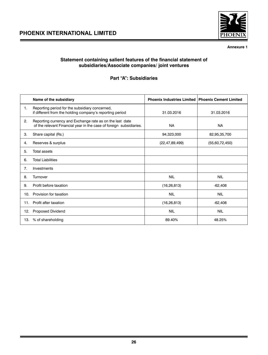

**Annexure 1**

### **Statement containing salient features of the financial statement of subsidiaries/Associate companies/ joint ventures**

### **Part "A": Subsidiaries**

|                | Name of the subsidiary                                                                                                          | <b>Phoenix Industries Limited</b> | <b>Phoenix Cement Limited</b> |
|----------------|---------------------------------------------------------------------------------------------------------------------------------|-----------------------------------|-------------------------------|
| 1.             | Reporting period for the subsidiary concerned,<br>if different from the holding company's reporting period                      | 31.03.2016                        | 31.03.2016                    |
| 2.             | Reporting currency and Exchange rate as on the last date<br>of the relevant Financial year in the case of foreign subsidiaries. | <b>NA</b>                         | <b>NA</b>                     |
| 3.             | Share capital (Rs.)                                                                                                             | 94,323,000                        | 82,95,35,700                  |
| 4.             | Reserves & surplus                                                                                                              | (22, 47, 89, 499)                 | (55,60,72,450)                |
| 5.             | <b>Total assets</b>                                                                                                             |                                   |                               |
| 6.             | <b>Total Liabilities</b>                                                                                                        |                                   |                               |
| 7 <sub>1</sub> | Investments                                                                                                                     |                                   |                               |
| 8.             | Turnover                                                                                                                        | <b>NIL</b>                        | <b>NIL</b>                    |
| 9.             | Profit before taxation                                                                                                          | (16, 26, 813)                     | $-62,408$                     |
| 10.            | Provision for taxation                                                                                                          | <b>NIL</b>                        | <b>NIL</b>                    |
| 11.            | Profit after taxation                                                                                                           | (16, 26, 813)                     | $-62,408$                     |
| 12.            | <b>Proposed Dividend</b>                                                                                                        | <b>NIL</b>                        | <b>NIL</b>                    |
| 13.            | % of shareholding                                                                                                               | 89.40%                            | 48.25%                        |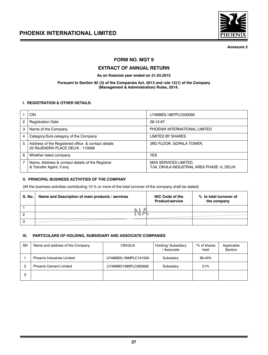

**Annexure 2**

### **FORM NO. MGT 9**

### **EXTRACT OF ANNUAL RETURN**

**As on financial year ended on 31.03.2015**

### **Pursuant to Section 92 (3) of the Companies Act, 2013 and rule 12(1) of the Company (Management & Administration) Rules, 2014.**

### **I. REGISTRATION & OTHER DETAILS:**

|   | CIN                                                                                    | L74899DL1987PLC030092                                                        |
|---|----------------------------------------------------------------------------------------|------------------------------------------------------------------------------|
| 2 | <b>Registration Date</b>                                                               | 28-12-87                                                                     |
| 3 | Name of the Company                                                                    | PHOENIX INTERNATIONAL LIMITED                                                |
| 4 | Category/Sub-category of the Company                                                   | LIMITED BY SHARES                                                            |
| 5 | Address of the Registered office & contact details<br>25 RAJENDRA PLACE DELHI - 110008 | 3RD FLOOR, GOPALA TOWER,                                                     |
| 6 | Whether listed company                                                                 | <b>YES</b>                                                                   |
|   | Name, Address & contact details of the Registrar<br>& Transfer Agent, if any.          | <b>MAS SERVICES LIMITED,</b><br>T-34, OKHLA INDUSTRIAL AREA PHASE -II, DELHI |

### **II. PRINCIPAL BUSINESS ACTIVITIES OF THE COMPANY**

(All the business activities contributing 10 % or more of the total turnover of the company shall be stated)

| S. No. | Name and Description of main products / services | NIC Code of the<br><b>Product/service</b> | % to total turnover of<br>the company |
|--------|--------------------------------------------------|-------------------------------------------|---------------------------------------|
|        | ٠                                                |                                           |                                       |
|        |                                                  |                                           |                                       |
|        |                                                  |                                           |                                       |

### **III. PARTICULARS OF HOLDING, SUBSIDIARY AND ASSOCIATE COMPANIES**

| <b>SN</b> | Name and address of the Company   | CIN/GLN               | Holding/ Subsidiary<br>/ Associate | "% of shares<br>held | Applicable<br>Section |
|-----------|-----------------------------------|-----------------------|------------------------------------|----------------------|-----------------------|
|           | <b>Phoenix Industries Limited</b> | U74899DL1999PLC101593 | Subsdairy                          | 89.40%               |                       |
|           | <b>Phoenix Cement Limited</b>     | U74899DI1995PLC065806 | Subsdairy                          | 51%                  |                       |
| з         |                                   |                       |                                    |                      |                       |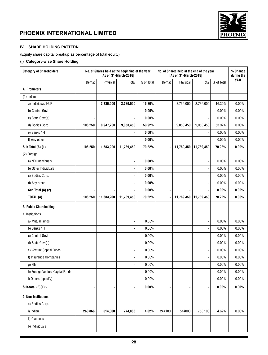



### **IV. SHARE HOLDING PATTERN**

(Equity share capital breakup as percentage of total equity)

### **(i) Category-wise Share Holding**

| <b>Category of Shareholders</b>  |         |            | No. of Shares held at the beginning of the year<br>[As on 31-March-2016] | No. of Shares held at the end of the year<br>[As on 31-March-2015] |                |            | % Change<br>during the   |            |          |
|----------------------------------|---------|------------|--------------------------------------------------------------------------|--------------------------------------------------------------------|----------------|------------|--------------------------|------------|----------|
|                                  | Demat   | Physical   | Total                                                                    | % of Total                                                         | Demat          | Physical   | Total                    | % of Total | year     |
| A. Promoters                     |         |            |                                                                          |                                                                    |                |            |                          |            |          |
| $(1)$ Indian                     |         |            |                                                                          |                                                                    |                |            |                          |            |          |
| a) Individual/HUF                | ÷       | 2,736,000  | 2,736,000                                                                | 16.30%                                                             |                | 2,736,000  | 2,736,000                | 16.30%     | 0.00%    |
| b) Central Govt                  |         |            |                                                                          | $0.00\%$                                                           |                |            |                          | 0.00%      | 0.00%    |
| c) State Govt(s)                 |         |            |                                                                          | $0.00\%$                                                           |                |            |                          | 0.00%      | 0.00%    |
| d) Bodies Corp.                  | 106,250 | 8,947,200  | 9,053,450                                                                | 53.92%                                                             |                | 9,053,450  | 9,053,450                | 53.92%     | 0.00%    |
| e) Banks / Fl                    |         |            |                                                                          | 0.00%                                                              |                |            |                          | 0.00%      | 0.00%    |
| f) Any other                     |         |            |                                                                          | 0.00%                                                              |                |            |                          | 0.00%      | 0.00%    |
| Sub Total (A) (1)                | 106,250 | 11,683,200 | 11,789,450                                                               | 70.22%                                                             |                | 11,789,450 | 11,789,450               | 70.22%     | 0.00%    |
| (2) Foreign                      |         |            |                                                                          |                                                                    |                |            |                          |            |          |
| a) NRI Individuals               |         |            | ä,                                                                       | 0.00%                                                              |                |            |                          | 0.00%      | 0.00%    |
| b) Other Individuals             |         |            |                                                                          | $0.00\%$                                                           |                |            |                          | 0.00%      | 0.00%    |
| c) Bodies Corp.                  |         |            | ä,                                                                       | 0.00%                                                              |                |            |                          | 0.00%      | 0.00%    |
| d) Any other                     |         |            |                                                                          | $0.00\%$                                                           |                |            |                          | 0.00%      | 0.00%    |
| Sub Total (A) (2)                | ×,      |            |                                                                          | $0.00\%$                                                           |                |            |                          | $0.00\%$   | $0.00\%$ |
| TOTAL (A)                        | 106,250 | 11,683,200 | 11,789,450                                                               | 70.22%                                                             |                | 11,789,450 | 11,789,450               | 70.22%     | $0.00\%$ |
| <b>B. Public Shareholding</b>    |         |            |                                                                          |                                                                    |                |            |                          |            |          |
| 1. Institutions                  |         |            |                                                                          |                                                                    |                |            |                          |            |          |
| a) Mutual Funds                  |         |            | ÷,                                                                       | 0.00%                                                              |                |            |                          | 0.00%      | 0.00%    |
| b) Banks / FI                    |         |            |                                                                          | 0.00%                                                              |                |            |                          | 0.00%      | 0.00%    |
| c) Central Govt                  |         |            |                                                                          | 0.00%                                                              |                |            |                          | 0.00%      | 0.00%    |
| d) State Govt(s)                 |         |            | ä,                                                                       | 0.00%                                                              |                |            | $\overline{\phantom{a}}$ | 0.00%      | 0.00%    |
| e) Venture Capital Funds         |         |            |                                                                          | 0.00%                                                              |                |            |                          | 0.00%      | 0.00%    |
| f) Insurance Companies           |         |            |                                                                          | 0.00%                                                              |                |            |                          | 0.00%      | 0.00%    |
| g) Flls                          |         |            |                                                                          | 0.00%                                                              |                |            |                          | 0.00%      | 0.00%    |
| h) Foreign Venture Capital Funds |         |            | $\blacksquare$                                                           | 0.00%                                                              |                |            |                          | 0.00%      | 0.00%    |
| i) Others (specify)              |         |            | $\overline{\phantom{a}}$                                                 | 0.00%                                                              |                |            |                          | 0.00%      | 0.00%    |
| Sub-total $(B)(1)$ :-            | ٠       |            | $\blacksquare$                                                           | $0.00\%$                                                           | $\blacksquare$ |            |                          | 0.00%      | $0.00\%$ |
| 2. Non-Institutions              |         |            |                                                                          |                                                                    |                |            |                          |            |          |
| a) Bodies Corp.                  |         |            |                                                                          |                                                                    |                |            |                          |            |          |
| i) Indian                        | 260,866 | 514,000    | 774,866                                                                  | 4.62%                                                              | 244100         | 514000     | 758,100                  | 4.62%      | 0.00%    |
| ii) Overseas                     |         |            |                                                                          |                                                                    |                |            |                          |            |          |
| b) Individuals                   |         |            |                                                                          |                                                                    |                |            |                          |            |          |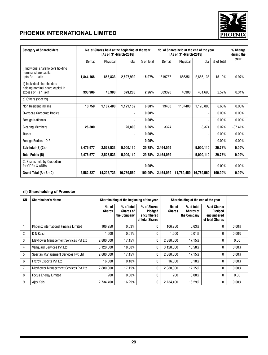

| <b>Category of Shareholders</b>                                                        | No. of Shares held at the beginning of the year<br>[As on 31-March-2016] |            |                          |            |           | No. of Shares held at the end of the year<br>[As on 31-March-2015] |            |            |           |  |
|----------------------------------------------------------------------------------------|--------------------------------------------------------------------------|------------|--------------------------|------------|-----------|--------------------------------------------------------------------|------------|------------|-----------|--|
|                                                                                        | Demat                                                                    | Physical   | Total                    | % of Total | Demat     | Physical                                                           | Total      | % of Total | year      |  |
| i) Individual shareholders holding<br>nominal share capital<br>upto Rs. 1 lakh         | 1.844.166                                                                | 853.833    | 2.697.999                | 16.07%     | 1819787   | 866351                                                             | 2.686.138  | 15.10%     | 0.97%     |  |
| ii) Individual shareholders<br>holding nominal share capital in<br>excess of Rs 1 lakh | 330,986                                                                  | 48.300     | 379,286                  | 2.26%      | 383390    | 48300                                                              | 431.690    | 2.57%      | 0.31%     |  |
| c) Others (specify)                                                                    |                                                                          |            |                          |            |           |                                                                    |            |            |           |  |
| Non Resident Indians                                                                   | 13,759                                                                   | 1,107,400  | 1,121,159                | 6.68%      | 13408     | 1107400                                                            | 1,120,808  | 6.68%      | 0.00%     |  |
| <b>Overseas Corporate Bodies</b>                                                       |                                                                          |            |                          | $0.00\%$   |           |                                                                    |            | 0.00%      | 0.00%     |  |
| <b>Foreign Nationals</b>                                                               |                                                                          |            |                          | $0.00\%$   |           |                                                                    |            | 0.00%      | 0.00%     |  |
| <b>Clearing Members</b>                                                                | 26.800                                                                   |            | 26,800                   | 6.26%      | 3374      |                                                                    | 3.374      | 0.02%      | $-87.41%$ |  |
| <b>Trusts</b>                                                                          |                                                                          |            | $\overline{\phantom{a}}$ | $0.00\%$   |           |                                                                    | ٠          | 0.00%      | 0.00%     |  |
| Foreign Bodies - D R                                                                   |                                                                          |            | $\overline{\phantom{a}}$ | 0.00%      |           |                                                                    |            | 0.00%      | 0.00%     |  |
| Sub-total $(B)(2)$ :-                                                                  | 2.476.577                                                                | 2,523,533  | 5.000.110                | 29.78%     | 2,464,059 |                                                                    | 5.000.110  | 29.78%     | $0.00\%$  |  |
| <b>Total Public (B)</b>                                                                | 2,476,577                                                                | 2,523,533  | 5,000,110                | 29.78%     | 2,464,059 |                                                                    | 5,000,110  | 29.78%     | $0.00\%$  |  |
| C. Shares held by Custodian<br>for GDRs & ADRs                                         |                                                                          |            | $\blacksquare$           | $0.00\%$   |           |                                                                    |            | 0.00%      | 0.00%     |  |
| Grand Total $(A + B + C)$                                                              | 2,582,827                                                                | 14,206,733 | 16.789.560               | 100.00%    | 2.464.059 | 11.789.450                                                         | 16,789,560 | 100.00%    | $0.00\%$  |  |

### **(ii) Shareholding of Promoter**

| SN             | <b>Shareholder's Name</b>             |                         | Shareholding at the beginning of the year     |                                                         |                         | Shareholding at the end of the year           |                                                         |          |  |
|----------------|---------------------------------------|-------------------------|-----------------------------------------------|---------------------------------------------------------|-------------------------|-----------------------------------------------|---------------------------------------------------------|----------|--|
|                |                                       | No. of<br><b>Shares</b> | % of total<br><b>Shares of</b><br>the Company | % of Shares<br>Pledged<br>encumbered<br>of total Shares | No. of<br><b>Shares</b> | % of total<br><b>Shares of</b><br>the Company | % of Shares<br>Pledged<br>encumbered<br>of total Shares |          |  |
|                | Phoenix International Finance Limited | 106,250                 | 0.63%                                         | 0                                                       | 106,250                 | 0.63%                                         | 0                                                       | $0.00\%$ |  |
| $\overline{2}$ | D N Kalsi                             | 1.600                   | 0.01%                                         | 0                                                       | 1,600                   | 0.01%                                         | $\mathbf{0}$                                            | $0.00\%$ |  |
| 3              | Mayflower Management Services Pvt Ltd | 2,880,000               | 17.15%                                        | 0                                                       | 2,880,000               | 17.15%                                        | 0                                                       | 0.00     |  |
| 4              | Vanguard Services Pvt Ltd             | 3,120,000               | 18.58%                                        | 0                                                       | 3.120.000               | 18.58%                                        | $\mathbf{0}$                                            | $0.00\%$ |  |
| 5              | Spartan Management Services Pvt Ltd   | 2,880,000               | 17.15%                                        | 0                                                       | 2.880.000               | 17.15%                                        | $\mathbf{0}$                                            | $0.00\%$ |  |
| 6              | <b>Fitzroy Exports Pvt Ltd</b>        | 16.800                  | 0.10%                                         | 0                                                       | 16.800                  | 0.10%                                         | $\mathbf{0}$                                            | $0.00\%$ |  |
| 7              | Mayflower Management Services Pvt Ltd | 2,880,000               | 17.15%                                        | 0                                                       | 2.880.000               | 17.15%                                        | $\mathbf{0}$                                            | $0.00\%$ |  |
| 8              | <b>Focus Energy Limited</b>           | 200                     | $0.00\%$                                      | 0                                                       | 200                     | $0.00\%$                                      | $\mathbf{0}$                                            | 0.00     |  |
| 9              | Ajay Kalsi                            | 2.734.400               | 16.29%                                        | 0                                                       | 2.734.400               | 16.29%                                        | 0                                                       | $0.00\%$ |  |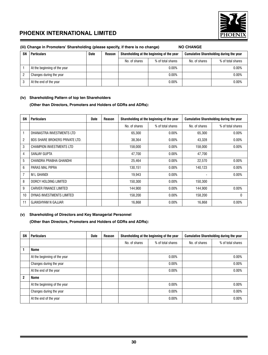

|    | (iii) Change in Promoters' Shareholding (please specify, if there is no change)<br><b>NO CHANGE</b> |             |        |               |                                           |               |                                                |  |  |  |  |  |
|----|-----------------------------------------------------------------------------------------------------|-------------|--------|---------------|-------------------------------------------|---------------|------------------------------------------------|--|--|--|--|--|
| SN | <b>Particulars</b>                                                                                  | <b>Date</b> | Reason |               | Shareholding at the beginning of the year |               | <b>Cumulative Shareholding during the year</b> |  |  |  |  |  |
|    |                                                                                                     |             |        | No. of shares | % of total shares                         | No. of shares | % of total shares                              |  |  |  |  |  |
|    | At the beginning of the year                                                                        |             |        |               | 0.00%                                     |               | 0.00%                                          |  |  |  |  |  |
| റ  | Changes during the year                                                                             |             |        |               | 0.00%                                     |               | 0.00%                                          |  |  |  |  |  |
| 3  | At the end of the year                                                                              |             |        |               | 0.00%                                     |               | 0.00%                                          |  |  |  |  |  |

### **(iv) Shareholding Pattern of top ten Shareholders**

 **(Other than Directors, Promoters and Holders of GDRs and ADRs):**

| <b>SN</b>      | <b>Particulars</b>                    | <b>Date</b> | <b>Reason</b> |               | Shareholding at the beginning of the year |               | <b>Cumulative Shareholding during the year</b> |
|----------------|---------------------------------------|-------------|---------------|---------------|-------------------------------------------|---------------|------------------------------------------------|
|                |                                       |             |               | No. of shares | % of total shares                         | No. of shares | % of total shares                              |
|                | DHANASTRA INVESTMENTS LTD             |             |               | 65,300        | $0.00\%$                                  | 65,300        | $0.00\%$                                       |
| $\overline{2}$ | <b>BDS SHARE BROKERS PRIVATE LTD.</b> |             |               | 38.364        | $0.00\%$                                  | 43,328        | $0.00\%$                                       |
| 3              | CHAMPION INVESTMENTS LTD              |             |               | 158,000       | $0.00\%$                                  | 158,000       | 0.00%                                          |
| 4              | <b>SANJAY GUPTA</b>                   |             |               | 47,700        | $0.00\%$                                  | 47,700        |                                                |
| 5              | CHANDRA PRABHA GHANDHI                |             |               | 25,464        | $0.00\%$                                  | 22,570        | $0.00\%$                                       |
| 6              | PARAS MAL PIPRA                       |             |               | 130,151       | $0.00\%$                                  | 140,123       | $0.00\%$                                       |
| $\overline{7}$ | M L GHANDI                            |             |               | 19,943        | $0.00\%$                                  |               | $0.00\%$                                       |
| 8              | DORCY HOLDING LIMITED                 |             |               | 150,300       | 0.00%                                     | 150,300       |                                                |
| 9              | <b>CARVER FINANCE LIMITED</b>         |             |               | 144,900       | $0.00\%$                                  | 144,900       | 0.00%                                          |
| 10             | DYNAS INVESTMENTS LIMITED             |             |               | 158.200       | $0.00\%$                                  | 158.200       | 0                                              |
| 11             | <b>GJANSHYAM N GAJJAR</b>             |             |               | 16,868        | 0.00%                                     | 16,868        | 0.00%                                          |

### **(v) Shareholding of Directors and Key Managerial Personnel**

**(Other than Directors, Promoters and Holders of GDRs and ADRs):**

| SN           | <b>Particulars</b>           | <b>Date</b> | Reason |               | Shareholding at the beginning of the year |               | <b>Cumulative Shareholding during the year</b> |
|--------------|------------------------------|-------------|--------|---------------|-------------------------------------------|---------------|------------------------------------------------|
|              |                              |             |        | No. of shares | % of total shares                         | No. of shares | % of total shares                              |
|              | <b>Name</b>                  |             |        |               |                                           |               |                                                |
|              | At the beginning of the year |             |        |               | $0.00\%$                                  |               | 0.00%                                          |
|              | Changes during the year      |             |        |               | 0.00%                                     |               | 0.00%                                          |
|              | At the end of the year       |             |        |               | $0.00\%$                                  |               | 0.00%                                          |
| $\mathbf{2}$ | <b>Name</b>                  |             |        |               |                                           |               |                                                |
|              | At the beginning of the year |             |        |               | $0.00\%$                                  |               | 0.00%                                          |
|              | Changes during the year      |             |        | $0.00\%$      |                                           |               | 0.00%                                          |
|              | At the end of the year       |             |        |               | 0.00%                                     |               | 0.00%                                          |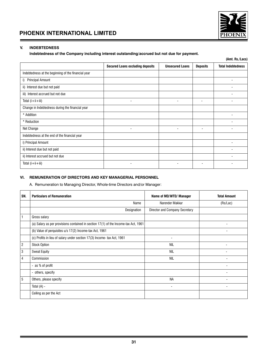



### **V. INDEBTEDNESS**

### **Indebtedness of the Company including interest outstanding/accrued but not due for payment.**

|                                                     |                                         |                        |                          | (Amt. Rs./Lacs)           |
|-----------------------------------------------------|-----------------------------------------|------------------------|--------------------------|---------------------------|
|                                                     | <b>Secured Loans excluding deposits</b> | <b>Unsecured Loans</b> | <b>Deposits</b>          | <b>Total Indebtedness</b> |
| Indebtedness at the beginning of the financial year |                                         |                        |                          |                           |
| i) Principal Amount                                 |                                         |                        |                          |                           |
| ii) Interest due but not paid                       |                                         |                        |                          |                           |
| iii) Interest accrued but not due                   |                                         |                        |                          |                           |
| Total $(i + ii + iii)$                              | $\blacksquare$                          | ٠                      | -                        |                           |
| Change in Indebtedness during the financial year    |                                         |                        |                          |                           |
| * Addition                                          |                                         |                        |                          |                           |
| * Reduction                                         |                                         |                        |                          |                           |
| Net Change                                          | $\overline{\phantom{a}}$                | ٠                      |                          |                           |
| Indebtedness at the end of the financial year       |                                         |                        |                          |                           |
| i) Principal Amount                                 |                                         |                        |                          |                           |
| ii) Interest due but not paid                       |                                         |                        |                          |                           |
| ii) Interest accrued but not due                    |                                         |                        |                          |                           |
| Total $(i+ii+iii)$                                  | $\overline{\phantom{a}}$                | ٠                      | $\overline{\phantom{a}}$ |                           |
|                                                     |                                         |                        |                          |                           |

### **VI. REMUNERATION OF DIRECTORS AND KEY MANAGERIAL PERSONNEL**

A. Remuneration to Managing Director, Whole-time Directors and/or Manager:

| SN.            | <b>Particulars of Remuneration</b>                                                  | Name of MD/WTD/ Manager        | <b>Total Amount</b> |  |
|----------------|-------------------------------------------------------------------------------------|--------------------------------|---------------------|--|
|                | Name                                                                                | Narender Makkar                | (Rs/Lac)            |  |
|                | Designation                                                                         | Director and Company Secretary |                     |  |
|                | Gross salary                                                                        |                                |                     |  |
|                | (a) Salary as per provisions contained in section 17(1) of the Income-tax Act, 1961 |                                |                     |  |
|                | (b) Value of perquisites u/s 17(2) Income-tax Act, 1961                             |                                |                     |  |
|                | (c) Profits in lieu of salary under section 17(3) Income- tax Act, 1961             | $\overline{\phantom{a}}$       |                     |  |
| $\overline{2}$ | <b>Stock Option</b>                                                                 | <b>NIL</b>                     |                     |  |
| 3              | <b>Sweat Equity</b>                                                                 | <b>NIL</b>                     |                     |  |
| 4              | Commission                                                                          | NIL                            |                     |  |
|                | - as % of profit                                                                    |                                |                     |  |
|                | - others, specify                                                                   |                                |                     |  |
| 5              | Others, please specify                                                              | <b>NA</b>                      |                     |  |
|                | Total $(A)$ -                                                                       | $\overline{\phantom{a}}$       |                     |  |
|                | Ceiling as per the Act                                                              |                                |                     |  |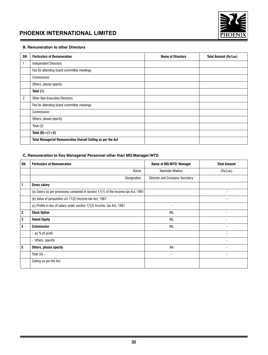

### **B. Remuneration to other Directors**

| SN.            | <b>Particulars of Remuneration</b>                           | <b>Name of Directors</b> | <b>Total Amount (Rs/Lac)</b> |
|----------------|--------------------------------------------------------------|--------------------------|------------------------------|
|                | <b>Independent Directors</b>                                 |                          |                              |
|                | Fee for attending board committee meetings                   |                          |                              |
|                | Commission                                                   |                          |                              |
|                | Others, please specify                                       |                          |                              |
|                | Total (1)                                                    |                          |                              |
| $\overline{2}$ | <b>Other Non-Executive Directors</b>                         |                          |                              |
|                | Fee for attending board committee meetings                   |                          |                              |
|                | Commission                                                   |                          |                              |
|                | Others, please specify                                       |                          |                              |
|                | Total (2)                                                    |                          |                              |
|                | Total $(B) = (1 + 2)$                                        |                          |                              |
|                | Total Managerial Remuneration Overall Ceiling as per the Act |                          |                              |

### **C. Remuneration to Key Managerial Personnel other than MD/Manager/WTD**

| SN.            | <b>Particulars of Remuneration</b>                                                  | Name of MD/WTD/ Manager        | <b>Total Amount</b> |  |
|----------------|-------------------------------------------------------------------------------------|--------------------------------|---------------------|--|
|                | Name                                                                                | Narender Makkar                | (Rs/Lac)            |  |
|                | Designation                                                                         | Director and Company Secretary |                     |  |
| 1              | <b>Gross salary</b>                                                                 |                                |                     |  |
|                | (a) Salary as per provisions contained in section 17(1) of the Income-tax Act, 1961 |                                |                     |  |
|                | (b) Value of perquisites u/s 17(2) Income-tax Act, 1961                             |                                |                     |  |
|                | (c) Profits in lieu of salary under section 17(3) Income- tax Act, 1961             | $\blacksquare$                 |                     |  |
| $\overline{2}$ | <b>Stock Option</b>                                                                 | <b>NIL</b>                     | ٠                   |  |
| 3              | <b>Sweat Equity</b>                                                                 | NIL                            |                     |  |
| 4              | <b>Commission</b>                                                                   | <b>NIL</b>                     |                     |  |
|                | - as % of profit                                                                    |                                |                     |  |
|                | - others, specify                                                                   |                                |                     |  |
| 5              | Others, please specify                                                              | <b>NA</b>                      |                     |  |
|                | Total (A) -                                                                         |                                |                     |  |
|                | Ceiling as per the Act                                                              |                                |                     |  |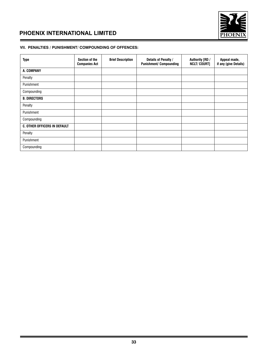

### **VII. PENALTIES / PUNISHMENT/ COMPOUNDING OF OFFENCES:**

| <b>Type</b>                         | Section of the<br><b>Companies Act</b> | <b>Brief Description</b> | Details of Penalty /<br><b>Punishment/ Compounding</b> | Authority [RD /<br><b>NCLT/COURT]</b> | Appeal made,<br>if any (give Details) |
|-------------------------------------|----------------------------------------|--------------------------|--------------------------------------------------------|---------------------------------------|---------------------------------------|
| A. COMPANY                          |                                        |                          |                                                        |                                       |                                       |
| Penalty                             |                                        |                          |                                                        |                                       |                                       |
| Punishment                          |                                        |                          |                                                        |                                       |                                       |
| Compounding                         |                                        |                          |                                                        |                                       |                                       |
| <b>B. DIRECTORS</b>                 |                                        |                          |                                                        |                                       |                                       |
| Penalty                             |                                        |                          |                                                        |                                       |                                       |
| Punishment                          |                                        |                          |                                                        |                                       |                                       |
| Compounding                         |                                        |                          |                                                        |                                       |                                       |
| <b>C. OTHER OFFICERS IN DEFAULT</b> |                                        |                          |                                                        |                                       |                                       |
| Penalty                             |                                        |                          |                                                        |                                       |                                       |
| Punishment                          |                                        |                          |                                                        |                                       |                                       |
| Compounding                         |                                        |                          |                                                        |                                       |                                       |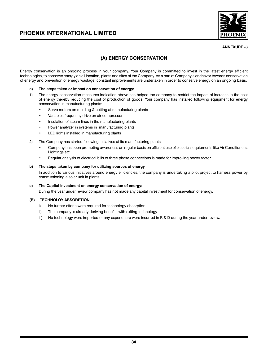

### **ANNEXURE -3**

### **(A) ENERGY CONSERVATION**

Energy conservation is an ongoing process in your company. Your Company is committed to invest in the latest energy efficient technologies, to conserve energy on all location, plants and sites of the Company. As a part of Company's endeavor towards conservation of energy and prevention of energy wastage, constant improvements are undertaken in order to conserve energy on an ongoing basis.

### **a) The steps taken or impact on conservation of energy:**

- 1) The energy conservation measures indication above has helped the company to restrict the impact of increase in the cost of energy thereby reducing the cost of production of goods. Your company has installed following equipment for energy conservation in manufacturing plants:-
	- Servo motors on molding & cutting at manufacturing plants
	- Variables frequency drive on air compressor
	- Insulation of steam lines in the manufacturing plants
	- Power analyzer in systems in manufacturing plants
	- LED lights installed in manufacturing plants
- 2) The Company has started following initiatives at its manufacturing plants
	- Company has been promoting awareness on regular basis on efficient use of electrical equipments like Air Conditioners, Lightings etc
	- Regular analysis of electrical bills of three phase connections is made for improving power factor

### **b) The steps taken by company for utilizing sources of energy**

In addition to various initiatives around energy efficiencies, the company is undertaking a pilot project to harness power by commissioning a solar unit in plants.

### **c) The Capital investment on energy conservation of energy:**

During the year under review company has not made any capital investment for conservation of energy.

### **(B) TECHNOLOY ABSORPTION**

- i) No further efforts were required for technology absorption
- ii) The company is already deriving benefits with exiting technology
- iii) No technology were imported or any expenditure were incurred in R & D during the year under review.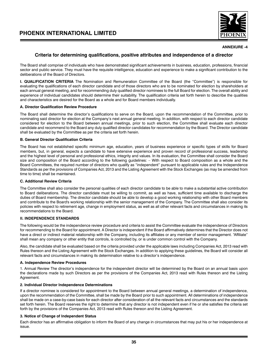

### **ANNEXURE -4**

### **Criteria for determining qualifications, positive attributes and independence of a director**

The Board shall comprise of individuals who have demonstrated significant achievements in business, education, professions, financial sector and public service. They must have the requisite intelligence, education and experience to make a significant contribution to the deliberations of the Board of Directors.

**I. QUALIFICATION CRITERIA** The Nomination and Remuneration Committee of the Board (the "Committee") is responsible for evaluating the qualifications of each director candidate and of those directors who are to be nominated for election by shareholders at each annual general meeting, and for recommending duly qualified director nominees to the full Board for election. The overall ability and experience of individual candidates should determine their suitability. The qualification criteria set forth herein to describe the qualities and characteristics are desired for the Board as a whole and for Board members individually.

### **A. Director Qualification Review Procedure**

The Board shall determine the director's qualifications to serve on the Board, upon the recommendation of the Committee, prior to nominating said director for election at the Company's next annual general meeting. In addition, with respect to each director candidate considered for election to the Board between annual meetings, prior to such election, the Committee shall evaluate each director candidate and recommend to the Board any duly qualified director candidates for recommendation by the Board. The Director candidate shall be evaluated by the Committee as per the criteria set forth herein.

### **B. General Director Qualification Criteria**

The Board has not established specific minimum age, education, years of business experience or specific types of skills for Board members, but, in general, expects a candidate to have extensive experience and proven record of professional success, leadership and the highest level of personal and professional ethics, integrity and values. In its evaluation, the Committee shall consider the Board size and composition of the Board according to the following guidelines: – With respect to Board composition as a whole and the Board Committees, the required number of directors who qualify as "independent" pursuant to applicable rules and the Independence Standards as per the provisions of Companies Act, 2013 and the Listing Agreement with the Stock Exchanges (as may be amended from time to time) shall be maintained.

### **C. Additional Review Criteria**

The Committee shall also consider the personal qualities of each director candidate to be able to make a substantial active contribution to Board deliberations. The director candidate must be willing to commit, as well as have, sufficient time available to discharge the duties of Board membership. The director candidate should be able to develop a good working relationship with other Board members and contribute to the Board's working relationship with the senior management of the Company. The Committee shall also consider its policies with respect to retirement age, change in employment status, as well as all other relevant facts and circumstances in making its recommendations to the Board.

### **II. INDEPENDENCE STANDARDS**

The following would be the independence review procedure and criteria to assist the Committee evaluate the independence of Directors for recommending to the Board for appointment. A Director is independent if the Board affirmatively determines that the Director does not have a direct or indirect material relationship with the Company, including its affiliates or any member of senior management. "Affiliate" shall mean any company or other entity that controls, is controlled by, or is under common control with the Company.

Also, the candidate shall be evaluated based on the criteria provided under the applicable laws including Companies Act, 2013 read with Rules thereon and the Listing Agreement with the Stock Exchanges. In addition to applying these guidelines, the Board will consider all relevant facts and circumstances in making its determination relative to a director's independence.

### **A. Independence Review Procedures**

1. Annual Review The director's independence for the independent director will be determined by the Board on an annual basis upon the declarations made by such Directors as per the provisions of the Companies Act, 2013 read with Rules thereon and the Listing Agreement.

### **2. Individual Director Independence Determinations**

If a director nominee is considered for appointment to the Board between annual general meetings, a determination of independence, upon the recommendation of the Committee, shall be made by the Board prior to such appointment. All determinations of independence shall be made on a case-by-case basis for each director after consideration of all the relevant facts and circumstances and the standards set forth herein. The Board reserves the right to determine that any director is not independent even if he or she satisfies the criteria set forth by the provisions of the Companies Act, 2013 read with Rules thereon and the Listing Agreement.

### **3. Notice of Change of Independent Status**

Each director has an affirmative obligation to inform the Board of any change in circumstances that may put his or her independence at issue.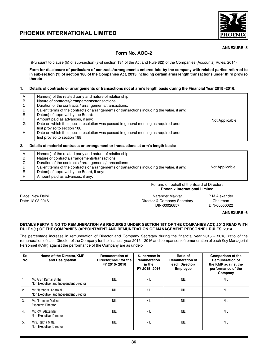

### **ANNEXURE -5**

### **Form No. AOC-2**

(Pursuant to clause (h) of sub-section (3)of section 134 of the Act and Rule 8(2) of the Companies (Accounts) Rules, 2014)

**Form for disclosure of particulars of contracts/arrangements entered into by the company with related parties referred to in sub-section (1) of section 188 of the Companies Act, 2013 including certain arms length transactions under third proviso thereto**

### **1. Details of contracts or arrangements or transactions not at arm's length basis during the Financial Year 2015 -2016:**

| A | Name(s) of the related party and nature of relationship:                                    |                |
|---|---------------------------------------------------------------------------------------------|----------------|
| в | Nature of contracts/arrangements/transactions                                               |                |
| С | Duration of the contracts / arrangements/transactions:                                      |                |
| D | Salient terms of the contracts or arrangements or transactions including the value, if any: |                |
|   | Date(s) of approval by the Board:                                                           |                |
|   | Amount paid as advances, if any:                                                            | Not Applicable |
| G | Date on which the special resolution was passed in general meeting as required under        |                |
|   | first proviso to section 188:                                                               |                |
| H | Date on which the special resolution was passed in general meeting as required under        |                |
|   | first proviso to section 188:                                                               |                |
|   |                                                                                             |                |

### **2. Details of material contracts or arrangement or transactions at arm's length basis:**

| Name(s) of the related party and nature of relationship:                                    |                |
|---------------------------------------------------------------------------------------------|----------------|
| Nature of contracts/arrangements/transactions:                                              |                |
| Duration of the contracts / arrangements/transactions:                                      |                |
| Salient terms of the contracts or arrangements or transactions including the value, if any: | Not Applicable |
| Date(s) of approval by the Board, if any:                                                   |                |
| Amount paid as advances, if any:                                                            |                |
|                                                                                             |                |

For and on behalf of the Board of Directors **Phoenix International Limited**

Place: New Delhi **Place: New Delhi Narender Makkar** PM Alexander Makkar PM Alexander PM Alexander PM Alexander<br>Director & Company Secretary Chairman Director & Company Secretary Chairman<br>DIN-00050022.2016 DIN-00050022 DIN-00026857

**ANNEXURE -6**

### **DETAILS PERTAINING TO REMUNERATION AS REQUIRED UNDER SECTION 197 OF THE COMPANIES ACT, 2013 READ WITH RULE 5(1) OF THE COMPANIES (APPOINTMENT AND REMUNERATION OF MANAGEMENT PERSONNEL RULES, 2014**

The percentage increase in remuneration of Director and Company Secretary during the financial year 2015 – 2016, ratio of the remuneration of each Director of the Company for the financial year 2015 – 2016 and comparison of remuneration of each Key Managerial Personnel (KMP) against the performance of the Company are as under:-

| Sr.<br>No | Name of the Director/KMP<br>and Designation                    | <b>Remuneration of</b><br>Director/KMP for the<br>FY 2015-2016 | % increase in<br>remuneration<br>in the<br>FY 2015-2016 | Ratio of<br><b>Remuneration of</b><br>each Director/<br><b>Employee</b> | <b>Comparison of the</b><br><b>Remuneration of</b><br>the KMP against the<br>performance of the<br>Company |
|-----------|----------------------------------------------------------------|----------------------------------------------------------------|---------------------------------------------------------|-------------------------------------------------------------------------|------------------------------------------------------------------------------------------------------------|
|           | Mr. Arun Kumar Sinha<br>Non Executive and Independent Director | <b>NIL</b>                                                     | NIL                                                     | <b>NIL</b>                                                              | <b>NIL</b>                                                                                                 |
| 2.        | Mr. Narendra Agarwal<br>Non Executive and Independent Director | <b>NIL</b>                                                     | <b>NIL</b>                                              | <b>NIL</b>                                                              | <b>NIL</b>                                                                                                 |
| 3.        | Mr. Narender Makkar<br><b>Executive Director</b>               | <b>NIL</b>                                                     | <b>NIL</b>                                              | <b>NIL</b>                                                              | <b>NIL</b>                                                                                                 |
| 4.        | Mr. P.M. Alexander<br>Non Executive Director                   | <b>NIL</b>                                                     | <b>NIL</b>                                              | <b>NIL</b>                                                              | <b>NIL</b>                                                                                                 |
| 5.        | Mrs. Rekha Mittal<br>Non Executive Director                    | <b>NIL</b>                                                     | <b>NIL</b>                                              | <b>NIL</b>                                                              | <b>NIL</b>                                                                                                 |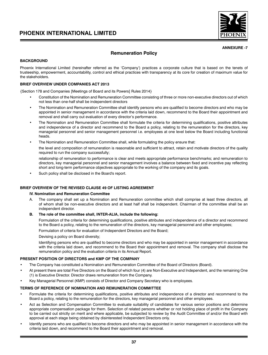

### **ANNEXURE -7**

### **Remuneration Policy**

### **BACKGROUND**

Phoenix International Limited (hereinafter referred as the 'Company') practices a corporate culture that is based on the tenets of trusteeship, empowerment, accountability, control and ethical practices with transparency at its core for creation of maximum value for the stakeholders.

### **BRIEF OVERVIEW UNDER COMPANIES ACT 2013**

{Section 178 and Companies [Meetings of Board and its Powers] Rules 2014}

- Constitution of the Nomination and Remuneration Committee consisting of three or more non-executive directors out of which not less than one-half shall be independent directors
- The Nomination and Remuneration Committee shall identify persons who are qualified to become directors and who may be appointed in senior management in accordance with the criteria laid down, recommend to the Board their appointment and removal and shall carry out evaluation of every director's performance.
- The Nomination and Remuneration Committee shall formulate the criteria for determining qualifications, positive attributes and independence of a director and recommend to the Board a policy, relating to the remuneration for the directors, key managerial personnel and senior management personnel i.e. employees at one level below the Board including functional heads.
- The Nomination and Remuneration Committee shall, while formulating the policy ensure that:

the level and composition of remuneration is reasonable and sufficient to attract, retain and motivate directors of the quality required to run the company successfully;

relationship of remuneration to performance is clear and meets appropriate performance benchmarks; and remuneration to directors, key managerial personnel and senior management involves a balance between fixed and incentive pay reflecting short and long-term performance objectives appropriate to the working of the company and its goals.

Such policy shall be disclosed in the Board's report.

### **BRIEF OVERVIEW OF THE REVISED CLAUSE 49 OF LISTING AGREEMENT**

### **IV. Nomination and Remuneration Committee**

- A. The company shall set up a Nomination and Remuneration committee which shall comprise at least three directors, all of whom shall be non-executive directors and at least half shall be independent. Chairman of the committee shall be an independent director.
- **B. The role of the committee shall, INTER-ALIA, include the following:**

Formulation of the criteria for determining qualifications, positive attributes and independence of a director and recommend to the Board a policy, relating to the remuneration of the directors, key managerial personnel and other employees;

Formulation of criteria for evaluation of Independent Directors and the Board;

Devising a policy on Board diversity;

Identifying persons who are qualified to become directors and who may be appointed in senior management in accordance with the criteria laid down, and recommend to the Board their appointment and removal. The company shall disclose the remuneration policy and the evaluation criteria in its Annual Report.

### **PRESENT POSITION OF DIRECTORS and KMP OF THE COMPANY**

- The Company has constituted a Nomination and Remuneration Committee of the Board of Directors (Board).
- At present there are total Five Directors on the Board of which four (4) are Non-Executive and Independent, and the remaining One (1) is Executive Director. Director draws remuneration from the Company.
- Key Managerial Personnel (KMP) consists of Director and Company Secretary who is employees.

### **TERMS OF REFERENCE OF NOMINATION AND REMUNERATION COMMITTEE**

- Formulate the criteria for determining qualifications, positive attributes and independence of a director and recommend to the Board a policy, relating to the remuneration for the directors, key managerial personnel and other employees.
- Act as Selection and Compensation Committee to evaluate suitability of candidates for various senior positions and determine appropriate compensation package for them. Selection of related persons whether or not holding place of profit in the Company to be carried out strictly on merit and where applicable, be subjected to review by the Audit Committee of and/or the Board with approval at each stage being obtained by disinterested Independent Directors only.
- Identify persons who are qualified to become directors and who may be appointed in senior management in accordance with the criteria laid down, and recommend to the Board their appointment and removal.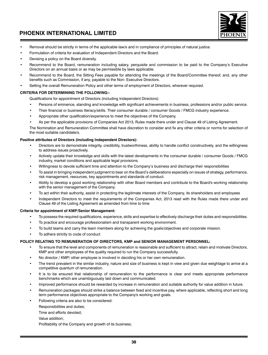

- Removal should be strictly in terms of the applicable law/s and in compliance of principles of natural justice.
- Formulation of criteria for evaluation of Independent Directors and the Board.
- Devising a policy on the Board diversity.
- Recommend to the Board, remuneration including salary, perquisite and commission to be paid to the Company's Executive Directors on an annual basis or as may be permissible by laws applicable.
- Recommend to the Board, the Sitting Fees payable for attending the meetings of the Board/Committee thereof, and, any other benefits such as Commission, if any, payable to the Non- Executive Directors.
- Setting the overall Remuneration Policy and other terms of employment of Directors, wherever required.

### **CRITERIA FOR DETERMINING THE FOLLOWING:-**

Qualifications for appointment of Directors (including Independent Directors):

- Persons of eminence, standing and knowledge with significant achievements in business, professions and/or public service.
- Their financial or business literacy/skills. Their consumer durable / consumer Goods / FMCG industry experience.
- Appropriate other qualification/experience to meet the objectives of the Company.
- As per the applicable provisions of Companies Act 2013, Rules made there under and Clause 49 of Listing Agreement.

The Nomination and Remuneration Committee shall have discretion to consider and fix any other criteria or norms for selection of the most suitable candidate/s.

### **Positive attributes of Directors (including Independent Directors):**

- Directors are to demonstrate integrity, credibility, trustworthiness, ability to handle conflict constructively, and the willingness to address issues proactively.
- Actively update their knowledge and skills with the latest developments in the consumer durable / consumer Goods / FMCG industry, market conditions and applicable legal provisions.
- Willingness to devote sufficient time and attention to the Company's business and discharge their responsibilities
- To assist in bringing independent judgment to bear on the Board's deliberations especially on issues of strategy, performance, risk management, resources, key appointments and standards of conduct.
- Ability to develop a good working relationship with other Board members and contribute to the Board's working relationship with the senior management of the Company.
- To act within their authority, assist in protecting the legitimate interests of the Company, its shareholders and employees
- Independent Directors to meet the requirements of the Companies Act, 2013 read with the Rules made there under and Clause 49 of the Listing Agreement as amended from time to time

### **Criteria for appointment of KMP/Senior Management:**

- To possess the required qualifications, experience, skills and expertise to effectively discharge their duties and responsibilities.
- To practice and encourage professionalism and transparent working environment.
- To build teams and carry the team members along for achieving the goals/objectives and corporate mission.
- To adhere strictly to code of conduct

### **POLICY RELATING TO REMUNERATION OF DIRECTORS, KMP and SENIOR MANAGEMENT PERSONNEL:**

- To ensure that the level and components of remuneration is reasonable and sufficient to attract, retain and motivate Directors, KMP and other employees of the quality required to run the Company successfully.
- No director / KMP/ other employee is involved in deciding his or her own remuneration.
- The trend prevalent in the similar industry, nature and size of business is kept in view and given due weightage to arrive at a competitive quantum of remuneration.
- It is to be ensured that relationship of remuneration to the performance is clear and meets appropriate performance benchmarks which are unambiguously laid down and communicated.
- Improved performance should be rewarded by increase in remuneration and suitable authority for value addition in future.
- Remuneration packages should strike a balance between fixed and incentive pay, where applicable, reflecting short and long term performance objectives appropriate to the Company's working and goals.
- Following criteria are also to be considered:
	- Responsibilities and duties;
	- Time and efforts devoted;
	- Value addition;
	- Profitability of the Company and growth of its business;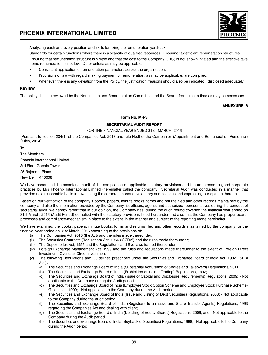

Analyzing each and every position and skills for fixing the remuneration yardstick;

Standards for certain functions where there is a scarcity of qualified resources. Ensuring tax efficient remuneration structures.

Ensuring that remuneration structure is simple and that the cost to the Company (CTC) is not shown inflated and the effective take home remuneration is not low. Other criteria as may be applicable.

- Consistent application of remuneration parameters across the organisation.
- Provisions of law with regard making payment of remuneration, as may be applicable, are complied.
- Whenever, there is any deviation from the Policy, the justification /reasons should also be indicated / disclosed adequately.

### **REVIEW**

The policy shall be reviewed by the Nomination and Remuneration Committee and the Board, from time to time as may be necessary

**ANNEXURE -8**

### **Form No. MR-3**

### **SECRETARIAL AUDIT REPORT**

### FOR THE FINANCIAL YEAR ENDED 31ST MARCH, 2016

[Pursuant to section 204(1) of the Companies Act, 2013 and rule No.9 of the Companies (Appointment and Remuneration Personnel) Rules, 2014]

To,

The Members, Phoenix International Limited

3rd Floor Gopala Tower

25 Rajendra Place

New Delhi -110008

We have conducted the secretarial audit of the compliance of applicable statutory provisions and the adherence to good corporate practices by M/s Phoenix International Limited (hereinafter called the company). Secretarial Audit was conducted in a manner that provided us a reasonable basis for evaluating the corporate conducts/statutory compliances and expressing our opinion thereon.

Based on our verification of the company's books, papers, minute books, forms and returns filed and other records maintained by the company and also the information provided by the Company, its officers, agents and authorized representatives during the conduct of secretarial audit, we hereby report that in our opinion, the Company has, during the audit period covering the financial year ended on 31st March, 2016 (Audit Period) complied with the statutory provisions listed hereunder and also that the Company has proper boardprocesses and compliance-mechanism in place to the extent, in the manner and subject to the reporting made hereinafter:

We have examined the books, papers, minute books, forms and returns filed and other records maintained by the company for the financial year ended on 31st March, 2016 according to the provisions of:

- (i) The Companies Act, 2013 (the Act) and the rules made thereunder;
- (ii) The Securities Contracts (Regulation) Act, 1956 ('SCRA') and the rules made thereunder;
- (iii) The Depositories Act, 1996 and the Regulations and Bye-laws framed thereunder;
- (iv) Foreign Exchange Management Act, 1999 and the rules and regulations made thereunder to the extent of Foreign Direct Investment, Overseas Direct Investment
- (v) The following Regulations and Guidelines prescribed under the Securities and Exchange Board of India Act, 1992 ('SEBI Act'):-
	- (a) The Securities and Exchange Board of India (Substantial Acquisition of Shares and Takeovers) Regulations, 2011;
	- (b) The Securities and Exchange Board of India (Prohibition of Insider Trading) Regulations, 1992;
	- (c) The Securities and Exchange Board of India (Issue of Capital and Disclosure Requirements) Regulations, 2009; Not applicable to the Company during the Audit period
	- (d) The Securities and Exchange Board of India (Employee Stock Option Scheme and Employee Stock Purchase Scheme) Guidelines, 1999; - Not applicable to the Company during the Audit period
	- (e) The Securities and Exchange Board of India (Issue and Listing of Debt Securities) Regulations, 2008; Not applicable to the Company during the Audit period
	- (f) The Securities and Exchange Board of India (Registrars to an Issue and Share Transfer Agents) Regulations, 1993 regarding the Companies Act and dealing with client;
	- (g) The Securities and Exchange Board of India (Delisting of Equity Shares) Regulations, 2009; and Not applicable to the Company during the Audit period
	- (h) The Securities and Exchange Board of India (Buyback of Securities) Regulations, 1998; Not applicable to the Company during the Audit period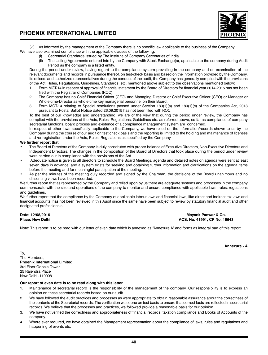

(vi) As informed by the management of the Company there is no specific law applicable to the business of the Company. We have also examined compliance with the applicable clauses of the following:

- Secretarial Standards issued by The Institute of Company Secretaries of India.
	- (ii) The Listing Agreements entered into by the Company with Stock Exchange(s), applicable to the company during Audit Period as the company is a listed entity.

During the period under review, having regard to the compliance system prevailing in the company and on examination of the relevant documents and records in pursuance thereof, on test-check basis and based on the information provided by the Company, its officers and authorized representatives during the conduct of the audit, the Company has generally complied with the provisions of the Act, Rules, Regulations, Guidelines, Standards, etc. mentioned above subject to the observations mentioned below:<br>1. Form MGT-14 in respect of approval of financial statement by the Board of Directors for financial

- Form MGT-14 in respect of approval of financial statement by the Board of Directors for financial year 2014-2015 has not been filed with the Registrar of Companies (ROC).
- 2 The Company has no Chief Financial Officer (CFO) and Managing Director or Chief Executive Officer (CEO) or Manager or Whole-time-Director as whole-time key managerial personnel on their Board.
- 3 Form MGT-14 relating to Special resolutions passed under Section 180(1)(a) and 180(1)(c) of the Companies Act, 2013 pursuant to Postal Ballot Notice dated 26.09.2015 has not been filed with ROC.

To the best of our knowledge and understanding, we are of the view that during the period under review, the Company has complied with the provisions of the Acts, Rules, Regulations, Guidelines etc. as referred above, so far as compliance of company secretarial functions, board process and existence of a compliance management system are concerned.

In respect of other laws specifically applicable to the Company, we have relied on the information/records shown to us by the Company during the course of our audit on test check basis and the reporting is limited to the holding and maintenance of licenses and /or registration under the Acts, Rules, Regulations as specified by the Company.

### **We further report that**

- The Board of Directors of the Company is duly constituted with proper balance of Executive Directors, Non-Executive Directors and Independent Directors. The changes in the composition of the Board of Directors that took place during the period under review were carried out in compliance with the provisions of the Act.
- Adequate notice is given to all directors to schedule the Board Meetings, agenda and detailed notes on agenda were sent at least seven days in advance, and a system exists for seeking and obtaining further information and clarifications on the agenda items before the meeting and for meaningful participation at the meeting.
- As per the minutes of the meeting duly recorded and signed by the Chairman, the decisions of the Board unanimous and no dissenting views have been recorded.

We further report that as represented by the Company and relied upon by us there are adequate systems and processes in the company commensurate with the size and operations of the company to monitor and ensure compliance with applicable laws, rules, regulations and guidelines.

We further report that the compliance by the Company of applicable labour laws and financial laws, like direct and indirect tax laws and financial accounts, has not been reviewed in this Audit since the same have been subject to review by statutory financial audit and other designated professionals.

### **Date: 12/08/2016 Mayank Panwar & Co. Place: New Delhi ACS. No. 41991, CP No. 15643**

Note: This report is to be read with our letter of even date which is annexed as "Annexure A" and forms as integral part of this report.

**Annexure - A**

To, The Members, **Phoenix International Limited** 3rd Floor Gopala Tower 25 Rajendra Place New Delhi -110008

### **Our report of even date is to be read along with this letter.**

- 1. Maintenance of secretarial record is the responsibility of the management of the company. Our responsibility is to express an opinion on these secretarial records based on our audit.
- 2. We have followed the audit practices and processes as were appropriate to obtain reasonable assurance about the correctness of the contents of the Secretarial records. The verification was done on test basis to ensure that correct facts are reflected in secretarial records. We believe that the processes and practices, we followed provide a reasonable basis for our opinion.
- 3. We have not verified the correctness and appropriateness of financial records, taxation compliance and Books of Accounts of the company.
- 4. Where ever required, we have obtained the Management representation about the compliance of laws, rules and regulations and happening of events etc.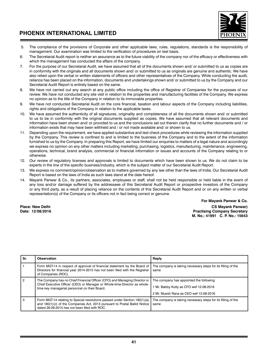

- 5. The compliance of the provisions of Corporate and other applicable laws, rules, regulations, standards is the responsibility of management. Our examination was limited to the verification of procedures on test basis.
- 6. The Secretarial Audit report is neither an assurance as to the future viability of the company nor of the efficacy or effectiveness with which the management has conducted the affairs of the company.
- 7. For the purpose of our Secretarial Audit, we have assumed that all of the documents shown and/ or submitted to us as copies are in conformity with the originals and all documents shown and/ or submitted to us as originals are genuine and authentic. We have also relied upon the verbal or written statements of officers and other representatives of the Company. While conducting the audit, reliance has been placed on the information, documents and undertakings shown and/ or submitted to us by the Company and our Secretarial Audit Report is entirely based on the same.
- 8. We have not carried out any search at any public office including the office of Registrar of Companies for the purposes of our review. We have not conducted any site visit in relation to the properties and manufacturing facilities of the Company. We express no opinion as to the title of the Company in relation to its immovable properties.
- 9. We have not conducted Secretarial Audit on the core financial, taxation and labour aspects of the Company including liabilities, rights and obligations of the Company in relation to the applicable taxes.
- 10. We have assumed the authenticity of all signatures, originality and completeness of all the documents shown and/ or submitted to us to be in conformity with the original documents supplied as copies. We have assumed that all relevant documents and information have been shown and/ or provided to us and the conclusions set out therein clarify that no further documents and / or information exists that may have been withheld and / or not made available and/ or shown to us.
- 11. Depending upon the requirement, we have applied substantive and test check procedures while reviewing the information supplied by the Company. This review is confined to and is limited to the business of the Company and to the extent of the information furnished to us by the Company. In preparing this Report, we have limited our enquiries to matters of a legal nature and accordingly we express no opinion on any other matters including marketing, purchasing, logistics, manufacturing, maintenance, engineering, operations, technical, brand analysis, commercial or financial information or issues and accounts of the Company relating to or otherwise.
- 12. Our review of regulatory licenses and approvals is limited to documents which have been shown to us. We do not claim to be experts in the line of the specific business/industry, which is the subject matter of our Secretarial Audit Report.
- 13. We express no comment/opinion/observation as to matters governed by any law other than the laws of India. Our Secretarial Audit Report is based on the laws of India as such laws stand at the date hereof.
- 14. Mayank Panwar & Co., its partners, associates, employees or staff, shall not be held responsible or held liable in the event of any loss and/or damage suffered by the addressees of this Secretarial Audit Report or prospective investors of the Company or any third party, as a result of placing reliance on the contents of this Secretarial Audit Report and or on any written or verbal representation(s) of the Company or its officers not in fact being correct or genuine.

 **For Mayank Panwar & Co. Place: New Delhi CS Mayank Panwar) Practising Company Secretary M. No.: 41991 C. P. No.: 15643**

| Sr. | Observation                                                                                                                                                                                              | Reply                                                                                                                        |
|-----|----------------------------------------------------------------------------------------------------------------------------------------------------------------------------------------------------------|------------------------------------------------------------------------------------------------------------------------------|
|     | Form MGT-14 in respect of approval of financial statement by the Board of<br>Directors for financial year 2014-2015 has not been filed with the Registrar<br>of Companies (ROC).                         | The company is taking necessary steps for its filling of the<br>same                                                         |
|     | The Company has no Chief Financial Officer (CFO) and Managing Director or<br>Chief Executive Officer (CEO) or Manager or Whole-time-Director as whole-<br>time key managerial personnel on their Board.  | The company has appointed the following<br>1 Mr. Babby Kutty as CFO wef 12-08-2016<br>2 Mr. Muesh Rana as CEO wef 12-08-2016 |
| 3   | Form MGT-14 relating to Special resolutions passed under Section 180(1)(a)<br>and 180(1)(c) of the Companies Act, 2013 pursuant to Postal Ballot Notice<br>dated 26.09.2015 has not been filed with ROC. | The company is taking necessary steps for its filling of the<br>same                                                         |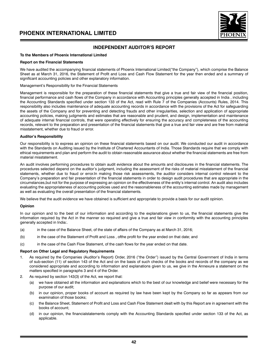

### **INDEPENDENT AUDITOR'S REPORT**

### **To the Members of Phoenix International Limited**

#### **Report on the Financial Statements**

We have audited the accompanying financial statements of Phoenix International Limited("the Company"), which comprise the Balance Sheet as at March 31, 2016, the Statement of Profit and Loss and Cash Flow Statement for the year then ended and a summary of significant accounting policies and other explanatory information.

#### Management's Responsibility for the Financial Statements

Management is responsible for the preparation of these financial statements that give a true and fair view of the financial position, financial performance and cash flows of the Company in accordance with Accounting principles generally accepted in India , including the Accounting Standards specified under section 133 of the Act, read with Rule 7 of the Companies (Accounts) Rules, 2014. This responsibility also includes maintenance of adequate accounting records in accordance with the provisions of the Act for safeguarding the assets of the Company and for preventing and detecting frauds and other irregularities, selection and application of appropriate accounting policies, making judgments and estimates that are reasonable and prudent, and design, implementation and maintenance of adequate internal financial controls, that were operating effectively for ensuring the accuracy and completeness of the accounting records, relevant to the preparation and presentation of the financial statements that give a true and fair view and are free from material misstatement, whether due to fraud or error.

### **Auditor's Responsibility**

Our responsibility is to express an opinion on these financial statements based on our audit. We conducted our audit in accordance with the Standards on Auditing issued by the Institute of Chartered Accountants of India. Those Standards require that we comply with ethical requirements and plan and perform the audit to obtain reasonable assurance about whether the financial statements are free from material misstatement.

An audit involves performing procedures to obtain audit evidence about the amounts and disclosures in the financial statements. The procedures selected depend on the auditor's judgment, including the assessment of the risks of material misstatement of the financial statements, whether due to fraud or error.In making those risk assessments, the auditor considers internal control relevant to the Company's preparation and fair presentation of the financial statements in order to design audit procedures that are appropriate in the circumstances,but not for the purpose of expressing an opinion on the effectiveness of the entity's internal control. An audit also includes evaluating the appropriateness of accounting policies used and the reasonableness of the accounting estimates made by management as well as evaluating the overall presentation of the financial statements.

We believe that the audit evidence we have obtained is sufficient and appropriate to provide a basis for our audit opinion.

### **Opinion**

In our opinion and to the best of our information and according to the explanations given to us, the financial statements give the information required by the Act in the manner so required and give a true and fair view in conformity with the accounting principles generally accepted in India:.

- (a) in the case of the Balance Sheet, of the state of affairs of the Company as at March 31, 2016;
- (b) in the case of the Statement of Profit and Loss , ofthe profit for the year ended on that date; and
- (c) in the case of the Cash Flow Statement, of the cash flows for the year ended on that date.

### **Report on Other Legal and Regulatory Requirements**

- 1. As required by the Companies (Auditor's Report) Order, 2016 ("the Order") issued by the Central Government of India in terms of sub-section (11) of section 143 of the Act and on the basis of such checks of the books and records of the company as we considered appropriate and according to information and explanations given to us, we give in the Annexure a statement on the matters specified in paragraphs 3 and 4 of the Order.
- 2. As required by section 143(3) of the Act, we report that:
	- (a) we have obtained all the information and explanations which to the best of our knowledge and belief were necessary for the purpose of our audit;
	- (b) in our opinion, proper books of account as required by law have been kept by the Company so far as appears from our examination of those books;
	- (c) the Balance Sheet, Statement of Profit and Loss and Cash Flow Statement dealt with by this Report are in agreement with the books of account;
	- (d) in our opinion, the financialstatements comply with the Accounting Standards specified under section 133 of the Act, as applicable.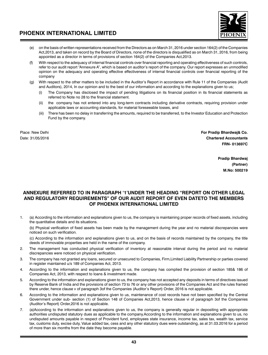

- (e) on the basis of written representations received from the Directors as on March 31, 2016 under section 164(2) of the Companies Act,2013, and taken on record by the Board of Directors, none of the directors is disqualified as on March 31, 2016, from being appointed as a director in terms of provisions of section 164(2) of the Companies Act,2013.
- With respect to the adequacy of internal financial controls over financial reporting and operating effectiveness of such controls, refer to our audit report "Annexure A", which is based on auditor's report of the company. Our report expresses an unmodified opinion on the adequacy and operating effective effectiveness of internal financial controls over financial reporting of the company
- (g) With respect to the other matters to be included in the Auditor's Report in accordance with Rule 11 of the Companies (Audit and Auditors), 2014, In our opinion and to the best of our information and according to the explanations given to us;
	- The Company has disclosed the impact of pending litigations on its financial position in its financial statements as referred to Note no 28 to the financial statement.
	- (ii) the company has not entered into any long-term contracts including derivative contracts, requiring provision under applicable laws or accounting standards, for material foreseeable losses, and
	- (iii) There has been no delay in transferring the amounts, required to be transferred, to the Investor Education and Protection Fund by the company.

Place: New Delhi **For Pradip Bhardwaj& Co.** Date: 31/05/2016 **Chartered Accountants FRN- 013697C**

> **Pradip Bhardwaj (Partner) M.No: 500219**

### **ANNEXURE REFERRED TO IN PARAGRAPH '1'UNDER THE HEADING "REPORT ON OTHER LEGAL AND REGULATORY REQUIREMENTS" OF OUR AUDIT REPORT OF EVEN DATETO THE MEMBERS OF PHOENIX INTERNATIONAL LIMITED**

1. (a) According to the information and explanations given to us, the company is maintaining proper records of fixed assets, including the quantitative details and its situations.

(b) Physical verification of fixed assets has been made by the management during the year and no material discrepancies were noticed on such verification.

(c) According to the information and explanations given to us, and on the basis of records maintained by the company, the title deeds of immovable properties are held in the name of the company.

- 2. The management has conducted physical verification of inventory at reasonable interval during the period and no material discrepancies were noticed on physical verification.
- 3. The company has not granted any loans, secured or unsecured to Companies, Firm,Limited Liability Partnership or parties covered in register maintained u/s 189 of Companies Act, 2013.
- 4. According to the information and explanations given to us, the company has complied the provision of section 185& 186 of Companies Act, 2013, with respect to loans & investment made.
- 5. According to the information and explanations given to us, the company has not accepted any deposits in terms of directives issued by Reserve Bank of India and the provisions of section 73 to 76 or any other provisions of the Companies Act and the rules framed there under, hence clause v of paragraph 3of the Companies (Auditor's Report) Order, 2016 is not applicable.
- 6. According to the information and explanations given to us, maintenance of cost records have not been specified by the Central Government under sub- section (1) of Section 148 of Companies Act,2013, hence clause vi of paragraph 3of the Companies (Auditor's Report) Order,2016 is not applicable.
- 7. (a)According to the information and explanations given to us, the company is generally regular in depositing with appropriate authorities undisputed statutory dues as applicable to the company.According to the information and explanations given to us, no undisputed amounts payable in respect of Provident fund, employees state insurance, income tax, sales tax, wealth tax, service tax, customs duty, excise duty, Value added tax, cess and any other statutory dues were outstanding, as at 31.03.2016 for a period of more than six months from the date they become payable.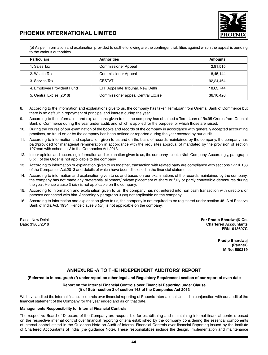

(b) As per information and explanation provided to us,the following are the contingent liabilities against which the appeal is pending to the various authorities

| <b>Particulars</b>         | <b>Authorities</b>                 | <b>Amounts</b> |
|----------------------------|------------------------------------|----------------|
| 1. Sales Tax               | <b>Commissioner Appeal</b>         | 2,91,515       |
| 2. Wealth Tax              | <b>Commissioner Appeal</b>         | 8.45.144       |
| 3. Service Tax             | <b>CESTAT</b>                      | 92.24.464      |
| 4. Employee Provident Fund | EPF Appellate Tribunal, New Delhi  | 18.63.744      |
| 5. Central Excise (2016)   | Commissioner appeal Central Excise | 36,10,420      |

- 8. According to the information and explanations give to us, the company has taken TermLoan from Oriental Bank of Commerce but there is no default in repayment of principal and interest during the year.
- 9. According to the information and explanations given to us, the company has obtained a Term Loan of Rs.95 Crores from Oriental Bank of Commerce during the year under audit, and which is applied for the purpose for which those are raised.
- 10. During the course of our examination of the books and records of the company in accordance with generally accepted accounting practices, no fraud on or by the company has been noticed or reported during the year covered by our audit.
- 11. According to information and explanation given to us and on the basis of records maintained by the company, the company has paid/provided for managerial remuneration in accordance with the requisites approval of mandated by the provision of section 197read with schedule V to the Companies Act 2013.
- 12. In our opinion and according information and explanation given to us, the company is not a NidhiCompany. Accordingly, paragraph 3 (xii) of the Order is not applicable to the company.
- 13. According to information or explanation given to us together, transaction with related party are compliance with sections 177 & 188 of the Companies Act,2013 and details of which have been disclosed in the financial statements.
- 14. According to information and explanation given to us and based on our examinations of the records maintained by the company, the company has not made any preferential allotment/ private placement of share or fully or partly convertible debentures during the year. Hence clause 3 (xiv) is not applicable on the company.
- 15. According to information and explanation given to us, the company has not entered into non cash transaction with directors or persons connected with him. Accordingly paragraph 3 (xv) not applicable on the company.
- 16. According to information and explanation given to us, the company is not required to be registered under section 45-IA of Reserve Bank of India Act, 1934, Hence clause 3 (xvi) is not applicable on the company.

Place: New Delhi **For Pradip Bhardwaj& Co. Chartered Accountants FRN- 013697C**

> **Pradip Bhardwaj (Partner) M.No: 500219**

### **ANNEXURE -A TO THE INDEPENDENT AUDITORS' REPORT**

**(Referred to in paragraph (f) under report on other legal and Regulatory Requirement section of our report of even date**

### **Report on the Internal Financial Controls over Financial Reporting under Clause (i) of Sub –section 3 of section 143 of the Companies Act 2013**

We have audited the internal financial controls over financial reporting of Phoenix International Limited in conjunction with our audit of the financial statement of the Company for the year ended and as on that date.

### **Managements Responsibility for Internal Financial Controls**

The respective Board of Directors of the Company are responsible for establishing and maintaining internal financial controls based on the respective internal control over financial reporting criteria established by the company considering the essential components of internal control stated in the Guidance Note on Audit of Internal Financial Controls over financial Reporting issued by the Institute of Chartered Accountants of India (the guidance Note). These responsibilities include the design, implementation and maintenance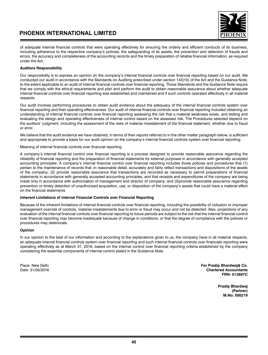

of adequate internal financial controls that were operating effectively for ensuring the orderly and efficient conducts of its business, including adherence to the respective company's policies, the safeguarding of its assets, the prevention and detection of frauds and errors, the accuracy and completeness of the accounting records and the timely preparation of reliable financial information, as required under the Act.

### **Auditors Responsibility**

Our responsibility is to express an opinion on the company's internal financial controls over financial reporting based on our audit. We conducted our audit in accordance with the Standards on Auditing prescribed under section 143(10) of the Act and the Guidance Note, to the extent applicable to an audit of internal financial controls over financial reporting. Those Standards and the Guidance Note require that we comply with the ethical requirements and plan and perform the audit to obtain reasonable assurance about whether adequate internal financial controls over financial reporting was established and maintained and if such controls operated effectively in all material respects.

Our audit involves performing procedures to obtain audit evidence about the adequacy of the internal financial controls system over financial reporting and their operating effectiveness. Our audit of internal financial controls over financial reporting included obtaining an understanding of internal financial controls over financial reporting assessing the risk that a material weakness exists, and testing and evaluating the design and operating effectiveness of internal control based on the assessed risk. The Procedures selected depend on the auditors' judgment, including the assessment of the risks of material misstatement of the financial statement, whether due to fraud or error.

We believe that the audit evidence we have obtained, in terms of their reports referred to in the other matter paragraph below, is sufficient and appropriate to provide a basis for our audit opinion on the company's internal financial controls system over financial reporting.

Meaning of internal financial controls over financial reporting

A company's internal financial control over financial reporting is a process designed to provide reasonable assurance regarding the reliability of financial reporting and the preparation of financial statements for external purposes in accordance with generally accepted accounting principles. A company's internal financial control over financial reporting includes those policies and procedures that (1) pertain to the maintenance of records that ,in reasonable detail, accurately and fairly reflect transactions and dispositions of the assets of the company; (2) provide reasonable assurance that transactions are recorded as necessary to permit preparations of financial statements in accordance with generally accepted accounting principles, and that receipts and expenditures of the company are being made only in accordance with authorization of management and director of company; and (3)provide reasonable assurance regarding prevention or timely detection of unauthorized acquisition, use, or disposition of the company's assets that could have a material effect on the financial statements

### **Inherent Limitations of Internal Financial Controls over Financial Reporting**

Because of the inherent limitations of internal financial controls over financial reporting, including the possibility of collusion or improper management override of controls, material misstatements due to error or fraud may occur and not be detected. Also, projections of any evaluation of the internal financial controls over financial reporting to future periods are subject to the risk that the internal financial control over financial reporting may become inadequate because of change in conditions, or that the degree of compliance with the policies or procedures may deteriorate.

### **Opinion**

In our opinion to the best of our information and according to the explanations given to us, the company have in all material respects, an adequate internal financial controls system over financial reporting and such internal financial controls over financials reporting were operating effectively as at March 31, 2016, based on the internal control over financial reporting criteria established by the company considering the essential components of internal control stated in the Guidance Note.

Place: New Delhi **For Pradip Bhardwaj& Co. Chartered Accountants FRN- 013697C**

> **Pradip Bhardwaj (Partner) M.No: 500219**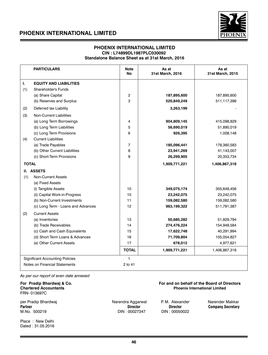

### **PHOENIX INTERNATIONAL LIMITED CIN : L74899DL1987PLC030092 Standalone Balance Sheet as at 31st March, 2016**

|              | <b>PARTICULARS</b>                     | <b>Note</b><br><b>No</b> | As at<br>31st March, 2016 | As at<br>31st March, 2015 |
|--------------|----------------------------------------|--------------------------|---------------------------|---------------------------|
| $\mathbf{L}$ | <b>EQUITY AND LIABILITIES</b>          |                          |                           |                           |
| (1)          | <b>Shareholder's Funds</b>             |                          |                           |                           |
|              | (a) Share Capital                      | $\overline{c}$           | 187,895,600               | 187,895,600               |
|              | (b) Reserves and Surplus               | 3                        | 520,849,249               | 511,117,398               |
| (2)          | Deferred tax Liability                 |                          | 3,263,199                 |                           |
| (3)          | <b>Non-Current Liabilities</b>         |                          |                           |                           |
|              | (a) Long Term Borrowings               | 4                        | 904,809,145               | 415,098,829               |
|              | (b) Long Term Liabilities              | 5                        | 56,690,019                | 51,890,019                |
|              | (c) Long Term Provisions               | 6                        | 926,395                   | 1,008,148                 |
| (4)          | <b>Current Liabilities</b>             |                          |                           |                           |
|              | (a) Trade Payables                     | $\overline{7}$           | 185,096,441               | 178,360,583               |
|              | (b) Other Current Liabilities          | 8                        | 23,941,269                | 41,143,007                |
|              | (c) Short-Term Provisions              | 9                        | 26,299,905                | 20,353,734                |
| <b>TOTAL</b> |                                        |                          | 1,909,771,221             | 1,406,867,318             |
|              | II. ASSETS                             |                          |                           |                           |
| (1)          | Non-Current Assets                     |                          |                           |                           |
|              | (a) Fixed Assets                       |                          |                           |                           |
|              | (i) Tangible Assets                    | 10                       | 349,075,174               | 355,648,456               |
|              | (ii) Capital Work-in-Progress          | 10                       | 23,242,075                | 23,242,075                |
|              | (b) Non-Current Investments            | 11                       | 159,082,580               | 159,082,580               |
|              | (c) Long Term - Loans and Advances     | 12                       | 963,199,322               | 511,791,387               |
| (2)          | <b>Current Assets</b>                  |                          |                           |                           |
|              | (a) Inventories                        | 13                       | 50,685,282                | 51,829,794                |
|              | (b) Trade Receivables                  | 14                       | 274,476,224               | 154,948,584               |
|              | (c) Cash and Cash Equivalents          | 15                       | 17,622,748                | 40,291,994                |
|              | (d) Short Term Loans & Advances        | 16                       | 71,709,804                | 105,054,827               |
|              | (e) Other Current Assets               | 17                       | 678,012                   | 4,977,621                 |
|              |                                        | <b>TOTAL</b>             | 1,909,771,221             | 1,406,867,318             |
|              | <b>Significant Accounting Policies</b> | $\mathbf{1}$             |                           |                           |
|              | Notes on Financial Statements          | 2 to 41                  |                           |                           |

*As per our report of even date annexed*

FRN- 013697C

**Partner Company Secretary Company Secretary**<br>M.No. 500219 M.No. 20027347 DIN: 00027347 DIN: 00050022 M.No. 500219

per Pradip Bhardwaj **Narendra Aggarwal P. M. Alexander Narender Makkar** 

**For Pradip Bhardwaj & Co.** The School of the Board of Directors Chartered Accountants<br>
Chartered Accountants The School of Directors Accountants of the Board Of Directors Phoenix International Limited **Phoenix International Limited** 

Place : New Delhi Dated : 31.05.2016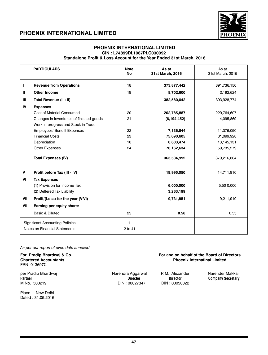

### **PHOENIX INTERNATIONAL LIMITED CIN : L74899DL1987PLC030092 Standalone Profit & Loss Account for the Year Ended 31st March, 2016**

|                | <b>PARTICULARS</b>                        | <b>Note</b><br><b>No</b> | As at<br>31st March, 2016 | As at<br>31st March, 2015 |
|----------------|-------------------------------------------|--------------------------|---------------------------|---------------------------|
| L              | <b>Revenue from Operations</b>            | 18                       | 373,877,442               | 391,736,150               |
| Ш              | <b>Other Income</b>                       | 19                       | 8,702,600                 | 2,192,624                 |
| $\mathbf{III}$ | Total Revenue (I +II)                     |                          | 382,580,042               | 393,928,774               |
| IV             | <b>Expenses</b>                           |                          |                           |                           |
|                | Cost of Material Consumed                 | 20                       | 202,785,887               | 229,764,607               |
|                | Changes in Inventories of finished goods, | 21                       | (6, 194, 452)             | 4,095,869                 |
|                | Work-in-progress and Stock-in-Trade       |                          |                           |                           |
|                | Employees' Benefit Expenses               | 22                       | 7,136,844                 | 11,376,050                |
|                | <b>Financial Costs</b>                    | 23                       | 75,090,605                | 61,099,928                |
|                | Depreciation                              | 10                       | 6,603,474                 | 13,145,131                |
|                | <b>Other Expenses</b>                     | 24                       | 78,162,634                | 59,735,279                |
|                | <b>Total Expenses (IV)</b>                |                          | 363,584,992               | 379,216,864               |
| v              | Profit before Tax (III - IV)              |                          | 18,995,050                | 14,711,910                |
| VI             | <b>Tax Expenses</b>                       |                          |                           |                           |
|                | (1) Provision for Income Tax              |                          | 6,000,000                 | 5,50 0,000                |
|                | (2) Deffered Tax Liability                |                          | 3,263,199                 |                           |
| VII            | Profit/(Loss) for the year (V-VI)         |                          | 9,731,851                 | 9,211,910                 |
| VIII           | Earning per equity share:                 |                          |                           |                           |
|                | Basic & Diluted                           | 25                       | 0.58                      | 0.55                      |
|                | <b>Significant Accounting Policies</b>    | $\mathbf{1}$             |                           |                           |
|                | Notes on Financial Statements             | 2 to 41                  |                           |                           |

### *As per our report of even date annexed*

For Pradip Bhardwaj & Co. **For and on behalf of the Board of Directors**<br>Chartered Accountants **For and on the Board of Directors**<br>Phoenix Internatinal Limited **Phoenix Internatinal Limited** FRN- 013697C per Pradip Bhardwaj (and the Narendra Aggarwal P. M. Alexander Narender Makkar Narender Makkar Narender Makkar<br>Partner (Director Director Director Director Director ) **Partner Company Secretary**<br>M.No. 500219 **Director** Director **Director** DIN: 00027347 **DIN: 00050022** DIN : 00027347

Place : New Delhi Dated : 31.05.2016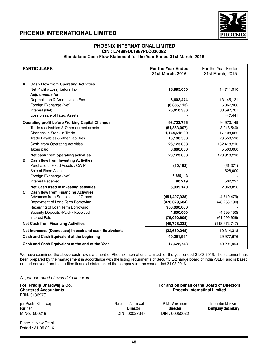

### **PHOENIX INTERNATIONAL LIMITED CIN : L74899DL1987PLC030092**

**Standalone Cash Flow Statement for the Year Ended 31st March, 2016** 

| <b>PARTICULARS</b>                                                                          | For the Year Ended<br>31st March, 2016 | For the Year Ended<br>31st March, 2015 |
|---------------------------------------------------------------------------------------------|----------------------------------------|----------------------------------------|
| A. Cash Flow from Operating Activities<br>Net Profit /(Loss) before Tax<br>Adjustments for: | 18,995,050                             | 14,711,910                             |
| Depreciation & Amortization Exp.                                                            | 6,603,474                              | 13,145,131                             |
| Foreign Exchange (Net)                                                                      | (6,885,113)                            | 6,067,966                              |
| Interest (Net)                                                                              | 75,010,386                             | 60,597,701                             |
| Loss on sale of Fixed Assets                                                                |                                        | 447,441                                |
| <b>Operating profit before Working Capital Changes</b>                                      | 93,723,796                             | 94,970,149                             |
| Trade receivables & Other current assets                                                    | (81,883,007)                           | (3,218,540)                            |
| Changes in Stock in Trade                                                                   | 1,144,512.00                           | 17,108,082                             |
| Trade Payables & other liabilities                                                          | 13,138,538                             | 23,558,518                             |
| Cash from Operating Activities                                                              | 26,123,838                             | 132,418,210                            |
| Taxes paid                                                                                  | 6,000,000                              | 5,500,000                              |
| Net cash from operating activities                                                          | 20,123,838                             | 126,918,210                            |
| <b>B.</b> Cash flow from Investing Activities                                               |                                        |                                        |
| Purchase of Fixed Assets / CWIP                                                             | (30, 192)                              | (61, 371)                              |
| Sale of Fixed Assets                                                                        |                                        | 1,628,000                              |
| Foreign Exchange (Net)                                                                      | 6.885.113                              |                                        |
| <b>Interest Received</b>                                                                    | 80,219                                 | 502,227                                |
| Net Cash used in investing activities                                                       | 6,935,140                              | 2,068,856                              |
| C. Cash flow from Financing Activities                                                      |                                        |                                        |
| Advances from Subsidiaries / Others                                                         | (451, 407, 935)                        | (4,710,479)                            |
| Repayment of Long Term Borrowing                                                            | (478, 029, 684)                        | (48, 263, 190)                         |
| Receiving of Loan Term Borrowing                                                            | 950,000,000                            |                                        |
| Security Deposits (Paid) / Received                                                         | 4,800,000                              | (4,599,150)                            |
| <b>Interest Paid</b>                                                                        | (75,090,605)                           | (61,099,928)                           |
| <b>Net Cash from Financing Activities</b>                                                   | (49, 728, 223)                         | (118, 672, 747)                        |
| Net Increases (Decreases) in cash and cash Equivalents                                      | (22, 669, 245)                         | 10,314,318                             |
| Cash and Cash Equivalent at the beginning                                                   | 40,291,994                             | 29,977,676                             |
| Cash and Cash Equivalent at the end of the Year                                             | 17,622,748                             | 40,291,994                             |

We have examined the above cash flow statement of Phoenix International Limited for the year ended 31.03.2016. The statement has been prepared by the management in accordance with the listing requirments of Security Exchange board of India (SEBI) and is based on and derived from the audited financial statement of the company for the year ended 31.03.2016.

*As per our report of even date annexed*

FRN- 013697C

per Pradip Bhardwaj Narendra Aggarwal P. M. Alexander Narender Makkar **Partner Director Director Company Secretary** M.No. 500219 DIN : 00027347 DIN : 00050022

Place : New Delhi Dated : 31.05.2016

**For Pradip Bhardwaj & Co. For and on behalf of the Board of Directors Chartered Accountants Phoenix Internatinal Limited**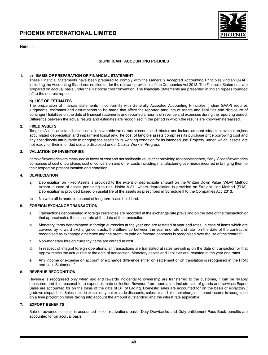### **Note - 1**



### **SIGNIFICANT ACCOUNTING POLICIES**

### **1. a) BASIS OF PREPARATION OF FINANCIAL STATEMENT**

These Financial Statements have been prepared to comply with the Generally Accepted Accounting Principles (Indian GAAP) including the Accounting Standards notified under the relevant provisions of the Companies Act 2013. The Financial Statements are prepared on accrual basis under the historical cost convention. The financials Statements are presented in Indian rupees rounded off to the nearest rupees.

### **b) USE OF ESTIMATES**

The preparation of financial statements in conformity with Generally Accepted Accounting Principles (Indian GAAP) requires judgments, estimates and assumptions to be made that affect the reported amounts of assets and liabilities and disclosure of contingent liabilities on the date of financial statements and reported amounts of revenue and expenses during the reporting period. Difference between the actual results and estimates are recognised in the period in which the results are known/materealised.

### **2. FIXED ASSETS**

Tangible Assets are stated at cost net of recoverable taxes,trade discount and rebates and include amount added on revaluation,less accumlated depreciation and impairment loss,if any.The cost of tangible assets comprises its purchase price,borrowing cost and any cost directly attributable to bringing the assets to its working condition for its intended use. Projects under which assets are not ready for their intended use are disclosed under Capital Work-in-Progress

### **3. VALUATION OF INVENTORIES**

Items of inventories are measured at lower of cost and net realisable value after providing for obsolescence, if any. Cost of inventories comprises of cost of purchase, cost of conversion and other costs including manufacturing overheads incurred in bringing them to their respective present location and condition.

### **4. DEPRECIATION**

- a) Depreciation on Fixed Assets is provided to the extent of depreciable amount on the Written Down Value (WDV) Method except in case of assets pertaining to unit- Noida A-37 where depreciation is provided on Straight Line Method (SLM). Depreciation is provided based on useful life of the assets as prescribed in Schedule II to the Companies Act, 2013.
- b) No write off is made in respect of long term lease hold land.

### **5. FOREIGN EXCHANGE TRANSACTION**

- a. Transactions denominated in foreign currencies are recorded at the exchange rate prevailing on the date of the transaction or that approximates the actual rate at the date of the transaction.
- b. Monetary items denominated in foreign currencies at the year end are restated at year end rates. In case of items which are covered by forward exchange contracts, the difference between the year end rate and rate on the date of the contract is recognised as exchange difference and the premium paid on forward contracts is recognised over the life of the contract.
- c. Non-monetary foreign currency items are carried at cost.
- d. In respect of integral foreign operations, all transactions are translated at rates prevailing on the date of transaction or that approximates the actual rate at the date of transaction. Monetary assets and liabilities are restated at the year end rates.
- e. Any income or expense on account of exchange difference either on settlement or on translation is recognised in the Profit and Loss Statement."

### **6. REVENUE RECOGNITION**

Revenue is recognised only when risk and rewards incidental to ownership are transferred to the customer, it can be reliably measured and it is reasonable to expect ultimate collection.Revenue from opereation include sale of goods and services.Export Sales are accounted for on the basis of the date of Bill of Lading, Domestic sales are accounted for on the basis of ex-factory / godown dispatches. Sales include excise duty but exclude discounts, sales tax and all other charges. Interest income is recognised on a time proportion basis taking into account the amount outstanding and the intrest rate applicable.

### **7. EXPORT BENEFITS**

Sale of advance licenses is accounted for on realizations basis, Duty Drawbacks and Duty entitlement Pass Book benefits are accounted for on accrual basis.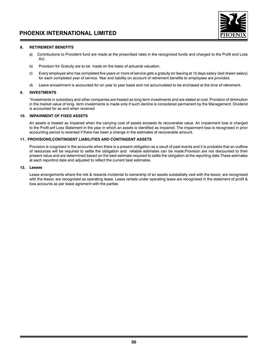

### **8. RETIREMENT BENEFITS**

- a) Contributions to Provident fund are made at the prescribed rates in the recognized funds and charged to the Profit and Loss A/c.
- b) Provision for Gratuity are to be made on the basis of actuarial valuation.
- c) Every employee who has completed five years or more of service gets a gratuity on leaving at 15 days salary (last drawn salary) for each completed year of service. Year end liability on account of retirement benefits to employees are provided.
- d) Leave encashment is accounted for on year to year basis and not accumulated to be enchased at the time of retirement.

### **9. INVESTMENTS**

"Investments in subsidiary and other companies are treated as long term investments and are stated at cost. Provision of diminution in the market value of long- term investments is made only if such decline is considered permanent by the Management. Dividend is accounted for as and when received.

### **10. IMPAIRMENT OF FIXED ASSETS**

An assets is treated as impaired when the carrying cost of assets exceeds its recoverable value. An impairment loss is charged to the Profit anf Loss Statement in the year in which an assets is identified as impaired. The impairment loss is recognised in prior accounting period is reversed if there has been a change in the estimates of recoverable amount.

### **11. PROVISIONS,CONTINGENT LIABILITIES AND CONTINGENT ASSETS**

Provision is rcognised in the accounts when there is a present obligation as a result of past events and it is probable that an outflow of resources will be required to settle the obligation and reliable estimates can be made.Provision are not discounted to their present value and are determined based on the best estimate required to settle the obligation at the reporting date.These estimates at each reportind date and adjusted to reflect the current best estimates.

### **12. Leases**

Lease arrangements where the risk & rewards incidental to ownership of an assets substatially vest with the lessor, are recognised with the lessor, are recognised as operating lease. Lease rentals under operating lease are recognised in the statement of profit & loss accounts as per lease agrement with the parties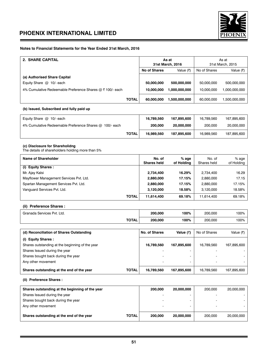

### **Notes to Financial Statements for the Year Ended 31st March, 2016**

| 2. SHARE CAPITAL                                         |              | As at<br>31st March, 2016 |               | As at<br>31st March, 2015 |               |
|----------------------------------------------------------|--------------|---------------------------|---------------|---------------------------|---------------|
|                                                          |              | No of Shares<br>Value (₹) |               | No of Shares              | Value $(3)$   |
| (a) Authorised Share Capital                             |              |                           |               |                           |               |
| Equity Share $@$ 10/- each                               |              | 50,000,000                | 500.000.000   | 50,000,000                | 500.000.000   |
| 4% Cumulative Redeemable Preference Shares @ ₹100/- each |              | 10.000.000                | 1.000.000.000 | 10.000.000                | 1.000.000.000 |
|                                                          | <b>TOTAL</b> | 60.000.000                | 1.500.000.000 | 60.000.000                | 1.500.000.000 |

### **(b) Issued, Subscribed and fully paid up**

| Equity Share $@$ 10/- each                              |       | 16.789.560 | 167.895.600 | 16.789.560 | 167,895,600 |
|---------------------------------------------------------|-------|------------|-------------|------------|-------------|
| 4% Cumulative Redeemable Preference Shares @ 100/- each |       | 200,000    | 20,000,000  | 200,000    | 20,000,000  |
|                                                         | TOTAL | 16.989.560 | 187.895.600 | 16.989.560 | 187,895,600 |

### **(c) Disclosure for Shareholidng**

The details of shareholders holding more than 5%

| Name of Shareholder                     | No. of<br><b>Shares held</b> | $%$ age<br>of Holding | No. of<br>Shares held | $%$ age<br>of Holding |
|-----------------------------------------|------------------------------|-----------------------|-----------------------|-----------------------|
| (i) Equity Shares:                      |                              |                       |                       |                       |
| Mr. Ajay Kalsi                          | 2.734.400                    | 16.29%                | 2.734.400             | 16.29                 |
| Mayflower Management Services Pvt. Ltd. | 2.880,000                    | 17.15%                | 2.880.000             | 17.15                 |
| Spartan Management Services Pvt. Ltd.   | 2,880,000                    | 17.15%                | 2.880,000             | 17.15%                |
| Vanquard Services Pvt. Ltd.             | 3.120.000                    | 18.58%                | 3.120.000             | 18.58%                |
| <b>TOTAL</b>                            | 11,614,400                   | 69.18%                | 11.614.400            | 69.18%                |

### **(ii) Preference Shares :**

| Granada Services Pvt. Ltd. |              | 200,000 | 100% | 200.000 | 100% |
|----------------------------|--------------|---------|------|---------|------|
|                            | <b>TOTAL</b> | 200,000 | 100% | 200.000 | 100% |

| (d) Reconciliation of Shares Outstanding        |              | No. of Shares | Value (₹)   | No of Shares             | Value (₹)   |
|-------------------------------------------------|--------------|---------------|-------------|--------------------------|-------------|
| (i) Equity Shares:                              |              |               |             |                          |             |
| Shares outstanding at the beginning of the year |              | 16.789.560    | 167,895,600 | 16.789.560               | 167,895,600 |
| Shares Issued during the year                   |              |               |             |                          |             |
| Shares bought back during the year              |              |               |             | $\overline{\phantom{a}}$ |             |
| Any other movement                              |              |               | -           | ۰                        |             |
| Shares outstanding at the end of the year       | <b>TOTAL</b> | 16.789.560    | 167,895,600 | 16.789.560               | 167.895.600 |

**(ii) Preference Shares :**

| Shares outstanding at the beginning of the year |       | 200,000                  | 20,000,000 | 200.000                  | 20.000.000 |
|-------------------------------------------------|-------|--------------------------|------------|--------------------------|------------|
| Shares Issued during the year                   |       | -                        |            | $\overline{\phantom{0}}$ |            |
| Shares bought back during the year              |       | $\overline{\phantom{0}}$ |            | $\overline{a}$           |            |
| Any other movement                              |       | -                        |            | $\overline{\phantom{a}}$ |            |
| Shares outstanding at the end of the year       | TOTAL | 200.000                  | 20,000,000 | 200,000                  | 20.000.000 |
|                                                 |       |                          |            |                          |            |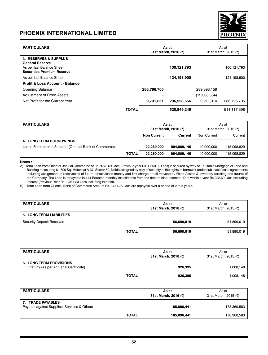

| <b>PARTICULARS</b>                                                                                                |              |             | As at<br>31st March, 2016 (₹) | As at<br>31st March, 2015 (₹) |             |
|-------------------------------------------------------------------------------------------------------------------|--------------|-------------|-------------------------------|-------------------------------|-------------|
| 3. RESERVES & SURPLUS<br><b>General Reserve</b><br>As per last Balance Sheet<br><b>Securities Premium Reserve</b> |              |             | 100, 121, 793                 |                               | 100,121,793 |
| As per last Balance Sheet                                                                                         |              |             | 124,198,900                   |                               | 124,198,900 |
| <b>Profit &amp; Loss Account - Balance</b>                                                                        |              |             |                               |                               |             |
| <b>Opening Balance</b>                                                                                            |              | 286,796,705 |                               | 289,893,159                   |             |
| Adjustment of Fixed Assets                                                                                        |              |             |                               | (12,308,364)                  |             |
| Net Profit for the Current Year                                                                                   |              | 9,731,851   | 296,528,556                   | 9,211,910                     | 286,796,705 |
|                                                                                                                   | <b>TOTAL</b> |             | 520,849,249                   |                               | 511,117,398 |

| <b>PARTICULARS</b>                                    |              |                    | As at<br>31st March, 2016 (₹) | As at<br>31st March, 2015 (₹) |             |  |
|-------------------------------------------------------|--------------|--------------------|-------------------------------|-------------------------------|-------------|--|
|                                                       |              | <b>Non Current</b> | Current                       | Non Current                   | Current     |  |
| <b>4. LONG TERM BORROWINGS</b>                        |              |                    |                               |                               |             |  |
| Loans From banks: Secured (Oriental Bank of Commerce) |              | 22,260,000         | 904.809.145                   | 40.000.000                    | 415,098,829 |  |
|                                                       | <b>TOTAL</b> | 22.260.000         | 904.809.145                   | 40.000.000                    | 415.098.829 |  |

#### **Notes :**

A) Term Loan from Oriental Bank of Commerce of Rs. 9270.69 Lacs (Previous year Rs. 4,550.99 Lacs) is secured by way of Equitable Mortgage of Land and Building measuring 61,690 Sq. Meters at A-37, Sector 60, Noida assigned by way of security of the rights of borrower under sub lease/lease agreements including assignment of receivables of future rentals/lease money and first charge on all moveable / Fixed Assets & Inventory (existing and future) of the Company. The Loan is repayable in 144 Equated monthly installments from the date of disbursement. Due within a year Rs.222.60 Lacs excluding interest (Previous Year Rs. 1,087.23 Lacs including interest).

B) Term Loan from Oriental Bank of Commerce Amount Rs. 1751.76 Lacs are repayble over a period of 2 to 5 years.

| <b>PARTICULARS</b>              | As at<br>31st March, 2016 (₹) | As at<br>31st March, 2015 (₹) |
|---------------------------------|-------------------------------|-------------------------------|
| <b>5. LONG TERM LIABILITIES</b> |                               |                               |
| Security Deposit Received       | 56,690,019                    | 51,890,019                    |
| <b>TOTAL</b>                    | 56,690,019                    | 51,890,019                    |

| <b>PARTICULARS</b>                                                        | As at<br>31st March, 2016 (₹) | As at<br>31st March, 2015 (₹) |
|---------------------------------------------------------------------------|-------------------------------|-------------------------------|
| <b>6. LONG TERM PROVISIONS</b><br>Gratuity (As per Actuarial Certificate) | 926.395                       | 1,008,148                     |
| <b>TOTAL</b>                                                              | 926,395                       | 1,008,148                     |

| <b>PARTICULARS</b>                                                   | As at                | As at                |
|----------------------------------------------------------------------|----------------------|----------------------|
|                                                                      | 31st March, 2016 (₹) | 31st March, 2015 (₹) |
| <b>TRADE PAYABLES</b><br>Payable against Supplies, Services & Others | 185.096.441          | 178,360,583          |
| <b>TOTAL</b>                                                         | 185,096,441          | 178,360,583          |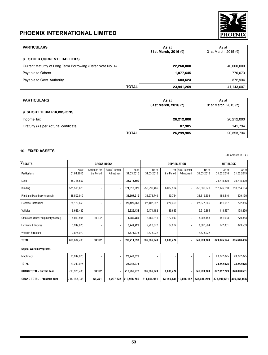

| <b>PARTICULARS</b>                                         | As at<br>31st March, 2016 (₹) | As at<br>31st March, 2015 (₹) |
|------------------------------------------------------------|-------------------------------|-------------------------------|
| <b>8. OTHER CURRENT LIABILITIES</b>                        |                               |                               |
| Current Maturity of Long Term Borrowing (Refer Note No. 4) | 22,260,000                    | 40,000,000                    |
| Payable to Others                                          | 1,077,645                     | 770,073                       |
| Payable to Govt. Authority                                 | 603,624                       | 372,934                       |
| <b>TOTAL</b>                                               | 23,941,269                    | 41,143,007                    |

| <b>PARTICULARS</b>                     | As at<br>31st March, 2016 (₹) | As at<br>31st March, 2015 (₹) |
|----------------------------------------|-------------------------------|-------------------------------|
| <b>9. SHORT TERM PROVISIONS</b>        |                               |                               |
| Income Tax                             | 26,212,000                    | 20,212,000                    |
| Gratuity (As per Acturial certificate) | 87.905                        | 141,734                       |
| <b>TOTAL</b>                           | 26,299,905                    | 20,353,734                    |

### **10. FIXED ASSETS**

(All Amount In Rs.)

-

| VASSETS                             |                     | <b>GROSS BLOCK</b>          |                              |                     |                     |                   | <b>DEPRECIATION</b>         |                          | <b>NET BLOCK</b>    |                     |
|-------------------------------------|---------------------|-----------------------------|------------------------------|---------------------|---------------------|-------------------|-----------------------------|--------------------------|---------------------|---------------------|
| <b>Particulars</b>                  | As at<br>01.04.2015 | Additions for<br>the Period | Sales/Transfer<br>Adjustment | As at<br>31.03.2016 | Up to<br>31.03.2015 | For<br>the Period | Sale/Transfer<br>Adiustment | Up to<br>31.03.2016      | As at<br>31.03.2016 | As at<br>31.03.2015 |
| Land                                | 35.715.590          |                             |                              | 35,715,590          |                     |                   |                             | $\overline{a}$           | 35,715,590          | 35,715,590          |
| <b>Building</b>                     | 571.513.620         |                             |                              | 571.513.620         | 253,299,466         | 6.037.504         |                             | 259.336.970              | 312.176.650         | 318,214,154         |
| Plant and Machinery (chennai)       | 38.507.919          | $\overline{\phantom{a}}$    |                              | 38.507.919          | 38.278.749          | 40.754            |                             | 38.319.503               | 188.416             | 229,170             |
| <b>Electrical Installation</b>      | 28.129.653          |                             |                              | 28,129,653          | 27.407.297          | 270.369           |                             | 27.677.666               | 451,987             | 722,356             |
| Vehicles                            | 6.629.432           |                             |                              | 6.629.432           | 6,471,182           | 39.683            |                             | 6.510.865                | 118,567             | 158,250             |
| Office and Other Equipment(chennai) | 4.059.594           | 30.192                      |                              | 4.089.786           | 3.780.211           | 127.942           |                             | 3.908.153                | 181,633             | 279,383             |
| Furniture & Fixtures                | 3,249,925           | $\overline{\phantom{a}}$    |                              | 3,249,925           | 2,920,372           | 87,222            |                             | 3,007,594                | 242,331             | 329,553             |
| Wooden Structure                    | 2,878,972           |                             |                              | 2,878,972           | 2,878,972           |                   |                             | 2,878,972                |                     |                     |
| <b>TOTAL</b>                        | 690,684,705         | 30,192                      |                              | 690,714,897         | 335,036,249         | 6,603,474         |                             | 341,639,723              | 349,075,174         | 355,648,456         |
| <b>Capital Work In Progress:-</b>   |                     |                             |                              |                     |                     |                   |                             |                          |                     |                     |
| Machinery                           | 23,242,075          |                             |                              | 23,242,075          |                     |                   |                             | $\overline{\phantom{0}}$ | 23,242,075          | 23,242,075          |
| <b>TOTAL</b>                        | 23,242,075          |                             |                              | 23,242,075          | $\overline{a}$      |                   |                             | $\overline{\phantom{0}}$ | 23,242,075          | 23,242,075          |
| <b>GRAND TOTAL - Current Year</b>   | 713,926,780         | 30,192                      |                              | 713,956,972         | 335,036,249         | 6,603,474         |                             | 341,639,723              | 372,317,249         | 378,890,531         |
| <b>GRAND TOTAL - Previous Year</b>  | 718,163,046         | 61,371                      | 4,297,637                    | 713,926,780         | 311,804,951         |                   | 13,145,131   10,086,167     | 335,036,249              | 378,890,531         | 406,358,095         |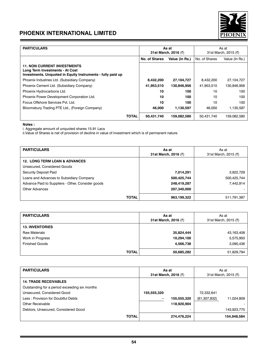

| <b>PARTICULARS</b>                                                                                                                   |               | As at<br>31st March, 2016 (₹) | As at<br>31st March, 2015 (₹) |                |
|--------------------------------------------------------------------------------------------------------------------------------------|---------------|-------------------------------|-------------------------------|----------------|
|                                                                                                                                      | No. of Shares | Value (In Rs.)                | No. of Shares                 | Value (In Rs.) |
| <b>11. NON CURRENT INVESTMENTS</b><br>Long Term Investments - At Cost<br>Investments, Unquoted in Equity Instruments - fully paid up |               |                               |                               |                |
| Phoenix Industries Ltd. (Subsidiary Company)                                                                                         | 8,432,200     | 27,104,727                    | 8.432.200                     | 27,104,727     |
| Phoenix Cement Ltd. (Subsidiary Company)                                                                                             | 41,953,510    | 130,846,956                   | 41,953,510                    | 130,846,956    |
| Phoenix Hydrocarbons Ltd.                                                                                                            | 10            | 100                           | 10                            | 100            |
| Phoenix Power Development Corporation Ltd.                                                                                           | 10            | 100                           | 10                            | 100            |
| Focus Offshore Services Pyt. I td.                                                                                                   | 10            | 100                           | 10                            | 100            |
| Bloomsbury Trading PTE Ltd., (Foreign Company)                                                                                       | 46,000        | 1,130,597                     | 46,000                        | 1,130,597      |
| <b>TOTAL</b>                                                                                                                         | 50,431,740    | 159,082,580                   | 50,431,740                    | 159,082,580    |

### **Notes :**

i. Aggregate amount of unquoted shares 15.91 Lacs

ii.Value of Shares is net of provision of decline in value of investment which is of permanent nature.

| <b>PARTICULARS</b>                                | As at<br>31st March, 2016 (₹) | As at<br>31st March, 2015 (₹) |
|---------------------------------------------------|-------------------------------|-------------------------------|
| <b>12. LONG TERM LOAN &amp; ADVANCES</b>          |                               |                               |
| Unsecured, Considered Goods                       |                               |                               |
| Security Deposit Paid                             | 7,014,291                     | 3,922,729                     |
| Loans and Advances to Subsidiary Company          | 500,425,744                   | 500,425,744                   |
| Advance Paid to Suppliers - Other, Consider goods | 248,419,287                   | 7,442,914                     |
| <b>Other Advances</b>                             | 207,340,000                   |                               |
| <b>TOTAL</b>                                      | 963,199,322                   | 511,791,387                   |

| <b>PARTICULARS</b>     | As at<br>31st March, 2016 (₹) | As at<br>31st March, 2015 (₹) |
|------------------------|-------------------------------|-------------------------------|
| <b>13. INVENTORIES</b> |                               |                               |
| <b>Raw Materials</b>   | 35,824,444                    | 43,163,408                    |
| Work in Progress       | 10,294,100                    | 5,575,950                     |
| <b>Finished Goods</b>  | 4,566,738                     | 3,090,436                     |
| <b>TOTAL</b>           | 50,685,282                    | 51,829,794                    |

| <b>PARTICULARS</b>                            | As at<br>31st March, 2016 (₹) |             | As at<br>31st March, 2015 (₹) |             |
|-----------------------------------------------|-------------------------------|-------------|-------------------------------|-------------|
| <b>14. TRADE RECEIVABLES</b>                  |                               |             |                               |             |
| Outstanding for a period exceeding six months |                               |             |                               |             |
| Unsecured, Considered Good                    | 155,555,320                   |             | 72.332.641                    |             |
| Less: Provision for Doubtful Debts            |                               | 155,555,320 | (61, 307, 832)                | 11,024,809  |
| Other Receivable                              |                               | 118,920,904 |                               |             |
| Debtors, Unsecured, Considered Good           |                               |             |                               | 143,923,775 |
| <b>TOTAL</b>                                  |                               | 274,476,224 |                               | 154,948,584 |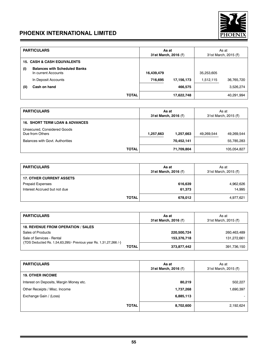

|     | <b>PARTICULARS</b>                                          |              | As at<br>31st March, 2016 (₹) |            | As at<br>31st March, 2015 (₹) |            |
|-----|-------------------------------------------------------------|--------------|-------------------------------|------------|-------------------------------|------------|
|     | <b>15. CASH &amp; CASH EQUIVALENTS</b>                      |              |                               |            |                               |            |
| (i) | <b>Balances with Scheduled Banks</b><br>In current Accounts |              | 16,439,479                    |            | 35,253,605                    |            |
|     | In Deposit Accounts                                         |              | 716,695                       | 17,156,173 | 1,512,115                     | 36,765,720 |
| (i) | Cash on hand                                                |              |                               | 466,575    |                               | 3,526,274  |
|     |                                                             | <b>TOTAL</b> |                               | 17,622,748 |                               | 40,291,994 |

| <b>PARTICULARS</b>                             | As at<br>31st March, 2016 (₹) |            | As at<br>31st March, 2015 (₹) |             |
|------------------------------------------------|-------------------------------|------------|-------------------------------|-------------|
| <b>16. SHORT TERM LOAN &amp; ADVANCES</b>      |                               |            |                               |             |
| Unsecured, Considered Goods<br>Due from Others | 1,257,663                     | 1,257,663  | 49.269.544                    | 49.269.544  |
| Balances with Govt. Authorities                |                               | 70,452,141 |                               | 55.785.283  |
| <b>TOTAL</b>                                   |                               | 71,709,804 |                               | 105,054,827 |

| <b>PARTICULARS</b>              | As at<br>31st March, 2016 (₹) | As at<br>31st March, 2015 (₹) |
|---------------------------------|-------------------------------|-------------------------------|
| <b>17. OTHER CURRENT ASSETS</b> |                               |                               |
| <b>Prepaid Expenses</b>         | 616,639                       | 4,962,626                     |
| Interest Accrued but not due    | 61,373                        | 14.995                        |
| <b>TOTAL</b>                    | 678,012                       | 4,977,621                     |

| <b>PARTICULARS</b>                                                                             |              | As at<br>31st March, 2016 (₹) | As at<br>31st March, 2015 (₹) |
|------------------------------------------------------------------------------------------------|--------------|-------------------------------|-------------------------------|
| <b>18. REVENUE FROM OPERATION / SALES</b>                                                      |              |                               |                               |
| Sales of Products                                                                              |              | 220,500,724                   | 260.463.489                   |
| Sale of Services - Rental<br>{TDS Deducted Rs. 1,54,63,295/- Previous year Rs. 1,31,27,266 /-} |              | 153.376.718                   | 131.272.661                   |
|                                                                                                | <b>TOTAL</b> | 373,877,442                   | 391,736,150                   |

| <b>PARTICULARS</b>                      | As at<br>31st March, 2016 (₹) | As at<br>31st March, 2015 (₹) |
|-----------------------------------------|-------------------------------|-------------------------------|
| <b>19. OTHER INCOME</b>                 |                               |                               |
| Interest on Deposits, Margin Money etc. | 80,219                        | 502,227                       |
| Other Receipts / Misc. Income           | 1,737,268                     | 1,690,397                     |
| Exchange Gain / (Loss)                  | 6,885,113                     |                               |
| <b>TOTAL</b>                            | 8,702,600                     | 2,192,624                     |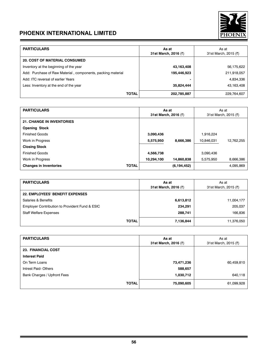

| <b>PARTICULARS</b>                                          | As at<br>31st March, 2016 (₹) | As at<br>31st March, 2015 (₹) |
|-------------------------------------------------------------|-------------------------------|-------------------------------|
| <b>20. COST OF MATERIAL CONSUMED</b>                        |                               |                               |
| Inventory at the beginning of the year                      | 43,163,408                    | 56,175,622                    |
| Add: Purchase of Raw Material, components, packing material | 195,446,923                   | 211,918,057                   |
| Add: ITC reversal of earlier Years                          |                               | 4,834,336                     |
| Less: Inventory at the end of the year                      | 35,824,444                    | 43,163,408                    |
| <b>TOTAL</b>                                                | 202,785,887                   | 229,764,607                   |

| <b>PARTICULARS</b>               |              | As at<br>31st March, 2016 (₹) |               | As at<br>31st March, 2015 (₹) |            |
|----------------------------------|--------------|-------------------------------|---------------|-------------------------------|------------|
|                                  |              |                               |               |                               |            |
| <b>21. CHANGE IN INVENTORIES</b> |              |                               |               |                               |            |
| <b>Opening Stock</b>             |              |                               |               |                               |            |
| <b>Finished Goods</b>            |              | 3,090,436                     |               | 1.916.224                     |            |
| Work in Progress                 |              | 5,575,950                     | 8.666.386     | 10,846,031                    | 12.762.255 |
| <b>Closing Stock</b>             |              |                               |               |                               |            |
| <b>Finished Goods</b>            |              | 4,566,738                     |               | 3.090.436                     |            |
| Work in Progress                 |              | 10,294,100                    | 14,860,838    | 5,575,950                     | 8,666,386  |
| <b>Changes in Inventories</b>    | <b>TOTAL</b> |                               | (6, 194, 452) |                               | 4,095,869  |

| <b>PARTICULARS</b>                             | As at<br>31st March, 2016 (₹) | As at<br>31st March, 2015 (₹) |
|------------------------------------------------|-------------------------------|-------------------------------|
| <b>22. EMPLOYEES' BENEFIT EXPENSES</b>         |                               |                               |
| Salaries & Benefits                            | 6,613,812                     | 11,004,177                    |
| Employer Contribution to Provident Fund & ESIC | 234,291                       | 205,037                       |
| <b>Staff Welfare Expenses</b>                  | 288,741                       | 166,836                       |
| <b>TOTAL</b>                                   | 7,136,844                     | 11,376,050                    |

| <b>PARTICULARS</b>          | As at<br>31st March, 2016 (₹) | As at<br>31st March, 2015 (₹) |
|-----------------------------|-------------------------------|-------------------------------|
| <b>23. FINANCIAL COST</b>   |                               |                               |
| <b>Interest Paid</b>        |                               |                               |
| On Term Loans               | 73,471,236                    | 60,459,810                    |
| Intrest Paid-Others         | 588,657                       |                               |
| Bank Charges / Upfront Fees | 1,030,712                     | 640,118                       |
| <b>TOTAL</b>                | 75,090,605                    | 61,099,928                    |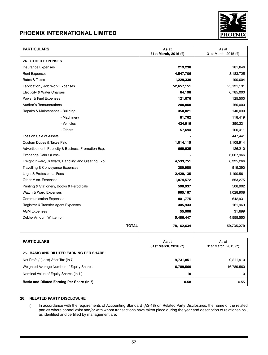

| <b>PARTICULARS</b>                                 | As at<br>31st March, 2016 (₹) | As at<br>31st March, 2015 (₹) |
|----------------------------------------------------|-------------------------------|-------------------------------|
| <b>24. OTHER EXPENSES</b>                          |                               |                               |
| Insurance Expenses                                 | 219,238                       | 181,846                       |
| <b>Rent Expenses</b>                               | 4,547,706                     | 3,183,725                     |
| Rates & Taxes                                      | 1,229,330                     | 190,004                       |
| Fabrication / Job Work Expenses                    | 52,657,151                    | 25,131,131                    |
| <b>Electicity &amp; Water Charges</b>              | 64,198                        | 6,785,000                     |
| Power & Fuel Expenses                              | 121,076                       | 125,500                       |
| Auditor's Remunerations                            | 200,000                       | 150,000                       |
| Repairs & Maintenance - Building                   | 350,821                       | 140,030                       |
| - Machinery                                        | 81,762                        | 118,419                       |
| - Vehicles                                         | 424,916                       | 350,231                       |
| - Others                                           | 57,694                        | 100,411                       |
| Loss on Sale of Assets                             |                               | 447,441                       |
| <b>Custom Duties &amp; Taxes Paid</b>              | 1,014,115                     | 1,108,914                     |
| Advertisement, Publicity & Business Promotion Exp. | 669,925                       | 126,210                       |
| Exchange Gain / (Loss)                             |                               | 6,067,966                     |
| Freight Inward/Outward, Handling and Clearing Exp. | 4,533,751                     | 6,335,266                     |
| Travelling & Conveyance Expenses                   | 380,980                       | 519,390                       |
| Legal & Professional Fees                          | 2,420,135                     | 1,190,561                     |
| Other Misc. Expenses                               | 1,074,572                     | 553,275                       |
| Printing & Stationery, Books & Perodicals          | 500,937                       | 508,902                       |
| Watch & Ward Expenses                              | 965,167                       | 1,028,908                     |
| <b>Communication Expenses</b>                      | 801,775                       | 642,931                       |
| Registrar & Transfer Agent Expenses                | 305,933                       | 161,969                       |
| <b>AGM Expenses</b>                                | 55,006                        | 31,699                        |
| Debts/ Amount Written off                          | 5,486,447                     | 4,555,550                     |
| <b>TOTAL</b>                                       | 78,162,634                    | 59,735,279                    |

| <b>PARTICULARS</b>                              | As at<br>31st March, 2016 (₹) | As at<br>31st March, 2015 (₹) |  |
|-------------------------------------------------|-------------------------------|-------------------------------|--|
| <b>25. BASIC AND DILUTED EARNING PER SHARE:</b> |                               |                               |  |
| Net Profit / (Loss) After Tax (In ₹)            | 9,731,851                     | 9,211,910                     |  |
| Weighted Average Number of Equity Shares        | 16,789,560                    | 16,789,560                    |  |
| Nominal Value of Equity Shares (In ₹)           | 10                            | 10                            |  |
| Basic and Diluted Earning Per Share (In ₹)      | 0.58                          | 0.55                          |  |

### **26. RELATED PARTY DISCLOSURE**

i) In accordance with the requirements of Accounting Standard (AS-18) on Related Party Disclosures, the name of the related parties where control exist and/or with whom transactions have taken place during the year and description of relationships , as identified and certified by management are: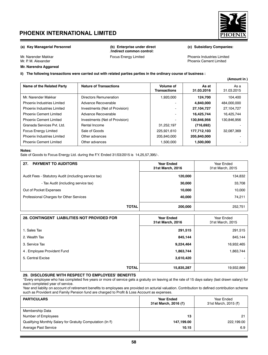

### **Mr. Narendra Aggarwal**

**/Indirect common control:**

Mr. Narender Makkar **Focus Energy Limited** Mr. Narender Makkar Focus Energy Limited Phoenix Industries Limited Mr. P. M. Alexander Phoenix Cement Limited

**ii) The following transactions were carried out with related parties parties in the ordinary course of business :**

| Name of the Related Party     | <b>Nature of Transactions</b>  | Volume of<br><b>Transactions</b> | As at<br>31.03.2016 | As a<br>31.03.2015 |
|-------------------------------|--------------------------------|----------------------------------|---------------------|--------------------|
| Mr. Narender Makkar           | Directors Remuneration         | 920.000                          | 124.700             | 104.400            |
| Phoenix Industries Limited    | Advance Recoverable            |                                  | 4,840,000           | 484,000,000        |
| Phoenix Industries Limited    | Investments (Net of Provision) |                                  | 27,104,727          | 27.104.727         |
| <b>Phoenix Cement Limited</b> | Advance Recoverable            | $\overline{\phantom{a}}$         | 16,425,744          | 16.425.744         |
| <b>Phoenix Cement Limited</b> | Investments (Net of Provision) |                                  | 130,846,956         | 130.846.956        |
| Granada Services Pvt. Ltd.    | Rental Income                  | 31,252,197                       | (716, 692)          |                    |
| <b>Focus Energy Limited</b>   | Sale of Goods                  | 225,921,610                      | 177,712,103         | 32.087.369         |
| Phoenix Industries Limited    | Other advances                 | 205,840,000                      | 205,840,000         |                    |
| <b>Phoenix Cement Limited</b> | Other advances                 | 1.500.000                        | 1,500,000           |                    |
|                               |                                |                                  |                     |                    |

#### **Notes:**

Sale of Goods to Focus Energy Ltd. during the F.Y. Ended 31/03/2015 is 14,25,57,395/-.

| <b>PAYMENT TO AUDITORS</b><br>27.                    | <b>Year Ended</b><br>31st March, 2016 | Year Ended<br>31st March, 2015 |  |
|------------------------------------------------------|---------------------------------------|--------------------------------|--|
| Audit Fees - Statutory Audit (including service tax) | 120,000                               | 134,832                        |  |
| - Tax Audit (including service tax)                  | 30,000                                | 33,708                         |  |
| Out of Pocket Expenses                               | 10,000                                | 10,000                         |  |
| Professional Charges for Other Services              | 40,000                                | 74,211                         |  |
| <b>TOTAL</b>                                         | 200,000                               | 252,751                        |  |

| <b>28. CONTINGENT LIABILITIES NOT PROVIDED FOR</b> | <b>Year Ended</b><br>31st March, 2016 | Year Ended<br>31st March, 2015 |  |
|----------------------------------------------------|---------------------------------------|--------------------------------|--|
| 1. Sales Tax                                       | 291,515                               | 291,515                        |  |
| 2. Wealth Tax                                      | 845,144                               | 845,144                        |  |
| 3. Service Tax                                     | 9,224,464                             | 16,932,465                     |  |
| 4. Employee Provident Fund                         | 1,863,744                             | 1,863,744                      |  |
| 5. Central Excise                                  | 3,610,420                             |                                |  |
| <b>TOTAL</b>                                       | 15,835,287                            | 19,932,868                     |  |

### **29. DISCLOSURE WITH RESPECT TO EMPLOYEES' BENEFITS**

"Every employee who has completed five years or more of service gets a gratuity on leaving at the rate of 15 days salary (last drawn salary) for each completed year of service.

Year end liablity on account of retirement benefits to employees are provided on acturial valuation. Contribution to defined contribution scheme such as Provident and Family Pension fund are charged to Profit & Loss Account as expenses.

| <b>PARTICULARS</b>                                                    | <b>Year Ended</b><br>31st March, 2016 (₹) | Year Ended<br>31st March, 2015 (₹) |
|-----------------------------------------------------------------------|-------------------------------------------|------------------------------------|
| Membership Data                                                       |                                           |                                    |
| Number of Employees                                                   | 13                                        | 21                                 |
| Qualifying Monthly Salary for Gratuity Computation (In $\bar{\tau}$ ) | 147,199.00                                | 222,199.00                         |
| Average Past Service                                                  | 10.15                                     | 6.9                                |



**(Amount in )**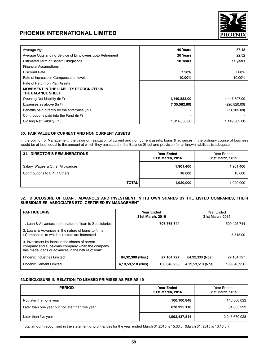

| Average Age                                                         | 40 Years      | 37.48         |
|---------------------------------------------------------------------|---------------|---------------|
| Average Outstanding Service of Employees upto Retirement            | 20 Years      | 22.52         |
| <b>Estimated Term of Benefit Obligations</b>                        | 10 Years      | 11 years      |
| <b>Financial Assumptions</b>                                        |               |               |
| Discount Rate                                                       | 7.50%         | 7.80%         |
| Rate of increase in Compensation levels                             | 10.00%        | 10.00%        |
| Rate of Return on Plan Assets                                       |               |               |
| <b>MOVEMENT IN THE LIABILITY RECOGNIZED IN</b><br>THE BALANCE SHEET |               |               |
| Opening Net Liability (In ₹)                                        | 1,149,882.00  | 1,447,807.00  |
| Expenses as above ( $\ln$ ₹)                                        | (135, 582.00) | (226, 820.00) |
| Benefits paid directly by the enterprise (In $\bar{z}$ )            |               | (71, 105.00)  |
| Contributions paid into the Fund (In $\bar{z}$ )                    |               |               |
| Closing Net Liability (In)                                          | 1,014,300.00  | 1,149,882.00  |

### **30. FAIR VALUE OF CURRENT AND NON CURRENT ASSETS**

In the opinion of Management, the value on realization of current and non current assets, loans & advances in the ordinary course of business would be at least equal to the amount at which they are stated in the Balance Sheet and provision for all known liabilities is adequate.

| <b>31. DIRECTOR'S REMUNERATIONS</b>                               | <b>Year Ended</b><br>31st March, 2016 | Year Ended<br>31st March, 2015 |
|-------------------------------------------------------------------|---------------------------------------|--------------------------------|
| Salary, Wages & Other Allowances<br>Contributions to EPF / Others | 1,901,400<br>18,600                   | 1,901,400<br>18,600            |
| <b>TOTAL</b>                                                      | 1,920,000                             | 1,920,000                      |

### **32. DISCLOSURE OF LOAN / ADVANCES AND INVESTMENT IN ITS OWN SHARES BY THE LISTED COMPANIES, THEIR SUBSIDIARIES, ASSOCIATES ETC. CERTIFIED BY MANAGEMENT**

|                   |             | Year Ended<br>31st March, 2015        |             |  |
|-------------------|-------------|---------------------------------------|-------------|--|
|                   | 707,765,744 |                                       | 500,425,744 |  |
|                   |             |                                       | 5.515.00    |  |
|                   |             |                                       |             |  |
| 84,32,300 (Nos.)  | 27,104,727  | 84,32,300 (Nos.)                      | 27,104,727  |  |
| 4,19,53,510 (Nos) | 130,846,956 | 4,19,53,510 (Nos)                     | 130.846.956 |  |
|                   |             | <b>Year Ended</b><br>31st March, 2016 |             |  |

### **33.Disclosure in relation to leased primises as per AS 19**

| <b>PERIOD</b>                                    | <b>Year Ended</b><br>31st March, 2016 | Year Ended<br>31st March, 2015 |
|--------------------------------------------------|---------------------------------------|--------------------------------|
| Not later than one year                          | 160,100,848                           | 146,560,022                    |
| Later than one year but not later than five year | 670,925,110                           | 61,655,222                     |
| Later than five year                             | 1,992,437,814                         | 2,245,670,028                  |

Total amount recognised in the statement of profit & loss for the year ended March 31,2016 is 15.33 cr (March 31, 2015 is 13.13 cr)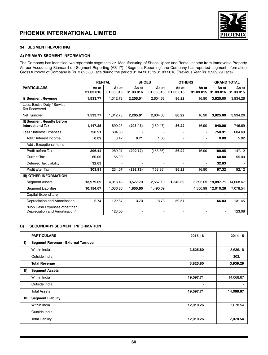

### **34. SEGMENT REPORTING**

### **A) PRIMARY SEGMENT INFORMATION**

The Company has identified two reportable segments viz. Manufacturing of Shoes Upper and Rental Income from Immovable Property. As per Accounting Standard on Segment Reporting (AS-17), "Segment Reporting" the Company has reported segment information. Gross turnover of Company is Rs. 3,825.80 Lacs during the period 01.04.2015 to 31.03.2016 (Previous Year Rs. 3,939.29 Lacs).

|                                                                 | <b>RENTAL</b>      |                    | <b>SHOES</b>       |                    | <b>OTHERS</b>      |                    | <b>GRAND TOTAL</b> |                    |
|-----------------------------------------------------------------|--------------------|--------------------|--------------------|--------------------|--------------------|--------------------|--------------------|--------------------|
| <b>PARTICULARS</b>                                              | As at<br>31.03.016 | As at<br>31.03.015 | As at<br>31.03.016 | As at<br>31.03.015 | As at<br>31.03.016 | As at<br>31.03.015 | As at<br>31.03.016 | As at<br>31.03.015 |
| I) Segment Revenue                                              | 1,533.77           | 1,312.73           | 2,205.01           | 2.604.63           | 86.22              | 16.90              | 3,825.00           | 3,934.26           |
| Less: Excise Duty / Service<br><b>Tax Recovered</b>             |                    |                    |                    |                    |                    |                    |                    |                    |
| Net Turnover                                                    | 1,533.77           | 1,312.73           | 2,205.01           | 2.604.63           | 86.22              | 16.90              | 3,825.00           | 3,934.26           |
| II) Segment Results before<br><b>Interest and Tax</b>           | 1,147.25           | 890.25             | (293.43)           | (160.47)           | 86.22              | 16.90              | 940.06             | 746.69             |
| Less: Interest Expenses                                         | 750.91             | 604.60             |                    |                    |                    |                    | 750.91             | 604.60             |
| Add: Interest Income                                            | 0.09               | 3.42               | 0.71               | 1.60               |                    |                    | 0.80               | 5.02               |
| Add: Exceptional Items                                          | ۰                  |                    |                    |                    |                    |                    |                    |                    |
| Profit before Tax                                               | 396.44             | 289.07             | (292.72)           | (158.86)           | 86.22              | 16.90              | 189.95             | 147.12             |
| <b>Current Tax</b>                                              | 60.00              | 55.00              |                    |                    |                    |                    | 60.00              | 55.00              |
| Deferred Tax Liability                                          | 32.63              |                    |                    |                    |                    |                    | 32.63              |                    |
| Profit after Tax                                                | 303.81             | 234.07             | (292.72)           | (158.86)           | 86.22              | 16.90              | 97.32              | 92.12              |
| <b>III) OTHER INFORMATION</b>                                   |                    |                    |                    |                    |                    |                    |                    |                    |
| <b>Segment Assets</b>                                           | 13,979.09          | 4.916.48           | 3,577.73           | 2,557.10           | 1,540.89           | 6.595.09           | 19,097.71          | 14,068.67          |
| <b>Segment Liabilities</b>                                      | 10,154.67          | 1,036.86           | 1,855.60           | 1,490.69           |                    | 4,550.99           | 12,010.26          | 7,078.54           |
| Capital Expenditure                                             |                    |                    |                    |                    |                    |                    |                    |                    |
| Depreciation and Amortisation                                   | 2.74               | 122.67             | 3.73               | 8.78               | 59.57              |                    | 66.03              | 131.45             |
| "Non Cash Expenses other than<br>Depreciation and Amortisation" |                    | 123.08             |                    |                    |                    |                    |                    | 123.08             |

### **B) SECONDARY SEGMENT INFORMATION**

|             | <b>PARTICULARS</b>                         | 2015-16   | 2014-15                  |
|-------------|--------------------------------------------|-----------|--------------------------|
| I)          | <b>Segment Revenue - External Turnover</b> |           |                          |
|             | Within India                               | 3,825.80  | 3,636.18                 |
|             | Outside India                              | ٠         | 303.11                   |
|             | <b>Total Revenue</b>                       | 3,825.80  | 3,939.29                 |
| $\vert$ II) | <b>Segment Assets</b>                      |           |                          |
|             | Within India                               | 19,097.71 | 14,068.67                |
|             | Outside India                              | ٠         | $\overline{\phantom{0}}$ |
|             | <b>Total Assets</b>                        | 19,097.71 | 14,068.67                |
| III)        | <b>Segment Liability</b>                   |           |                          |
|             | Within India                               | 12,010.26 | 7,078.54                 |
|             | Outside India                              | ٠         | $\blacksquare$           |
|             | <b>Total Liability</b>                     | 12,010.26 | 7,078.54                 |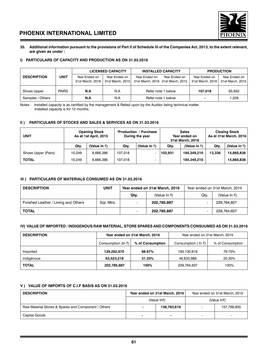

### **35. Additional information pursuant to the provisions of Part II of Schedule III of the Companies Act, 2013, to the extent relevant, are given as under :**

### **I) PARTICULARS OF CAPACITY AND PRODUCTION AS ON 31.03.2016**

|                    |              |                                   | <b>LICENSED CAPACITY</b><br><b>INSTALLED CAPACITY</b> |                    |                                                    |                                   | <b>PRODUCTION</b>                 |
|--------------------|--------------|-----------------------------------|-------------------------------------------------------|--------------------|----------------------------------------------------|-----------------------------------|-----------------------------------|
| <b>DESCRIPTION</b> | <b>UNIT</b>  | Year Ended on<br>31st March, 2016 | Year Ended on<br>31st March, 2015                     | Year Ended on      | Year Ended on<br>31st March, 2016 31st March, 2015 | Year Ended on<br>31st March, 2016 | Year Ended on<br>31st March, 2015 |
| Shoes Upper        | <b>PAIRS</b> | N.A                               | N.A                                                   | Refer note 1 below |                                                    | 107.018                           | 65.932                            |
| Samples / Others   |              | N.A                               | N.A                                                   | Refer note 1 below |                                                    | ۰                                 | 1.228                             |

Notes : Installed capacity is as certified by the management & Relied upon by the Auditor being technical matter. Installed capacity is for 12 months.

### **II ) PARTICULARS OF STOCKS AND SALES & SERVICES AS ON 31.03.2016**

| <b>UNIT</b>         |        | <b>Opening Stock</b><br>As at 1st April, 2015 | "Production / Purchase<br>During the year |   | <b>Sales</b><br>Year ended on<br>31st March, 2016 |              | <b>Closing Stock</b><br>As at 31st March, 2016 |              |
|---------------------|--------|-----------------------------------------------|-------------------------------------------|---|---------------------------------------------------|--------------|------------------------------------------------|--------------|
|                     | Qty.   | (Value In ₹)                                  | (Value In ₹)<br>Qty.                      |   | Qty.                                              | (Value In ₹) | Qty.                                           | (Value In ₹) |
| Shoes Upper (Pairs) | 10.249 | 8.666.386                                     | 107.018                                   | - | 103.931                                           | 184,349,210  | 13.336                                         | 14,860,838   |
| <b>TOTAL</b>        | 10.249 | 8.666.386                                     | 107.018                                   |   |                                                   | 184.349.210  |                                                | 14,860,838   |

### **III ) PARTICULARS OF MATERIALS CONSUMED AS ON 31.03.2016**

| <b>DESCRIPTION</b>                   | <b>UNIT</b> | Year ended on 31st March, 2016          |              | Year ended on 31st March, 2015 |              |
|--------------------------------------|-------------|-----------------------------------------|--------------|--------------------------------|--------------|
|                                      |             | Qty.                                    | (Value In ₹) | Qty.                           | (Value In ₹) |
| Finished Leather / Lining and Others | Sqr. Mtrs.  | $\overline{\phantom{0}}$                | 202,785,887  |                                | 229.764.607  |
| <b>TOTAL</b>                         |             | 202,785,887<br>$\overline{\phantom{0}}$ |              |                                | 229.764.607  |

### **IV) VALUE OF IMPORTED / INDIGENOUS RAW MATERIAL, STORE SPARES AND COMPONENTS CONSUUMED AS ON 31.03.2016**

| <b>DESCRIPTION</b> |                                                 | Year ended on 31st March, 2016 | Year ended on 31st March, 2015 |                  |  |
|--------------------|-------------------------------------------------|--------------------------------|--------------------------------|------------------|--|
|                    | Consumption (In $\bar{z}$ )<br>% of Consumption |                                | Consumption ( In ₹)            | % of Consumption |  |
| Imported           | 139,262,670                                     | 68.67%                         | 183.130.619                    | 79.70%           |  |
| Indigenous         | 63,523,218                                      | 31.33%                         | 46.633.988                     | 20.30%           |  |
| <b>TOTAL</b>       | 202,785,887                                     | 100%                           | 229.764.607                    | 100%             |  |

### **V ) VALUE OF IMPORTS OF C.I.F BASIS AS ON 31.03.2016**

| <b>DESCRIPTION</b>                                  | Year ended on 31st March, 2016 |             | Year ended on 31st March, 2015 |             |
|-----------------------------------------------------|--------------------------------|-------------|--------------------------------|-------------|
|                                                     | (Value In₹)                    |             | (Value In₹)                    |             |
| Raw Material Stores & Spares and Component / Others |                                | 138,783,616 |                                | 157,768,835 |
| <b>Capital Goods</b>                                | -                              |             |                                |             |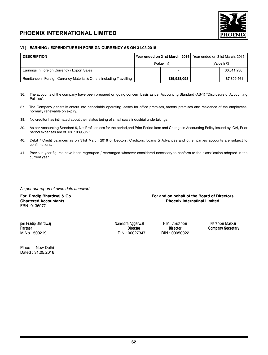

### **VI ) EARNING / EXPENDITURE IN FOREIGN CURRENCY AS ON 31.03.2015**

| <b>DESCRIPTION</b>                                                   | Year ended on 31st March, 2016 |             | Year ended on 31st March, 2015 |             |
|----------------------------------------------------------------------|--------------------------------|-------------|--------------------------------|-------------|
|                                                                      | (Value In₹)                    |             | (Value In₹)                    |             |
| Earnings in Foreign Currency / Export Sales                          |                                |             |                                | 30,311,236  |
| Remitance in Foreign Currency-Material & Others including Travelling |                                | 135.938.098 |                                | 187.809.561 |

- 36. The accounts of the company have been prepared on going concern basis as per Accounting Standard (AS-1) "Disclosure of Accounting Policies".
- 37. The Company generally enters into cancelable operating leases for office premises, factory premises and residence of the employees, normally renewable on expiry.
- 38. No creditor has intimated about their status being of small scale industrial undertakings.
- 39. As per Accounting Standard 5, Net Profit or loss for the period,and Prior Period Item and Change in Accounting Policy Issued by ICAI, Prior period expenses are of Rs. 103950/-."
- 40. Debit / Credit balances as on 31st March 2016 of Debtors, Creditors, Loans & Advances and other parties accounts are subject to confirmations.
- 41. Previous year figures have been regrouped / rearranged wherever considered necessary to conform to the classification adopted in the current year.

### *As per our report of even date annexed*

FRN- 013697C

### For Pradip Bhardwaj & Co. **For and on behalf of the Board of Directors**<br>Chartered Accountants **For and on the Board of Directors Phoenix Internatinal Limited**

per Pradip Bhardwaj Narendra Aggarwal P. M. Alexander Narender Makkar M.No. 500219 DIN : 00027347 DIN : 00050022

Place : New Delhi Dated : 31.05.2016

**Company Secretary**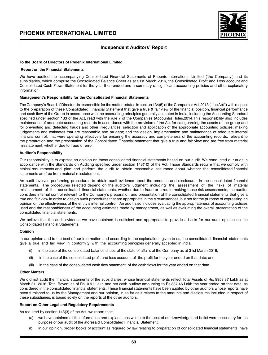

### **Independent Auditors' Report**

### **To the Board of Directors of Phoenix International Limited**

#### **Report on the Financial Statements**

We have audited the accompanying Consolidated Financial Statements of Phoenix International Limited ('the Company') and its subsidiaries, which comprise the Consolidated Balance Sheet as at 31st March 2016, the Consolidated Profit and Loss account and Consolidated Cash Flows Statement for the year then ended and a summary of significant accounting policies and other explanatory information.

### **Management's Responsibility for the Consolidated Financial Statements**

The Company's Board of Directors is responsible for the matters stated in section 134(5) of the Companies Act,2013 (''the Act'') with respect to the preparation of these Consolidated Financial Statement that give a true & fair view of the financial position, financial performance and cash flow of the Group in accordance with the accounting principles generally accepted in India, including the Accounting Standard specified under section 133 of the Act, read with the rule 7 of the Companies (Accounts) Rules,2014.This responsibility also includes maintenance of adequate accounting records in accordance with the provision of the Act for safeguarding the assets of the group and for preventing and detecting frauds and other irregularities; selection and application of the appropriate accounting policies; making judgements and estimates that are reasonable and prudent; and the design, implementation and maintenance of adequate internal financial control, that were operating effectively for ensuring the accuracy and completeness of the accounting records, relevant to the preparation and the presentation of the Consolidated Financial statement that give a true and fair view and are free from material misstatement, whether due to fraud or error.

### **Auditor's Responsibility**

Our responsibility is to express an opinion on these consolidated financial statements based on our audit. We conducted our audit in accordance with the Standards on Auditing specified under section 143(10) of the Act. Those Standards require that we comply with ethical requirements and plan and perform the audit to obtain reasonable assurance about whether the consolidated financial statements are free from material misstatement.

An audit involves performing procedures to obtain audit evidence about the amounts and disclosures in the consolidated financial statements. The procedures selected depend on the auditor's judgment, including the assessment of the risks of material misstatement of the consolidated financial statements, whether due to fraud or error. In making those risk assessments, the auditor considers internal control relevant to the Company's preparation and presentation of the consolidated financial statements that give a true and fair view in order to design audit procedures that are appropriate in the circumstances, but not for the purpose of expressing an opinion on the effectiveness of the entity's internal control. An audit also includes evaluating the appropriateness of accounting policies used and the reasonableness of the accounting estimates made by management, as well as evaluating the overall presentation of the consolidated financial statements.

We believe that the audit evidence we have obtained is sufficient and appropriate to provide a basis for our audit opinion on the Consolidated Financial Statements.

### **Opinion**

In our opinion and to the best of our information and according to the explanations given to us, the consolidated financial statements give a true and fair view in conformity with the accounting principles generally accepted in India:

- in the case of the consolidated balance sheet, of the state of affairs of the Company as at 31st March 2016;
- (ii) in the case of the consolidated profit and loss account, of the profit for the year ended on that date; and
- (iii) in the case of the consolidated cash flow statement, of the cash flows for the year ended on that date.

#### **Other Matters**

We did not audit the financial statements of the subsidiaries, whose financial statements reflect Total Assets of Rs. 9958.37 Lakh as at March 31, 2016, Total Revenues of Rs. 0.91 Lakh and net cash outflow amounting to Rs.837.46 Lakh the year ended on that date, as considered in the consolidated financial statements. These financial statements have been audited by other auditors whose reports have been furnished to us by the Management and our opinion, in so far as it relates to the amounts and disclosures included in respect of these subsidiaries, is based solely on the reports of the other auditors.

### **Report on Other Legal and Regulatory Requirements**

As required by section 143(3) of the Act, we report that:

- (a) we have obtained all the information and explanations which to the best of our knowledge and belief were necessary for the purpose of our audit of the aforesaid Consolidated Financial Statement.
- (b) in our opinion, proper books of account as required by law relating to preparation of consolidated financial statements have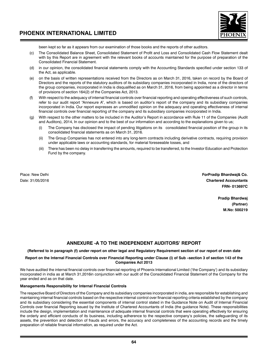

been kept so far as it appears from our examination of those books and the reports of other auditors.

- (c) The Consolidated Balance Sheet, Consolidated Statement of Profit and Loss and Consolidated Cash Flow Statement dealt with by this Report are in agreement with the relevant books of accounts maintained for the purpose of preparation of the Consolidated Financial Statement.
- (d) in our opinion, the consolidated financial statements comply with the Accounting Standards specified under section 133 of the Act, as applicable.
- (e) on the basis of written representations received from the Directors as on March 31, 2016, taken on record by the Board of Directors and the reports of the statutory auditors of its subsidiary companies incorporated in India, none of the directors of the group companies, incorporated in India is disqualified as on March 31, 2016, from being appointed as a director in terms of provisions of section 164(2) of the Companies Act, 2013.
- (f) With respect to the adequacy of internal financial controls over financial reporting and operating effectiveness of such controls, refer to our audit report "Annexure A", which is based on auditor's report of the company and its subsidiary companies incorporated in India. Our report expresses an unmodified opinion on the adequacy and operating effectiveness of internal financial controls over financial reporting of the company and its subsidiary companies incorporated in India.
- (g) With respect to the other matters to be included in the Auditor's Report in accordance with Rule 11 of the Companies (Audit and Auditors), 2014, In our opinion and to the best of our information and according to the explanations given to us;
	- The Company has disclosed the impact of pending litigations on its consolidated financial position of the group in its consolidated financial statements as on March 31, 2016.
	- (ii) The Group Companies has not entered into any long-term contracts including derivative contracts, requiring provision under applicable laws or accounting standards, for material foreseeable losses, and
	- (iii) There has been no delay in transferring the amounts, required to be transferred, to the Investor Education and Protection Fund by the company.

Place: New Delhi **ForPradip Bhardwaj& Co.** Date: 31/05/2016 **Chartered Accountants FRN- 013697C**

> **Pradip Bhardwaj (Partner) M.No: 500219**

### **ANNEXURE -A TO THE INDEPENDENT AUDITORS' REPORT**

### **(Referred to in paragraph (f) under report on other legal and Regulatory Requirement section of our report of even date**

### **Report on the Internal Financial Controls over Financial Reporting under Clause (i) of Sub –section 3 of section 143 of the Companies Act 2013**

We have audited the internal financial controls over financial reporting of Phoenix International Limited ('the Company') and its subsidiary incorporated in india as at March 31,2016in conjunction with our audit of the Consolidated Financial Statement of the Company for the year ended and as on that date.

### **Managements Responsibility for Internal Financial Controls**

The respective Board of Directors of the Company and its subsidiary companies incorporated in india, are responsible for establishing and maintaining internal financial controls based on the respective internal control over financial reporting criteria established by the company and its subsidiary considering the essential components of internal control stated in the Guidance Note on Audit of Internal Financial Controls over financial Reporting issued by the Institute of Chartered Accountants of India (the guidance Note). These responsibilities include the design, implementation and maintenance of adequate internal financial controls that were operating effectively for ensuring the orderly and efficient conducts of its business, including adherence to the respective company's policies, the safeguarding of its assets, the prevention and detection of frauds and errors, the accuracy and completeness of the accounting records and the timely preparation of reliable financial information, as required under the Act.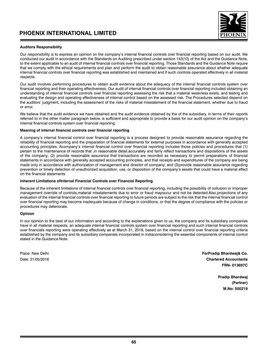

### **Auditors Responsibility**

Our responsibility is to express an opinion on the company's internal financial controls over financial reporting based on our audit. We conducted our audit in accordance with the Standards on Auditing prescribed under section 143(10) of the Act and the Guidance Note, to the extent applicable to an audit of internal financial controls over financial reporting. Those Standards and the Guidance Note require that we comply with the ethical requirements and plan and perform the audit to obtain reasonable assurance about whether adequate internal financial controls over financial reporting was established and maintained and if such controls operated effectively in all material respects.

Our audit involves performing procedures to obtain audit evidence about the adequacy of the internal financial controls system over financial reporting and their operating effectiveness. Our audit of internal financial controls over financial reporting included obtaining an understanding of internal financial controls over financial reporting assessing the risk that a material weakness exists, and testing and evaluating the design and operating effectiveness of internal control based on the assessed risk. The Procedures selected depend on the auditors' judgment, including the assessment of the risks of material misstatement of the financial statement, whether due to fraud or error.

We believe that the audit evidence we have obtained and the audit evidence obtained by the of the subsidiary, in terms of their reports referred to in the other matter paragraph below, is sufficient and appropriate to provide a basis for our audit opinion on the company's internal financial controls system over financial reporting.

### **Meaning of internal financial controls over financial reporting**

A company's internal financial control over financial reporting is a process designed to provide reasonable assurance regarding the reliability of financial reporting and the preparation of financial statements for external purposes in accordance with generally accepted accounting principles. Acompany's internal financial control over financial reporting includes those policies and procedures that (1) pertain to the maintenance of records that ,in reasonable detail,accurately and fairly reflect transactions and dispositions of the assets of the company; (2) provide reasonable assurance that transactions are recorded as necessary to permit preparations of financial statements in accordance with generally accepted accounting principles, and that receipts and expenditures of the company are being made only in accordance with authorization of management and director of company; and (3)provide reasonable assurance regarding prevention or timely detection of unauthorized acquisition, use, or disposition of the company's assets that could have a material effect on the financial statements

### **Inherent Limitations ofInternal Financial Controls over Financial Reporting**

Because of the inherent limitations of internal financial controls over financial reporting, including the possibility of collusion or improper management override of controls,material misstatements due to error or fraud mayoccur and not be detected.Also,projections of any evaluation of the internal financial controls over financial reporting to future periods are subject to the risk that the internal financial control over financial reporting may become inadequate because of change in conditions, or that the degree of compliance with the policies or procedures may deteriorate.

### **Opinion**

In our opinion to the best of our information and according to the explanations given to us, the company and its subsidiary companies have in all material respects, an adequate internal financial controls system over financial reporting and such internal financial controls over financials reporting were operating effectively as at March 31, 2016, based on the internal control over financial reporting criteria established by the company and its subsidiary companies incorporated in indiaconsidering the essential components of internal control stated in the Guidance Note.

Place: New Delhi **ForPradip Bhardwaj& Co.** Date: 31/05/2016 **Chartered Accountants FRN- 013697C**

> **Pradip Bhardwaj (Partner) M.No: 500219**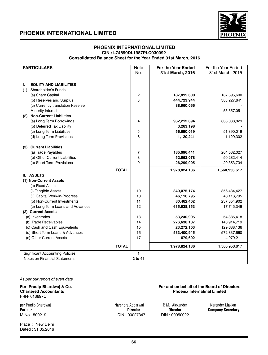

### **PHOENIX INTERNATIONAL LIMITED CIN : L74899DL1987PLC030092**

 **Consolidated Balance Sheet for the Year Ended 31st March, 2016**

| <b>PARTICULARS</b>                     | <b>Note</b> | For the Year Ended | For the Year Ended |
|----------------------------------------|-------------|--------------------|--------------------|
|                                        | No.         | 31st March, 2016   | 31st March, 2015   |
|                                        |             |                    |                    |
| <b>EQUITY AND LIABILITIES</b><br>ı.    |             |                    |                    |
| (1)<br>Shareholder's Funds             |             |                    |                    |
| (a) Share Capital                      | 2           | 187,895,600        | 187,895,600        |
| (b) Reserves and Surplus               | 3           | 444,723,944        | 383,227,641        |
| (c) Currency translation Reserve       |             | 88,960,066         |                    |
| Minority Interest                      |             |                    | 53,557,051         |
| <b>Non-Current Liabilities</b><br>(2)  |             |                    |                    |
| (a) Long Term Borrowings               | 4           | 932,212,694        | 608,038,829        |
| (b) Deferred Tax Liability             |             | 3,263,198          |                    |
| (c) Long Term Liabilities              | 5           | 56,690,019         | 51,890,019         |
| (d) Long Term Provisions               | 6           | 1,120,241          | 1,129,302          |
|                                        |             |                    |                    |
| (3) Current Liabilities                |             |                    |                    |
| (a) Trade Payables                     | 7           | 185,096,441        | 204,582,027        |
| (b) Other Current Liabilities          | 8           | 52,562,078         | 50,282,414         |
| (c) Short-Term Provisions              | 9           | 26,299,905         | 20,353,734         |
| <b>TOTAL</b>                           |             | 1,978,824,186      | 1,560,956,617      |
| II. ASSETS                             |             |                    |                    |
| (1) Non-Current Assets                 |             |                    |                    |
| (a) Fixed Assets                       |             |                    |                    |
| (i) Tangible Assets                    | 10          | 349,075,174        | 356,434,427        |
| (ii) Capital Work-in-Progress          | 10          | 46,116,795         | 46,116,795         |
| (b) Non-Current Investments            | 11          | 80,462,402         | 237,854,902        |
| (c) Long Term Loans and Advances       | 12          | 615,938,153        | 17,745,349         |
| (2) Current Assets                     |             |                    |                    |
| (a) Inventories                        | 13          | 53,240,905         | 54,385,418         |
| (b) Trade Receivables                  | 14          | 276,638,107        | 140,914,719        |
| (c) Cash and Cash Equivalents          | 15          | 23,272,103         | 129,688,136        |
| (d) Short Term Loans & Advances        | 16          | 533,400,945        | 572,837,660        |
| (e) Other Current Assets               | 17          | 679,602            | 4,979,211          |
| <b>TOTAL</b>                           |             | 1,978,824,186      | 1,560,956,617      |
|                                        |             |                    |                    |
| <b>Significant Accounting Policies</b> | 1           |                    |                    |
| Notes on Financial Statements          | 2 to 41     |                    |                    |

*As per our report of even date*

For Pradip Bhardwaj & Co. **For and on behalf of the Board of Directors**<br>Chartered Accountants **For and on the Board of Directors**<br>Phoenix Internatinal Limited FRN- 013697C

per Pradip Bhardwaj Narendra Aggarwal P. M. Alexander Narender Makkar **Partner Director Director Company Secretary**  M.No. 500219 DIN : 00027347 DIN : 00050022

Place : New Delhi Dated : 31.05.2016

**Phoenix Internatinal Limited**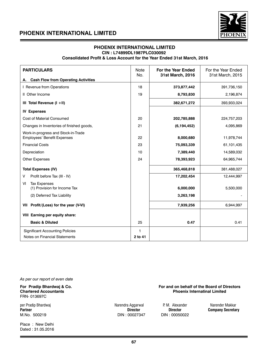

### **PHOENIX INTERNATIONAL LIMITED CIN : L74899DL1987PLC030092**

### **Consolidated Profit & Loss Account for the Year Ended 31st March, 2016**

| <b>PARTICULARS</b>                                                        |         | For the Year Ended<br>31st March, 2016 | For the Year Ended<br>31st March, 2015 |
|---------------------------------------------------------------------------|---------|----------------------------------------|----------------------------------------|
| A. Cash Flow from Operating Activities                                    |         |                                        |                                        |
| I Revenue from Operations                                                 |         | 373,877,442                            | 391,736,150                            |
| II Other Income                                                           | 19      | 8,793,830                              | 2,196,874                              |
| III Total Revenue (I +II)                                                 |         | 382,671,272                            | 393,933,024                            |
| <b>IV Expenses</b>                                                        |         |                                        |                                        |
| <b>Cost of Material Consumed</b>                                          | 20      | 202,785,888                            | 224,757,203                            |
| Changes in Inventories of finished goods,                                 | 21      | (6, 194, 452)                          | 4,095,869                              |
| Work-in-progress and Stock-in-Trade<br><b>Employees' Benefit Expenses</b> |         | 8,000,680                              | 11,978,744                             |
| <b>Financial Costs</b>                                                    | 23      | 75,093,339                             | 61,101,435                             |
| Depreciation                                                              | 10      | 7,389,440                              | 14,589,032                             |
| <b>Other Expenses</b>                                                     |         | 78,393,923                             | 64,965,744                             |
| <b>Total Expenses (IV)</b>                                                |         | 365,468,818                            | 381,488,027                            |
| Profit before Tax (III - IV)<br>V                                         |         | 17,202,454                             | 12,444,997                             |
| <b>Tax Expenses</b><br>VI<br>(1) Provision for Income Tax                 |         | 6,000,000                              | 5,500,000                              |
| (2) Deferred Tax Liability                                                |         | 3,263,198                              |                                        |
| VII Profit/(Loss) for the year (V-VI)                                     |         | 7,939,256                              | 6,944,997                              |
| VIII Earning per equity share:                                            |         |                                        |                                        |
| <b>Basic &amp; Diluted</b>                                                |         | 0.47                                   | 0.41                                   |
| <b>Significant Accounting Policies</b>                                    |         |                                        |                                        |
| Notes on Financial Statements                                             | 2 to 41 |                                        |                                        |

*As per our report of even date*

**For Pradip Bhardwaj & Co.** The South of the Board of Directors of Directors Chartered Accountants<br>Chartered Accountants **Chartered Accountants** FRN- 013697C

per Pradip Bhardwaj **Narendra Aggarwal P. M. Alexander Natur** Narendra Makkar<br>Partner **Partner Company Secretar Partner Company Secretar Partner Partner Company Secretar Partner Company Secretary Company Secretary**<br>  $\begin{array}{ccc}\n\text{Director} & \text{Director} & \text{Company Secretary} \\
\text{M.No. } 500219 & & \text{OM1: } 00027347 & & \text{DIN : } 00050022\n\end{array}$ M.No. 500219 DIN : 00027347

Place : New Delhi Dated : 31.05.2016

**Phoenix Internatinal Limited**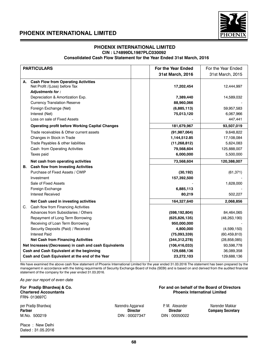

### **PHOENIX INTERNATIONAL LIMITED CIN : L74899DL1987PLC030092 Consolidated Cash Flow Statement for the Year Ended 31st March, 2016**

|    | <b>PARTICULARS</b>                                     | <b>For the Year Ended</b> | For the Year Ended |
|----|--------------------------------------------------------|---------------------------|--------------------|
|    |                                                        | 31st March, 2016          | 31st March, 2015   |
| А. | <b>Cash Flow from Operating Activities</b>             |                           |                    |
|    | Net Profit /(Loss) before Tax                          | 17,202,454                | 12,444,997         |
|    | Adjustments for:                                       |                           |                    |
|    | Depreciation & Amortization Exp.                       | 7,389,440                 | 14,589,032         |
|    | <b>Currency Translation Reserve</b>                    | 88,960,066                |                    |
|    | Foreign Exchange (Net)                                 | (6,885,113)               | 59,957,583         |
|    | Interest (Net)                                         | 75,013,120                | 6,067,966          |
|    | Loss on sale of Fixed Assets                           |                           | 447,441            |
|    | <b>Operating profit before Working Capital Changes</b> | 181,679,967               | 93,507,019         |
|    | Trade receivables & Other current assets               | (91, 987, 064)            | 9,648,822          |
|    | Changes in Stock in Trade                              | 1,144,512.85              | 17,108,084         |
|    | Trade Payables & other liabilities                     | (11, 268, 812)            | 5,624,083          |
|    | Cash from Operating Activities                         | 79,568,604                | 125,888,007        |
|    | Taxes paid                                             | 6,000,000                 | 5,500,000          |
|    | Net cash from operating activities                     | 73,568,604                | 120,388,007        |
|    | <b>B.</b> Cash flow from Investing Activities          |                           |                    |
|    | Purchase of Fixed Assets / CWIP                        | (30, 192)                 | (61, 371)          |
|    | Investment                                             | 157,392,500               |                    |
|    | Sale of Fixed Assets                                   |                           | 1,628,000          |
|    | Foreign Exchange                                       | 6,885,113                 |                    |
|    | <b>Interest Received</b>                               | 80,219                    | 502,227            |
|    | Net Cash used in investing activities                  | 164,327,640               | 2,068,856          |
| C. | Cash flow from Financing Activities                    |                           |                    |
|    | Advances from Subsidiaries / Others                    | (598, 192, 804)           | 84,464,065         |
|    | Repayment of Long Term Borrowing                       | (625, 826, 135)           | (48, 263, 190)     |
|    | Receiving of Loan Term Borrowing                       | 950,000,000               |                    |
|    | Security Deposits (Paid) / Received                    | 4,800,000                 | (4,599,150)        |
|    | <b>Interest Paid</b>                                   | (75,093,339)              | (60, 459, 810)     |
|    | <b>Net Cash from Financing Activities</b>              | (344, 312, 278)           | (28, 858, 085)     |
|    | Net Increases/(Decreases) in cash and cash Equivalents | (106, 416, 033)           | 93,598,778         |
|    | Cash and Cash Equivalent at the beginning              | 129,688,136               | 36,089,358         |
|    | Cash and Cash Equivalent at the end of the Year        | 23,272,103                | 129,688,136        |
|    |                                                        |                           |                    |

We have examined the above cash flow statement of Phoenix International Limited for the year ended 31.03.2016 The statement has been prepared by the management in accordance with the listing requirments of Security Exchange Board of India (SEBI) and is based on and derived from the audited financial statement of the company for the year ended 31.03.2016.

*As per our report of even date*

**For Pradip Bhardwaj & Co. For and on behalf of the Board of Directors Chartered Accountants Phoenix Internatinal Limited** FRN- 013697C

M.No. 500219 DIN : 00027347

Place : New Delhi Dated : 31.05.2016

per Pradip Bhardwaj Narendra Aggarwal P. M. Alexander Narender Makkar<br>Partner **National Partner Company Secretal** Partner Director **Director** Director **National Partner** 

**Partner Director Company Secretary**<br> **PIN**: 00050022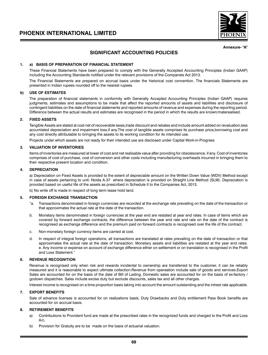

**Annexure- "A"**

### **SIGNIFICANT ACCOUNTING POLICIES**

### **1. a) BASIS OF PREPARATION OF FINANCIAL STATEMENT**

These Financial Statements have been prepared to comply with the Generally Accepted Accounting Principles (Indian GAAP) including the Accounting Standards notified under the relevant provisions of the Companies Act 2013.

The Financial Statements are prepared on accrual basis under the historical cost convention. The financials Statements are presented in Indian rupees rounded off to the nearest rupees.

### **b) USE OF ESTIMATES**

The preparation of financial statements in conformity with Generally Accepted Accounting Principles (Indian GAAP) requires judgments, estimates and assumptions to be made that affect the reported amounts of assets and liabilities and disclosure of contingent liabilities on the date of financial statements and reported amounts of revenue and expenses during the reporting period. Difference between the actual results and estimates are recognised in the period in which the results are known/materealised.

### **2. FIXED ASSETS**

Tangible Assets are stated at cost net of recoverable taxes,trade discount and rebates and include amount added on revaluation,less accumlated depreciation and impairment loss,if any.The cost of tangible assets comprises its purchase price,borrowing cost and any cost directly attributable to bringing the assets to its working condition for its intended use.

Projects under which assets are not ready for their intended use are disclosed under Capital Work-in-Progress

### **3. VALUATION OF INVENTORIES**

Items of inventories are measured at lower of cost and net realisable value after providing for obsolescence, if any. Cost of inventories comprises of cost of purchase, cost of conversion and other costs including manufacturing overheads incurred in bringing them to their respective present location and condition.

### **4. DEPRECIATION**

a) Depreciation on Fixed Assets is provided to the extent of depreciable amount on the Written Down Value (WDV) Method except in case of assets pertaining to unit- Noida A-37 where depreciation is provided on Straight Line Method (SLM). Depreciation is provided based on useful life of the assets as prescribed in Schedule II to the Companies Act, 2013.

b) No write off is made in respect of long term lease hold land.

### **5. FOREIGN EXCHANGE TRANSACTION**

- "a. Transactions denominated in foreign currencies are recorded at the exchange rate prevailing on the date of the transaction or that approximates the actual rate at the date of the transaction.
- b. Monetary items denominated in foreign currencies at the year end are restated at year end rates. In case of items which are covered by forward exchange contracts, the difference between the year end rate and rate on the date of the contract is recognised as exchange difference and the premium paid on forward contracts is recognised over the life of the contract.
- c. Non-monetary foreign currency items are carried at cost.
- d. In respect of integral foreign operations, all transactions are translated at rates prevailing on the date of transaction or that approximates the actual rate at the date of transaction. Monetary assets and liabilities are restated at the year end rates. e. Any income or expense on account of exchange difference either on settlement or on translation is recognised in the Profit and Loss Statement."

### **6. REVENUE RECOGNITION**

Revenue is recognised only when risk and rewards incidental to ownership are transferred to the customer, it can be reliably measured and it is reasonable to expect ultimate collection.Revenue from opereation include sale of goods and services.Export Sales are accounted for on the basis of the date of Bill of Lading. Domestic sales are accounted for on the basis of ex-factory / godown dispatches. Sales include excise duty but exclude discounts, sales tax and all other charges.

Interest income is recognised on a time proportion basis taking into account the amount outstanding and the intrest rate applicable.

### **7. EXPORT BENEFITS**

Sale of advance licenses is accounted for on realizations basis, Duty Drawbacks and Duty entitlement Pass Book benefits are accounted for on accrual basis.

### **8. RETIREMENT BENEFITS**

- a) Contributions to Provident fund are made at the prescribed rates in the recognized funds and charged to the Profit and Loss A/c.
- b) Provision for Gratuity are to be made on the basis of actuarial valuation.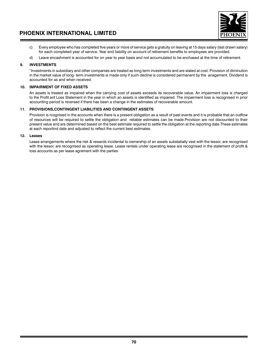

- c) Every employee who has completed five years or more of service gets a gratuity on leaving at 15 days salary (last drawn salary) for each completed year of service. Year end liability on account of retirement benefits to employees are provided.
- d) Leave encashment is accounted for on year to year basis and not accumulated to be enchased at the time of retirement.

### **9. INVESTMENTS**

"Investments in subsidiary and other companies are treated as long term investments and are stated at cost. Provision of diminution in the market value of long- term investments is made only if such decline is considered permanent by the anagement. Dividend is accounted for as and when received.

### **10. IMPAIRMENT OF FIXED ASSETS**

An assets is treated as impaired when the carrying cost of assets exceeds its recoverable value. An impairment loss is charged to the Profit anf Loss Statement in the year in which an assets is identified as impaired. The impairment loss is recognised in prior accounting period is reversed if there has been a change in the estimates of recoverable amount.

### **11. PROVISIONS,CONTINGENT LIABILITIES AND CONTINGENT ASSETS**

Provision is rcognised in the accounts when there is a present obligation as a result of past events and it is probable that an outflow of resources will be required to settle the obligation and reliable estimates can be made.Provision are not discounted to their present value and are determined based on the best estimate required to settle the obligation at the reporting date.These estimates at each reportind date and adjusted to reflect the current best estimates.

### **12. Leases**

Lease arrangements where the risk & rewards incidental to ownership of an assets substatially vest with the lessor, are recognised with the lessor, are recognised as operating lease. Lease rentals under operating lease are recognised in the statement of profit & loss accounts as per lease agrement with the parties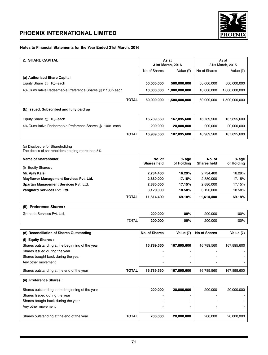

## **Notes to Financial Statements for the Year Ended 31st March, 2016**

| 2. SHARE CAPITAL                                          |              | As at<br>31st March, 2016 |               | As at<br>31st March, 2015 |               |
|-----------------------------------------------------------|--------------|---------------------------|---------------|---------------------------|---------------|
|                                                           |              | No of Shares<br>Value (₹) |               | No of Shares              | Value (₹)     |
| (a) Authorised Share Capital                              |              |                           |               |                           |               |
| Equity Share $@$ 10/- each                                |              | 50,000,000                | 500,000,000   | 50.000.000                | 500,000,000   |
| 4% Cumulative Redeemable Preference Shares @ ₹ 100/- each |              | 10.000.000                | 1,000,000,000 | 10.000.000                | 1,000,000,000 |
|                                                           | <b>TOTAL</b> | 60,000,000                | 1,500,000,000 | 60.000.000                | 1.500.000.000 |
| (b) Issued, Subscribed and fully paid up                  |              |                           |               |                           |               |

| Equity Share $@$ 10/- each                              |       | 16.789.560 | 167.895.600 | 16.789.560 | 167.895.600 |
|---------------------------------------------------------|-------|------------|-------------|------------|-------------|
| 4% Cumulative Redeemable Preference Shares @ 100/- each |       | 200,000    | 20,000,000  | 200,000    | 20.000.000  |
|                                                         | TOTAL | 16.989.560 | 187.895.600 | 16.989.560 | 187,895,600 |

(c) Disclosure for Shareholidng

The details of shareholders holding more than 5%

| Name of Shareholder                     | No. of<br><b>Shares held</b> | $%$ age<br>of Holding | No. of<br><b>Shares held</b> | % age<br>of Holding |
|-----------------------------------------|------------------------------|-----------------------|------------------------------|---------------------|
| (i) Equity Shares:                      |                              |                       |                              |                     |
| Mr. Ajay Kalsi                          | 2.734.400                    | 16.29%                | 2.734.400                    | 16.29%              |
| Mayflower Management Services Pvt. Ltd. | 2,880,000                    | 17.15%                | 2.880.000                    | 17.15%              |
| Spartan Management Services Pvt. Ltd.   | 2.880,000                    | 17.15%                | 2.880.000                    | 17.15%              |
| Vanquard Services Pvt. Ltd.             | 3.120.000                    | 18.58%                | 3.120.000                    | 18.58%              |
| <b>TOTAL</b>                            | 11,614,400                   | 69.18%                | 11,614,400                   | 69.18%              |

## **(ii) Preference Shares :**

| Granada Services Pvt. Ltd. |              | 200.000 | 100% | 200.000 | 100% |
|----------------------------|--------------|---------|------|---------|------|
|                            | <b>TOTAL</b> | 200,000 | 100% | 200.000 | 100% |

| (d) Reconciliation of Shares Outstanding        |              | No. of Shares            | Value $(\bar{z})$ | <b>No of Shares</b>      | Value (₹)   |
|-------------------------------------------------|--------------|--------------------------|-------------------|--------------------------|-------------|
| (i) Equity Shares:                              |              |                          |                   |                          |             |
| Shares outstanding at the beginning of the year |              | 16.789.560               | 167.895.600       | 16.789.560               | 167.895.600 |
| Shares Issued during the year                   |              |                          |                   |                          |             |
| Shares bought back during the year              |              |                          |                   |                          |             |
| Any other movement                              |              | $\overline{\phantom{a}}$ | -                 | $\overline{\phantom{0}}$ |             |
| Shares outstanding at the end of the year       | <b>TOTAL</b> | 16.789.560               | 167.895.600       | 16.789.560               | 167.895.600 |

**(ii) Preference Shares :**

| Shares outstanding at the beginning of the year |              | 200,000 | 20,000,000 | 200,000                  | 20,000,000 |
|-------------------------------------------------|--------------|---------|------------|--------------------------|------------|
| Shares Issued during the year                   |              |         |            |                          |            |
| Shares bought back during the year              |              |         |            | $\overline{\phantom{a}}$ |            |
| Any other movement                              |              |         |            |                          |            |
| Shares outstanding at the end of the year       | <b>TOTAL</b> | 200.000 | 20,000,000 | 200,000                  | 20.000.000 |
|                                                 |              |         |            |                          |            |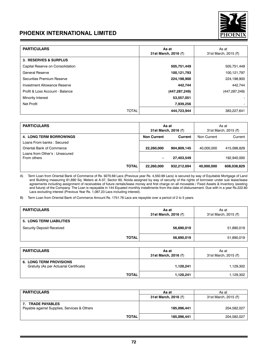

| <b>PARTICULARS</b>               | As at<br>31st March, 2016 (₹) | As at<br>31st March, 2015 (₹) |
|----------------------------------|-------------------------------|-------------------------------|
| <b>3. RESERVES &amp; SURPLUS</b> |                               |                               |
| Capital Reserve on Consolidation | 505,751,449                   | 505,751,449                   |
| General Reserve                  | 100,121,793                   | 100,121,797                   |
| Securities Premium Reserve       | 224,198,900                   | 224,198,900                   |
| Investment Allowance Reserve     | 442,744                       | 442,744                       |
| Profit & Loss Account - Balance  | (447, 287, 249)               | (447, 287, 249)               |
| Minority Interest                | 53,557,051                    |                               |
| <b>Net Profit</b>                | 7,939,256                     |                               |
| <b>TOTAL</b>                     | 444,723,944                   | 383,227,641                   |

| <b>PARTICULARS</b>                            | As at<br>31st March, 2016 (₹) |             | As at<br>31st March, 2015 (₹) |             |
|-----------------------------------------------|-------------------------------|-------------|-------------------------------|-------------|
| <b>4. LONG TERM BORROWINGS</b>                | <b>Non Current</b>            | Current     | Non Current                   | Current     |
| Loans From banks: Secured                     |                               |             |                               |             |
| Oriental Bank of Commerce                     | 22,260,000                    | 904,809,145 | 40.000.000                    | 415,098,829 |
| Loans from Other's : Unsecured<br>From others | ۰                             | 27,403,549  |                               | 192,940,000 |
| <b>TOTAL</b>                                  | 22,260,000                    | 932,212,694 | 40.000.000                    | 608,038,829 |

A) Term Loan from Oriental Bank of Commerce of Rs. 9270.69 Lacs (Previous year Rs. 4,550.99 Lacs) is secured by way of Equitable Mortgage of Land and Building measuring 61,690 Sq. Meters at A-37, Sector 60, Noida assigned by way of security of the rights of borrower under sub lease/lease and Banang measuring signment of receivables of future rentals/lease money and first charge on all moveable / Fixed Assets & Inventory (existing approaching assignment of receivables of future rentals/lease money and first and future) of the Company. The Loan is repayable in 144 Equated monthly installments from the date of disbursement. Due with in a year Rs.222.60 Lacs excluding interest (Previous Year Rs. 1,087.23 Lacs including interest).

B) Term Loan from Oriental Bank of Commerce Amount Rs. 1751.76 Lacs are repayble over a period of 2 to 5 years.

| <b>PARTICULARS</b>              | As at<br>31st March, 2016 (₹) | As at<br>31st March, 2015 (₹) |
|---------------------------------|-------------------------------|-------------------------------|
| <b>5. LONG TERM LIABILITIES</b> |                               |                               |
| Security Deposit Received       | 56,690,019                    | 51,890,019                    |
| <b>TOTAL</b>                    | 56,690,019                    | 51,890,019                    |

| <b>PARTICULARS</b>                                                        | As at<br>31st March, 2016 (₹) | As at<br>31st March, 2015 (₹) |
|---------------------------------------------------------------------------|-------------------------------|-------------------------------|
| <b>6. LONG TERM PROVISIONS</b><br>Gratuity (As per Actuarial Certificate) | 1.120.241                     | 1,129,302                     |
| <b>TOTAL</b>                                                              | 1,120,241                     | 1,129,302                     |

| <b>PARTICULARS</b>                                                   | As at                | As at                |
|----------------------------------------------------------------------|----------------------|----------------------|
|                                                                      | 31st March, 2016 (₹) | 31st March, 2015 (₹) |
| <b>TRADE PAYABLES</b><br>Payable against Supplies, Services & Others | 185,096,441          | 204.582.027          |
| <b>TOTAL</b>                                                         | 185,096,441          | 204,582,027          |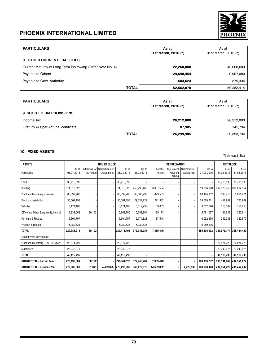

| <b>PARTICULARS</b>                                         | As at<br>31st March, 2016 (₹) | As at<br>31st March, 2015 (₹) |
|------------------------------------------------------------|-------------------------------|-------------------------------|
| <b>8. OTHER CURRENT LIABILITIES</b>                        |                               |                               |
| Current Maturity of Long Term Borrowing (Refer Note No. 4) | 22,260,000                    | 40,000,000                    |
| Payable to Others                                          | 29,698,454                    | 9,907,080                     |
| Payable to Govt. Authority                                 | 603.624                       | 375,334                       |
| <b>TOTAL</b>                                               | 52,562,078                    | 50,282,414                    |

| <b>PARTICULARS</b>                     | As at<br>31st March, 2016 (₹) | As at<br>31st March, 2015 (₹) |
|----------------------------------------|-------------------------------|-------------------------------|
| <b>9. SHORT TERM PROVISIONS</b>        |                               |                               |
| Income Tax                             | 26,212,000                    | 20,212,000                    |
| Gratuity (As per Acturial certificate) | 87,905                        | 141,734                       |
| <b>TOTAL</b>                           | 26,299,905                    | 20,353,734                    |

## **10. FIXED ASSETS**

(All Amount In Rs.)

| <b>ASSETS</b>                       | <b>GROSS BLOCK</b>  |                             |                              | DEPRECIATION        |                     |                   |                                   | <b>NET BLOCK</b>             |                     |                     |                         |
|-------------------------------------|---------------------|-----------------------------|------------------------------|---------------------|---------------------|-------------------|-----------------------------------|------------------------------|---------------------|---------------------|-------------------------|
| Particulars                         | As at<br>01.04.2015 | Additions for<br>the Period | Sales/Transfer<br>Adjustment | As at<br>31.03.2016 | Up to<br>31.03.2015 | For the<br>Period | Adjustment<br>Retained<br>Earning | Sale/Transfer<br>Adjustment  | Up to<br>31.03.2016 | As at<br>31.03.2016 | As at<br>31.03.2015     |
| Land                                | 35.715.590          |                             |                              | 35.715.590          |                     |                   |                                   |                              |                     | 35,715,590          | 35.715.590              |
| Building                            | 571,513,620         |                             |                              | 571.513.620         | 253,299,466         | 6,037,504         | $\overline{\phantom{0}}$          |                              | 259,336,970         |                     | 312,176,650 318,214,154 |
| Plant and Machinery (chennai)       | 66.592.768          |                             |                              | 66.592.768          | 65.580.797          | 823.555           | $\overline{\phantom{0}}$          |                              | 66.404.352          | 188.416             | 1,011,971               |
| <b>Electrical Installation</b>      | 30,061,198          |                             |                              | 30,061,198          | 29.337.229          | 271,982           | -                                 |                              | 29,609,211          | 451,987             | 723,969                 |
| Vehicles                            | 8,171,187           |                             | $\overline{\phantom{a}}$     | 8,171,187           | 8,012,937           | 39,683            | $\overline{\phantom{a}}$          | $\overline{\phantom{a}}$     | 8,052,620           | 118,567             | 158,250                 |
| Office and Other Equipment(chennai) | 5.932.508           | 30.192                      | $\overline{\phantom{a}}$     | 5.962.700           | 5.651.894           | 129,173           | $\overline{\phantom{a}}$          | $\overline{\phantom{a}}$     | 5,781,067           | 181,633             | 280,614                 |
| Furniture & Fixtures                | 6,304,707           |                             | $\overline{\phantom{a}}$     | 6,304,707           | 5,974,828           | 87,548            | $\overline{\phantom{a}}$          | $\overline{\phantom{a}}$     | 6,062,376           | 242,331             | 329,879                 |
| <b>Wooden Structure</b>             | 5.089.636           |                             |                              | 5.089.636           | 5.089.636           |                   | $\overline{\phantom{a}}$          | $\overline{\phantom{a}}$     | 5.089.636           |                     |                         |
| <b>TOTAL</b>                        | 729.381.214         | 30.192                      |                              | 729.411.406         | 372.946.787         | 7.389.440         | ٠                                 |                              | 380,336,232         | 349,075,174         | 356.434.427             |
| Capital Work In Progress:-          |                     |                             |                              |                     |                     |                   |                                   |                              |                     |                     |                         |
| Plant and Machinery - For Re Export | 22.874.720          |                             |                              | 22.874.720          |                     |                   | $\overline{a}$                    | $\qquad \qquad \blacksquare$ |                     | 22,874,720          | 22,874,720              |
| Machinery                           | 23,242,075          |                             |                              | 23,242,075          |                     |                   | $\blacksquare$                    |                              |                     | 23,242,075          | 23,242,075              |
| <b>TOTAL</b>                        | 46.116.795          |                             | ٠                            | 46.116.795          |                     |                   |                                   |                              |                     | 46,116,795          | 46,116,795              |
| <b>GRAND TOTAL - Current Year</b>   | 775.498.009         | 30.192                      |                              | 775,528,201         | 372,946,787         | 7,389,440         | ٠                                 |                              | 380,336,232         | 395,191,969         | 402,551,222             |
| <b>GRAND TOTAL - Previous Year</b>  | 779.935.663         | 61,371                      | 4.499.025                    | 775.498.009         | 348.472.976         | 14.589.032        | ٠                                 | 2.423.585                    | 360.638.423         |                     | 402.551.222 431.462.687 |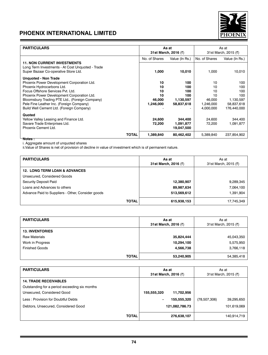

| <b>PARTICULARS</b>                               | As at                     |                      |                      |                |  |
|--------------------------------------------------|---------------------------|----------------------|----------------------|----------------|--|
|                                                  |                           |                      |                      | As at          |  |
|                                                  |                           | 31st March, 2016 (₹) | 31st March, 2015 (₹) |                |  |
|                                                  | No. of Shares             | Value (In Rs.)       | No. of Shares        | Value (In Rs.) |  |
| <b>11. NON CURRENT INVESTMENTS</b>               |                           |                      |                      |                |  |
| Long Term Investments - At Cost Unguoted - Trade |                           |                      |                      |                |  |
| Super Bazaar Co-operative Store Ltd.             | 1,000                     | 10,010               | 1,000                | 10,010         |  |
| <b>Unquoted - Non Trade</b>                      |                           |                      |                      |                |  |
| Phoenix Power Development Corporation Ltd.       | 10                        | 100                  | 10                   | 100            |  |
| Phoenix Hydrocarbons Ltd.                        | 10                        | 100                  | 10                   | 100            |  |
| Focus Offshore Services Pvt. Ltd.                | 10                        | 100                  | 10                   | 100            |  |
| Phoenix Power Development Corporation Ltd.       | 10                        | 100                  | 10                   | 100            |  |
| Bloomsbury Trading PTE Ltd., (Foreign Company)   | 46,000                    | 1,130,597            | 46.000               | 1,130,597      |  |
| Pele Fine Leather Inc. (Foreign Company)         | 1,246,000                 | 58,837,618           | 1,246,000            | 58,837,618     |  |
|                                                  |                           |                      |                      |                |  |
| Build Well Cement Ltd. (Foreign Company)         |                           |                      | 4,000,000            | 176.440.000    |  |
| Quoted                                           |                           |                      |                      |                |  |
| Yellow Valley Leasing and Finance Ltd.           | 24,600                    | 344,400              | 24.600               | 344,400        |  |
| Savare Trade Enterprises Ltd.                    | 72,200                    | 1,091,877            | 72.200               | 1,091,877      |  |
| Phoenix Cement Ltd.                              |                           | 19,047,500           |                      |                |  |
|                                                  | <b>TOTAL</b><br>1,389,840 | 80,462,402           | 5.389.840            | 237,854,902    |  |

**Notes :**

i. Aggregate amount of unquoted shares

ii.Value of Shares is net of provision of decline in value of investment which is of permanent nature.

| <b>PARTICULARS</b>                                | As at<br>31st March, 2016 (₹) | As at<br>31st March, 2015 (₹) |
|---------------------------------------------------|-------------------------------|-------------------------------|
| <b>12. LONG TERM LOAN &amp; ADVANCES</b>          |                               |                               |
| Unsecured, Considered Goods                       |                               |                               |
| Security Deposit Paid                             | 12,380,907                    | 9,289,345                     |
| Loans and Advances to others                      | 89,987,634                    | 7,064,100                     |
| Advance Paid to Suppliers - Other, Consider goods | 513,569,612                   | 1,391,904                     |
| <b>TOTAL</b>                                      | 615,938,153                   | 17,745,349                    |

| <b>PARTICULARS</b>     | As at<br>31st March, 2016 (₹) | As at<br>31st March, 2015 (₹) |
|------------------------|-------------------------------|-------------------------------|
| <b>13. INVENTORIES</b> |                               |                               |
| <b>Raw Materials</b>   | 35,824,444                    | 45,043,350                    |
| Work in Progress       | 10,294,100                    | 5,575,950                     |
| <b>Finished Goods</b>  | 4,566,738                     | 3,766,118                     |
| <b>TOTAL</b>           | 53,240,905                    | 54,385,418                    |

| <b>PARTICULARS</b>                            |             | As at<br>31st March, 2016 (₹) | As at<br>31st March, 2015 (₹) |             |
|-----------------------------------------------|-------------|-------------------------------|-------------------------------|-------------|
| <b>14. TRADE RECEIVABLES</b>                  |             |                               |                               |             |
| Outstanding for a period exceeding six months |             |                               |                               |             |
| Unsecured, Considered Good                    | 155,555,320 | 11,702,956                    |                               |             |
| Less: Provision for Doubtful Debts            |             | 155,555,320                   | (78, 507, 306)                | 39,295,650  |
| Debtors, Unsecured, Considered Good           |             | 121,082,786.73                |                               | 101,619,069 |
| <b>TOTAL</b>                                  |             |                               |                               |             |
|                                               |             | 276,638,107                   |                               | 140,914,719 |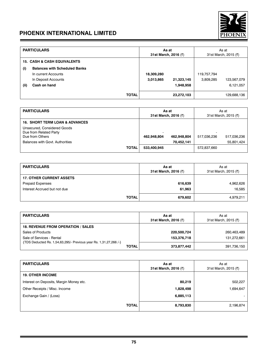

|      | <b>PARTICULARS</b>                     |              | As at<br>31st March, 2016 (₹) |            | As at<br>31st March, 2015 (₹) |             |
|------|----------------------------------------|--------------|-------------------------------|------------|-------------------------------|-------------|
|      | <b>15. CASH &amp; CASH EQUIVALENTS</b> |              |                               |            |                               |             |
| (i)  | <b>Balances with Scheduled Banks</b>   |              |                               |            |                               |             |
|      | In current Accounts                    |              | 18,309,280                    |            | 119,757,794                   |             |
|      | In Deposit Accounts                    |              | 3,013,865                     | 21,323,145 | 3,809,285                     | 123,567,079 |
| (ii) | Cash on hand                           |              |                               | 1,948,958  |                               | 6,121,057   |
|      |                                        |              |                               |            |                               |             |
|      |                                        | <b>TOTAL</b> |                               | 23,272,103 |                               | 129,688,136 |

| <b>PARTICULARS</b>                                                       |             | As at<br>31st March, 2016 (₹) | As at<br>31st March, 2015 (₹) |             |
|--------------------------------------------------------------------------|-------------|-------------------------------|-------------------------------|-------------|
| <b>16. SHORT TERM LOAN &amp; ADVANCES</b>                                |             |                               |                               |             |
| Unsecured. Considered Goods<br>Due from Related Party<br>Due from Others | 462,948,804 | 462,948,804                   | $\overline{a}$<br>517.036.236 | 517,036,236 |
| Balances with Govt. Authorities                                          |             | 70,452,141                    |                               | 55,801,424  |
| <b>TOTAL</b>                                                             | 533,400,945 |                               | 572,837,660                   |             |

| <b>PARTICULARS</b>              | As at<br>31st March, 2016 (₹) | As at<br>31st March, 2015 (₹) |
|---------------------------------|-------------------------------|-------------------------------|
| <b>17. OTHER CURRENT ASSETS</b> |                               |                               |
| <b>Prepaid Expenses</b>         | 616,639                       | 4,962,626                     |
| Interest Accrued but not due    | 61,963                        | 16,585                        |
| <b>TOTAL</b>                    | 679,602                       | 4,979,211                     |

| <b>PARTICULARS</b>                                                                             |       | As at<br>31st March, 2016 (₹) | As at<br>31st March, 2015 (₹) |
|------------------------------------------------------------------------------------------------|-------|-------------------------------|-------------------------------|
| <b>18. REVENUE FROM OPERATION / SALES</b>                                                      |       |                               |                               |
| Sales of Products                                                                              |       | 220,500,724                   | 260,463,489                   |
| Sale of Services - Rental<br>{TDS Deducted Rs. 1,54,63,295/- Previous year Rs. 1,31,27,266 /-} |       | 153,376,718                   | 131.272.661                   |
|                                                                                                | TOTAL | 373,877,442                   | 391,736,150                   |

| <b>PARTICULARS</b>                      | As at<br>31st March, 2016 (₹) | As at<br>31st March, 2015 (₹) |
|-----------------------------------------|-------------------------------|-------------------------------|
| <b>19. OTHER INCOME</b>                 |                               |                               |
| Interest on Deposits, Margin Money etc. | 80,219                        | 502,227                       |
| Other Receipts / Misc. Income           | 1,828,498                     | 1,694,647                     |
| Exchange Gain / (Loss)                  | 6,885,113                     |                               |
| <b>TOTAL</b>                            | 8,793,830                     | 2,196,874                     |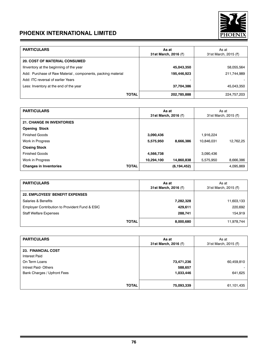

| <b>PARTICULARS</b>                                          | As at<br>31st March, 2016 (₹) | As at<br>31st March, 2015 (₹) |
|-------------------------------------------------------------|-------------------------------|-------------------------------|
| <b>20. COST OF MATERIAL CONSUMED</b>                        |                               |                               |
| Ilnventory at the beginning of the year                     | 45,043,350                    | 58,055,564                    |
| Add: Purchase of Raw Material, components, packing material | 195,446,923                   | 211,744,989                   |
| Add: ITC reversal of earlier Years                          |                               |                               |
| Less: Inventory at the end of the year                      | 37,704,386                    | 45,043,350                    |
| <b>TOTAL</b>                                                | 202,785,888                   | 224,757,203                   |

| <b>PARTICULARS</b>               |              | As at<br>31st March, 2016 (₹) |               | As at<br>31st March, 2015 (₹) |           |
|----------------------------------|--------------|-------------------------------|---------------|-------------------------------|-----------|
| <b>21. CHANGE IN INVENTORIES</b> |              |                               |               |                               |           |
| <b>Opening Stock</b>             |              |                               |               |                               |           |
| <b>Finished Goods</b>            |              | 3,090,436                     |               | 1,916,224                     |           |
| Work in Progress                 |              | 5,575,950                     | 8,666,386     | 10.846.031                    | 12.762.25 |
| <b>Closing Stock</b>             |              |                               |               |                               |           |
| <b>Finished Goods</b>            |              | 4,566,738                     |               | 3.090.436                     |           |
| Work in Progress                 |              | 10,294,100                    | 14,860,838    | 5.575.950                     | 8.666.386 |
| <b>Changes in Inventories</b>    | <b>TOTAL</b> |                               | (6, 194, 452) |                               | 4.095.869 |

| <b>PARTICULARS</b>                             | As at<br>31st March, 2016 (₹) | As at<br>31st March, 2015 (₹) |
|------------------------------------------------|-------------------------------|-------------------------------|
| <b>22. EMPLOYEES' BENEFIT EXPENSES</b>         |                               |                               |
| Salaries & Benefits                            | 7,282,328                     | 11,603,133                    |
| Employer Contribution to Provident Fund & ESIC | 429,611                       | 220,692                       |
| <b>Staff Welfare Expenses</b>                  | 288,741                       | 154,919                       |
| <b>TOTAL</b>                                   | 8,000,680                     | 11,978,744                    |

| <b>PARTICULARS</b>          | As at<br>31st March, 2016 (₹) | As at<br>31st March, 2015 (₹) |
|-----------------------------|-------------------------------|-------------------------------|
| <b>23. FINANCIAL COST</b>   |                               |                               |
| <b>Interest Paid</b>        |                               |                               |
| On Term Loans               | 73,471,236                    | 60,459,810                    |
| Intrest Paid-Others         | 588,657                       |                               |
| Bank Charges / Upfront Fees | 1,033,446                     | 641,625                       |
|                             |                               |                               |
| <b>TOTAL</b>                | 75,093,339                    | 61,101,435                    |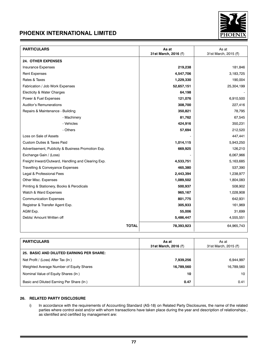

| <b>PARTICULARS</b>                                 | As at<br>31st March, 2016 (₹) | As at<br>31st March, 2015 (₹) |
|----------------------------------------------------|-------------------------------|-------------------------------|
| <b>24. OTHER EXPENSES</b>                          |                               |                               |
| <b>Insurance Expenses</b>                          | 219,238                       | 181,846                       |
| <b>Rent Expenses</b>                               | 4,547,706                     | 3,183,725                     |
| Rates & Taxes                                      | 1,229,330                     | 190,004                       |
| Fabrication / Job Work Expenses                    | 52,657,151                    | 25,304,199                    |
| Electicity & Water Charges                         | 64,198                        |                               |
| Power & Fuel Expenses                              | 121,076                       | 6,910,500                     |
| <b>Auditor's Remunerations</b>                     | 308,700                       | 227,416                       |
| Repairs & Maintenance - Building                   | 350,821                       | 78,795                        |
| - Machinery                                        | 81,762                        | 67,545                        |
| - Vehicles                                         | 424,916                       | 350,231                       |
| - Others                                           | 57,694                        | 212,520                       |
| Loss on Sale of Assets                             |                               | 447,441                       |
| <b>Custom Duties &amp; Taxes Paid</b>              | 1,014,115                     | 5,943,250                     |
| Advertisement, Publicity & Business Promotion Exp. | 669,925                       | 126,210                       |
| Exchange Gain / (Loss)                             |                               | 6,067,966                     |
| Freight Inward/Outward, Handling and Clearing Exp. | 4,533,751                     | 5,163,685                     |
| Travelling & Conveyance Expenses                   | 465,380                       | 537,390                       |
| Legal & Professional Fees                          | 2,443,394                     | 1,238,977                     |
| Other Misc. Expenses                               | 1,089,502                     | 1,804,083                     |
| Printing & Stationery, Books & Perodicals          | 500,937                       | 508,902                       |
| Watch & Ward Expenses                              | 965,167                       | 1,028,908                     |
| <b>Communication Expenses</b>                      | 801,775                       | 642,931                       |
| Registrar & Transfer Agent Exp.                    | 305,933                       | 161,969                       |
| AGM Exp.                                           | 55,006                        | 31,699                        |
| Debts/ Amount Written off                          | 5,486,447                     | 4,555,551                     |
| <b>TOTAL</b>                                       | 78,393,923                    | 64,965,743                    |

| <b>PARTICULARS</b>                              | As at<br>31st March, 2016 (₹) | As at<br>31st March, 2015 (₹) |
|-------------------------------------------------|-------------------------------|-------------------------------|
| <b>25. BASIC AND DILUTED EARNING PER SHARE:</b> |                               |                               |
| Net Profit / (Loss) After Tax (In)              | 7,939,256                     | 6,944,997                     |
| Weighted Average Number of Equity Shares        | 16,789,560                    | 16,789,560                    |
| Nominal Value of Equity Shares (In)             | 10                            | 10                            |
| Basic and Diluted Earning Per Share (In)        | 0.47                          | 0.41                          |

## **26. RELATED PARTY DISCLOSURE**

i) In accordance with the requirements of Accounting Standard (AS-18) on Related Party Disclosures, the name of the related parties where control exist and/or with whom transactions have taken place during the year and description of relationships , as identified and certified by management are: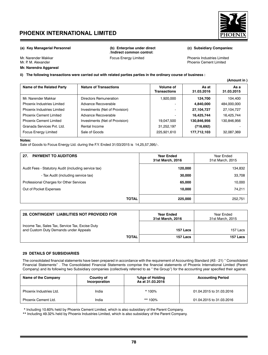

**(Amount in )**

**Mr. Narendra Aggarwal** 

**(a) Key Managerial Personnel (b) Enterprise under direct (c) Subsidiary Companies: /Indirect common control:**

Mr. Narender Makkar **Focus Energy Limited** Mr. Narender Makkar Focus Energy Limited Phoenix Industries Limited Mr. P. M. Alexander Phoenix Cement Limited

### **ii) The following transactions were carried out with related parties parties in the ordinary course of business :**

| Name of the Related Party         | <b>Nature of Transactions</b>  | Volume of<br><b>Transactions</b> | As at<br>31.03.2016 | As a<br>31.03.2015 |
|-----------------------------------|--------------------------------|----------------------------------|---------------------|--------------------|
| Mr. Narender Makkar               | Directors Remuneration         | 1.920.000                        | 124.700             | 104.400            |
| <b>Phoenix Industries Limited</b> | Advance Recoverable            |                                  | 4,840,000           | 484,000,000        |
| <b>Phoenix Industries Limited</b> | Investments (Net of Provision) | -                                | 27,104,727          | 27,104,727         |
| <b>Phoenix Cement Limited</b>     | Advance Recoverable            |                                  | 16,425,744          | 16,425,744         |
| <b>Phoenix Cement Limited</b>     | Investments (Net of Provision) | 19,047,500                       | 130,846,956         | 130,846,956        |
| Granada Services Pvt. Ltd.        | Rental Income                  | 31,252,197                       | (716, 692)          |                    |
| <b>Focus Energy Limited</b>       | Sale of Goods                  | 225,921,610                      | 177,712,103         | 32,087,369         |

**Notes:** Sale of Goods to Focus Energy Ltd. during the F.Y. Ended 31/03/2015 is 14,25,57,395/-.

| <b>PAYMENT TO AUDITORS</b><br>27.                    | <b>Year Ended</b><br>31st March, 2016 | Year Ended<br>31st March, 2015 |
|------------------------------------------------------|---------------------------------------|--------------------------------|
| Audit Fees - Statutory Audit (including service tax) | 120,000                               | 134,832                        |
| - Tax Audit (including service tax)                  | 30,000                                | 33,708                         |
| Professional Charges for Other Services              | 65,000                                | 10,000                         |
| Out of Pocket Expenses                               | 10,000                                | 74,211                         |
| <b>TOTAL</b>                                         | 225,000                               | 252,751                        |

| <b>28. CONTINGENT LIABILITIES NOT PROVIDED FOR</b>                                       | <b>Year Ended</b><br>31st March, 2016 | Year Ended<br>31st March, 2015 |
|------------------------------------------------------------------------------------------|---------------------------------------|--------------------------------|
| Income Tax, Sales Tax, Service Tax, Excise Duty<br>and Custom Duty Demands under Appeals | 157 Lacs                              | 157 Lacs                       |
| <b>TOTAL</b>                                                                             | 157 Lacs                              | 157 Lacs                       |

#### **29 DETAILS OF SUBSIDIARIES**

The consolidated financial statements have been prepared in accordance with the requirement of Accounting Standard (AS - 21) " Consolidated Financial Statements" . The Consolidated Financial Statements comprise the financial statements of Phoenix International Limited (Parent Company) and its following two Subsidiary companies (collectively referred to as " the Group") for the accounting year specified their against.

| Name of the Company     | Country of<br>Incorporation | %Age of Holding<br>As at 31.03.2016 | <b>Accounting Period</b> |
|-------------------------|-----------------------------|-------------------------------------|--------------------------|
| Phoenix Industries Ltd. | India                       | $*100%$                             | 01.04.2015 to 31.03.2016 |
| Phoenix Cement Ltd.     | India                       | ** 100%                             | 01.04.2015 to 31.03.2016 |

\* Including 10.60% held by Phoenix Cement Limited, which is also subsidiary of the Parent Company.

\*\* Including 49.32% held by Phoenix Industries Limited, which is also subsidiary of the Parent Company.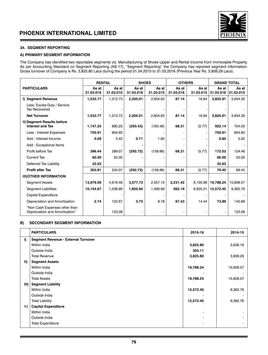

## **34. SEGMENT REPORTING**

## **A) PRIMARY SEGMENT INFORMATION**

The Company has identified two reportable segments viz. Manufacturing of Shoes Upper and Rental Income from Immovable Property. As per Accounting Standard on Segment Reporting (AS-17), "Segment Reporting" the Company has reported segment information. Gross turnover of Company is Rs. 3,825.80 Lacs during the period 01.04.2015 to 31.03.2016 (Previous Year Rs. 3,939.29 Lacs).

|                                                                 | <b>RENTAL</b>      |                    | <b>SHOES</b>       |                    | <b>OTHERS</b>      |                    | <b>GRAND TOTAL</b> |                    |
|-----------------------------------------------------------------|--------------------|--------------------|--------------------|--------------------|--------------------|--------------------|--------------------|--------------------|
| <b>PARTICULARS</b>                                              | As at<br>31.03.016 | As at<br>31.03.015 | As at<br>31.03.016 | As at<br>31.03.015 | As at<br>31.03.016 | As at<br>31.03.015 | As at<br>31.03.016 | As at<br>31.03.015 |
| I) Segment Revenue                                              | 1,533.77           | 1,312.73           | 2,205.01           | 2,604.63           | 87.14              | 16.94              | 3,825.91           | 3,934.30           |
| Less: Excise Duty / Service<br><b>Tax Recovered</b>             |                    |                    |                    |                    |                    |                    |                    |                    |
| <b>Net Turnover</b>                                             | 1,533.77           | 1,312.73           | 2,205.01           | 2,604.63           | 87.14              | 16.94              | 3,825.91           | 3,934.30           |
| II) Segment Results before<br><b>Interest and Tax</b>           | 1,147.25           | 890.25             | (293.43)           | (160.46)           | 68.31              | (5.77)             | 922.14             | 724.03             |
| Less: Interest Expenses                                         | 750.91             | 604.60             |                    |                    |                    |                    | 750.91             | 604.60             |
| Add: Interest Income                                            | 0.09               | 3.42               | 0.71               | 1.60               |                    |                    | 0.80               | 5.02               |
| Add: Exceptional Items                                          |                    |                    |                    |                    |                    |                    |                    |                    |
| Profit before Tax                                               | 396.44             | 289.07             | (292.72)           | (158.86)           | 68.31              | (5.77)             | 172.03             | 124.46             |
| <b>Current Tax</b>                                              | 60.00              | 55.00              |                    |                    |                    |                    | 60.00              | 55.00              |
| Deferred Tax Liability                                          | 32.63              |                    |                    |                    |                    |                    | 32.63              |                    |
| <b>Profit after Tax</b>                                         | 303.81             | 234.07             | (292.72)           | (158.86)           | 68.31              | (5.77)             | 79.40              | 69.45              |
| <b>III) OTHER INFORMATION</b>                                   |                    |                    |                    |                    |                    |                    |                    |                    |
| <b>Segment Assets</b>                                           | 13.979.09          | 4,916.48           | 3,577.73           | 2,557.10           | 2,231.42           | 8,135.99           | 19,788.24          | 15,609.57          |
| <b>Segment Liabilities</b>                                      | 10,154.67          | 1.036.86           | 1.855.60           | 1.490.69           | 562.19             | 6.835.21           | 12,572.45          | 9,362.76           |
| <b>Capital Expenditure</b>                                      |                    |                    |                    |                    |                    |                    |                    |                    |
| Depreciation and Amortisation                                   | 2.74               | 122.67             | 3.73               | 8.78               | 67.43              | 14.44              | 73.89              | 145.89             |
| "Non Cash Expenses other than<br>Depreciation and Amortisation" |                    | 123.08             |                    |                    |                    |                    |                    | 123.08             |

### **B) SECONDARY SEGMENT INFORMATION**

|             | <b>PARTICULARS</b>                         | 2015-16   | 2014-15   |
|-------------|--------------------------------------------|-----------|-----------|
| I)          | <b>Segment Revenue - External Turnover</b> |           |           |
|             | Within India                               | 3,825.80  | 3,636.18  |
|             | Outside India                              | 303.11    |           |
|             | <b>Total Revenue</b>                       | 3,825.80  | 3,939.29  |
| $\parallel$ | <b>Segment Assets</b>                      |           |           |
|             | Within India                               | 19,788.24 | 15,609.57 |
|             | Outside India                              |           |           |
|             | <b>Total Assets</b>                        | 19,788.24 | 15,609.57 |
| III)        | <b>Segment Liability</b>                   |           |           |
|             | Within India                               | 12,572.45 | 9,362.76  |
|             | Outside India                              |           |           |
|             | <b>Total Liability</b>                     | 12,572.45 | 9,362.76  |
| IV)         | <b>Capital Expenditure</b>                 |           |           |
|             | Within India                               |           |           |
|             | Outside India                              |           | ٠         |
|             | <b>Total Expenditure</b>                   |           |           |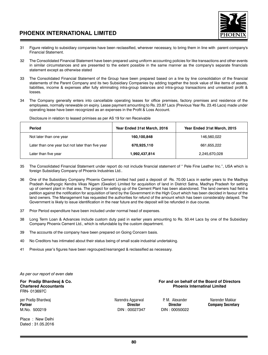

- 31 Figure relating to subsidiary companies have been reclassified, wherever necessary, to bring them in line with parent company's Financial Statement.
- 32 The Consolidated Financial Statement have been prepared using uniform accounting policies for like transactions and other events in similar circumstances and are presented to the extent possible in the same manner as the company's separate financials statement except as otherwise stated
- 33 The Consolidated Financial Statement of the Group have been prepared based on a line by line consolidation of the financial statements of the Parent Company and its two Subsidiary Companies by adding together the book value of like items of assets, liabilities, income & expenses after fully eliminating intra-group balances and intra-group transactions and unrealized profit & losses.
- 34 The Company generally enters into cancellable operating leases for office premises, factory premises and residence of the employees, normally renewable on expiry. Lease payment amounting to Rs. 23.87 Lacs (Previous Year Rs. 23.45 Lacs) made under operating lease have been recognized as an expenses in the Profit & Loss Account.

Disclosure in relation to leased primises as per AS 19 for ren Receivable

| Period                                           | Year Ended 31st March, 2016 | Year Ended 31st March, 2015 |
|--------------------------------------------------|-----------------------------|-----------------------------|
| Not later than one year                          | 160,100,848                 | 146.560.022                 |
| Later than one year but not later than five year | 670,925,110                 | 661,655,222                 |
| Later than five year                             | 1,992,437,814               | 2,245,670,028               |

- 35 The Consolidated Financial Statement under report do not include financial statement of " Pele Fine Leather Inc.", USA which is foreign Subsidiary Company of Phoenix Industries Ltd..
- 36 One of the Subsidiary Company Phoenix Cement Limited had paid a deposit of Rs. 70.00 Lacs in earlier years to the Madhya Pradesh Audhyogic Kendra Vikas Nigam (Gwalior) Limited for acquisition of land in District Satna, Madhya Pradesh for setting up of cement plant in that area. The project for setting up of the Cement Plant has been abandoned. The land owners had field a petition against the notification for acquisition of land by the Government in the High Court which has been decided in favour of the land owners. The Management has requested the authorities for refund of the amount which has been considerably delayed. The Government is likely to issue identification in the near future and the deposit will be refunded in due course.
- 37 Prior Period expenditure have been included under normal head of expenses.
- 38 Long Term Loan & Advances include custom duty paid in earlier years amounting to Rs. 50.44 Lacs by one of the Subsidiary Company Phoenix Cement Ltd., which is refundable by the custom department.
- 39 The accounts of the company have been prepared on Going Concern basis.
- 40 No Creditors has intimated about their status being of small scale industrial undertaking.
- 41 Previous year's figures have been regrouped/rearranged & reclassified as necessary.

*As per our report of even date*

FRN- 013697C

per Pradip Bhardwaj **Narendra Aggarwal P. M. Alexander Natendra Makkar** P. M. Alexander Natender Makkar Partner Makkar<br>Partner **Partner Company Secretal** Perton Director Director Director Director Company Secretal M.No. 500219 DIN : 00027347 DIN : 00050022

For Pradip Bhardwaj & Co. **For and on behalf of the Board of Directors**<br>Chartered Accountants **For and on the Board of Directors Phoenix Internatinal Limited** 

**Company Secretary** 

Place : New Delhi Dated : 31.05.2016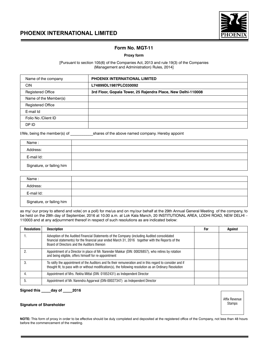



## **Form No. MGT-11**

### **Proxy form**

[Pursuant to section 105(6) of the Companies Act, 2013 and rule 19(3) of the Companies (Management and Administration) Rules, 2014]

| Name of the company      | <b>PHOENIX INTERNATIONAL LIMITED</b>                         |
|--------------------------|--------------------------------------------------------------|
| <b>CIN</b>               | L74899DL1987PLC030092                                        |
| <b>Registered Office</b> | 3rd Floor, Gopala Tower, 25 Rajendra Place, New Delhi-110008 |
| Name of the Member(s)    |                                                              |
| <b>Registered Office</b> |                                                              |
| E-mail Id                |                                                              |
| Folio No /Client ID      |                                                              |
| DP ID                    |                                                              |

I/We, being the member(s) of shares of the above named company. Hereby appoint

| Name :                    |  |
|---------------------------|--|
| Address:                  |  |
| E-mail Id:                |  |
| Signature, or failing him |  |

| Name:                     |  |
|---------------------------|--|
| Address:                  |  |
| E-mail Id:                |  |
| Signature, or failing him |  |

as my/ our proxy to attend and vote( on a poll) for me/us and on my/our behalf at the 29th Annual General Meeting of the company, to be held on the 29th day of September, 2016 at 10.00 a.m. at Lok Kala Manch, 20 INSTITUTIONAL AREA, LODHI ROAD, NEW DELHI – 110003 and at any adjournment thereof in respect of such resolutions as are indicated below:

| <b>Resolutions</b> | <b>Description</b>                                                                                                                                                                                                                                | For | Against |
|--------------------|---------------------------------------------------------------------------------------------------------------------------------------------------------------------------------------------------------------------------------------------------|-----|---------|
|                    | Advoption of the Audited Financial Statements of the Company (including Audited consolidated<br>financial statements) for the financial year ended March 31, 2016 together with the Reports of the<br>Board of Directors and the Auditors thereon |     |         |
|                    | Appointment of a Director in place of Mr. Narender Makkar (DIN: 00026857), who retires by rotation<br>and being eligible, offers himself for re-appointment                                                                                       |     |         |
|                    | To ratify the appointment of the Auditors and fix their remuneration and in this regard to consider and if<br>thought fit, to pass with or without modification(s), the following resolution as an Ordinary Resolution                            |     |         |
|                    | Appointment of Mrs. Rekha Mittal (DIN: 01852431) as Independent Director                                                                                                                                                                          |     |         |
|                    | Appointment of Mr. Narendra Aggarwal (DIN-00027347) as Independent Director                                                                                                                                                                       |     |         |

**Signed this \_\_\_\_\_day of \_\_\_\_\_2016**

#### **Signature of Shareholder**

Affix Revenue Stamps

**NOTE:** This form of proxy in order to be effective should be duly completed and deposited at the registered office of the Company, not less than 48 hours before the commencement of the meeting.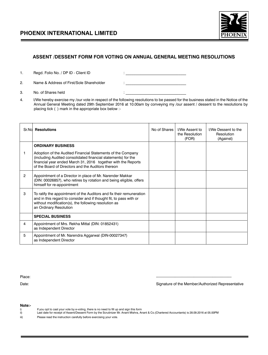

# **ASSENT /DESSENT FORM FOR VOTING ON ANNUAL GENERAL MEETING RESOLUTIONS**

1. Regd. Folio No. / DP ID - Client ID

2. Name & Address of First/Sole Shareholder

| ____<br>_<br>_ | _<br>-- |  |  |
|----------------|---------|--|--|
|                |         |  |  |
|                |         |  |  |
|                |         |  |  |
|                |         |  |  |

- 3. No. of Shares held  $\vdots$
- 4. I/We hereby exercise my /our vote in respect of the following resolutions to be passed for the business stated in the Notice of the Annual General Meeting dated 29th September 2016 at 10.00am by conveying my /our assent / dessent to the resolutions by placing tick ( ) mark in the appropriate box below :-

|                | Sr.Nd Resolutions                                                                                                                                                                                                                                   | No of Shares | I/We Assent to<br>the Resolution<br>(FOR) | I/We Dessent to the<br>Resolution<br>(Against) |
|----------------|-----------------------------------------------------------------------------------------------------------------------------------------------------------------------------------------------------------------------------------------------------|--------------|-------------------------------------------|------------------------------------------------|
|                | <b>ORDINARY BUSINESS</b>                                                                                                                                                                                                                            |              |                                           |                                                |
| 1              | Adoption of the Audited Financial Statements of the Company<br>(including Audited consolidated financial statements) for the<br>financial year ended March 31, 2016 together with the Reports<br>of the Board of Directors and the Auditors thereon |              |                                           |                                                |
| $\overline{2}$ | Appointment of a Director in place of Mr. Narender Makkar<br>(DIN: 00026857), who retires by rotation and being eligible, offers<br>himself for re-appointment                                                                                      |              |                                           |                                                |
| 3              | To ratify the appointment of the Auditors and fix their remuneration<br>and in this regard to consider and if thought fit, to pass with or<br>without modification(s), the following resolution as<br>an Ordinary Resolution                        |              |                                           |                                                |
|                | <b>SPECIAL BUSINESS</b>                                                                                                                                                                                                                             |              |                                           |                                                |
| 4              | Appointment of Mrs. Rekha Mittal (DIN: 01852431)<br>as Independent Director                                                                                                                                                                         |              |                                           |                                                |
| 5              | Appointment of Mr. Narendra Aggarwal (DIN-00027347)<br>as Independent Director                                                                                                                                                                      |              |                                           |                                                |

Date: Signature of the Member/Authorized Representative

Place: ----------------------------------------------------------------

**Note:-**

- 
- i) If you opt to cast your vote by e-voting, there is no need to fill up and sign this form<br>ii) Last date for receipt of Assent/Dessent Form by the Scrutinizer Mr. Anant Mishra, Anant & Co.(Chartered Accountants) is
- iii) Please read the instruction carefully before exercising your vote.